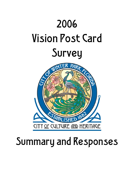

# Summary and Responses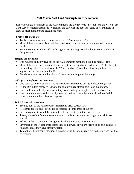# 2006 Vision Post Card Survey Results Summary

The following is a summary of the 792 comments the city received in response to the Vision Post Card Survey regarding resident's vision for the city over the next ten years. They are listed in order of most mentioned to least mentioned.

## **Traffic-216 mentions**

- Traffic was mentioned 216 times out of the 792 responses. (27%)
- Most of the comments discussed the concerns on how the new development will impact traffic.
- Several comments addressed cut-through traffic and suggested bricking streets to alleviate this problem.

# **Height-165 mentions**

- One hundred and sixty five out of the 792 comments mentioned building height. (21%)
- Most of the comments mentioned what heights are acceptable in certain areas. Taller heights for buildings along Fairbanks and 17-92 are suitable. Two to four story height limits are appropriate for buildings in the CBD.
- Residents want to ensure that city staff regulates the height of buildings.

#### **Village Atmosphere-107 mentions**

- One hundred and seven out of the 792 responses referred to village atmosphere. (14%)
- Of the 107 in this category, 93 want the quaint village atmosphere to be maintained.
- One resident specifically mentioned they want a village atmosphere with no obstacles.
- One comment mentions that the city needs to maintain the older homes in Winter Park in order to maintain the village atmosphere.

# **Brick Streets-74 mentions**

- Seventy-four of the 792 responses referred to brick streets. (9%)
- Residents believe brick streets are acceptable in some areas of the city.
- Several comments stated that it is not cost effective to maintain brick streets.
- Twenty-five of the 74 comments are in favor of bricking streets as long as the bricks are smooth.
- Fifteen of the 74 comments are against bricking any street in Winter Park.
- Seventeen of the 74 responses stated they do not want any more streets to be bricked and to finish the areas they have already started.
- Ten of the 74 comments mentioned in some areas the brick streets are in disarray and need to be repaired.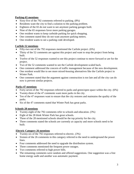## **Parking-65 mentions**

- Sixty-five of the 792 comments referred to parking. (8%)
- Residents want the city to find a solution to the parking problem.
- Eighteen of the 65 do not want to see anymore parking garages built.
- Nine of the 65 responses favor more parking garages.
- One resident wants to keep curbside parking for quick shopping.
- One comment stated they do not want anymore parking meters.
- One resident wants to see a parking code developed.

# **Carlisle-52 mentions**

- Fifty-two out of the 792 responses mentioned the Carlisle project. (6%)
- Thirty of the 52 comments are against this project and want to stop the project from being built.
- Twelve of the 52 responses wanted to see this project continue to move forward or are for the project.
- Two of the 52 comments wanted to see the Carlisle development scaled back.
- One comment addressed the concern of traffic management because of the new development.
- One resident would like to see more mixed-housing alternatives like the Carlisle project in Winter Park.
- One comment stated that the argument against construction is too late and all the city can do now is prevent similar projects.

# **Parks-47 mentions**

- Forty-seven of the 792 responses referred to parks and green/open space within the city. (6%)
- Twenty-three of the 47 comments want more parks in the city.
- Ten of the 47 responses want to ensure that the city restores and maintains the quality of the parks.
- Six of the 47 comments stated that Winter Park has great parks.

# **Schools-28 mentions**

- Twenty-eight of the 792 comments refer to schools and education. (3%)
- Eight of the 28 think Winter Park has great schools.
- Three of the 28 mentioned schools should be the top priority for the city.
- Three comments stated the schools are currently at capacity and more schools need to be built.

# **Electric Category-26 mentions**

- Twenty-six of the 792 responses referred to electric. (3%)
- Sixteen of the 26 comments in this category referred to the need to underground the power lines.
- Four comments addressed the need to upgrade the distribution system.
- Three comments mentioned the frequent power outages.
- Two comments referred to high power bills.
- The remaining comments were random and offered suggestions. One suggestion was a free home energy audit and another was automatic payment.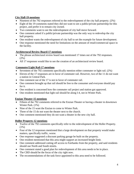# **City Hall-19 mentions**

- Nineteen of the 792 responses referred to the redevelopment of the city hall property. (2%)
- Eight of the 19 comments stated they did not want to see a public/private partnership for this project, and prefer it to remain city owned.
- Two comments want to see the redevelopment of city hall move forward.
- One comment asked if a public/private partnership was the only way to redevelop the city hall property.
- One resident wants the redevelopment of city hall to set the example for future development.
- One response mentioned the need for limitations on the amount of retail/commercial space in the facility.

# **Architectural Review Board-17 mentions**

- The phrase architectural review board was mentioned 17 times out of the 792 responses. (2%)
- All 17 responses would like to see the creation of an architectural review board.

# **Commuter/Light Rail-17 mentions**

- Seventeen of the 792 comments specifically mention either commuter or light rail. (2%)
- Eleven of the 17 responses are in favor of commuter rail. However, two of the 11 do not want a station in Central Park.
- One comment out of the 17 is not in favor of commuter rail.
- One comment brought up that rail should be free to the consumer and everyone should pay for it.
- One resident is concerned how the commuter rail project and station got approved.
- One resident mentioned that light rail should be along I-4, not in Winter Park.

# **Enzian Theater-15 mentions**

- Fifteen of the 792 comments referred to the Enzian Theater or having a theater in downtown Winter Park. (1%)
- Nine of the 15 want the Enzian to come to Winter Park.
- Three of the 15 do not want the theater next to the church.
- One comment mentioned they do not want a theater in the new city hall.

# **Holler Property-12 mentions**

- Twelve of the 792 comments specifically refer to the redevelopment of the Holler Property.  $(1\%)$
- Four of the 12 responses mentioned that a large development on that property would make matters, specifically traffic, worse.
- One response suggested a discount parking garage be built on the property.
- One resident mentioned that this area might support an increased height limit.
- One comment addressed cutting off access to Fairbanks from the property, and said residents should use North and South streets.
- One comment stated a good plan for redevelopment of this area needs to be in place.
- The CBD should be the focus of the city right now.
- The recommendations of the task force appointed to this area need to be followed.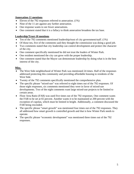## **Annexation-11 mentions**

- Eleven of the 792 responses referred to annexation. (1%)
- Nine of the 11 are against any further annexation.
- One response wants to see fewer annexations.
- One comment stated that it is a fallacy to think annexation broadens the tax base.

### **Leadership/Trust-10 mentions**

- Ten of the 792 comments mentioned leadership/trust of city government/staff. (1%)
- Of those ten, five of the comments said they thought the commission was doing a good job.
- Two comments stated that city leadership can control development and protect the character of the city.
- One comment specifically mentioned he did not trust the leaders of Winter Park.
- One resident mentioned the city can grow with the proper leadership.
- One comment stated that the Mayor can demonstrate leadership by doing what is in the best interest of the city.

### **Misc.**

- The West Side neighborhood of Winter Park was mentioned 24 times. Half of the responses addressed protecting this community and providing affordable housing to residents of the West Side.
- Twenty of the 792 comments specifically mentioned the comprehensive plan.
- The specific phrase "mixed-use" was referred to eight times out of the 792 responses. Of those eight responses, six comments mentioned they were in favor of mixed-use developments. Two of the eight comments want large mixed-use projects to be limited to certain areas.
- Floor Area Ratio (FAR) was used five times out of the 792 responses. One comment wants the FAR to be set at 65 percent. Another wants it to be maintained at 200 percent with the exception of cupolas, which must be limited in height. Additionally, a comment discussed the FAR being rescinded.
- The specific phrase "smart growth" was mentioned four times out of the 792 responses. They all addressed how smart growth is controlled growth and that is how Winter Park needs to operate.
- The specific phrase "economic development" was mentioned three times out of the 792 responses.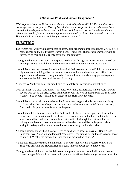# 2006 Vision Post Card Survey Responses\*

*\*This report reflects the 792 responses the city received by the April 28, 2006 deadline, with the exception to 11 responses. The city has withheld the 11 responses because they have been deemed to include personal attacks on individuals which would distract from the legitimate debate, and would if spoken at a meeting be in violation of the city's rules on meeting decorum. These and all responses are available for review on request."* 

# **ELECTRIC**

- The Winter Park Utility Company needs to offer a free program to inspect ductwork, AND a free home energy audit, like Progress Energy does!! Thank you! (Lots of customers are waiting for you to do this, and it is energy saving for the company!)
- Underground power. Small town atmosphere. Reduce cut through car traffic. Move railroad out to I4 replace with a trail that would connect WP to downtown Orlando and Maitland.
- I would like to see the preservation of our historical Park Ave and all of WP. I do not want to see big apartments buildings like the one that was allowed at the site of the post office. I do appreciate the reforestation program. Also, I would like all the electricity put underground and remove the light poles and the electric wiring,

Allow the WP utility to debit my credit card for monthly bill payments, automatically.

- Look at Miller Ave brick stop-finish it all. Keep WP small, comfortable. 5 more years you will have to pull out all the brick street. Maintenance will kill you. It happened in the 60's.. Here it comes. You people will kill us on electric bills. Ha!!! Here it comes.
- I would like to be of help on these issues but I can't seem to get a simple response out of city staff regarding the cost of replacing my electrical underground at our WP home. I am very frustrated!!! Maybe our new Mayor can help me.
- I would like relatively small scale buildings. I would like homes that are purchased by builders or owners for speculation not to be allowed to remain vacant and in bad condition for over a year. I would like better care for roads and sidewalks all through the residential areas. I am talking about hoes and cracks in streets and sidewalks. I would like underground electric wiring for safety and hurricane protection such as underground buried cables.
- No new buildings higher than 3 stories. Keep as much green space as possible. Don't 4 lane Lakemont Ave. No annex of additional geography. Keep city as is. Send maps to residents of utility grid. What is the present time line for under grounding utilities?
- No big high-rises, more parks and bike trails. East-west highway that bypasses Winter Park. Take load off Aloma to Howell Branch. Seems like our power goes out too often.
- Underground electricity on residential streets to improve the area cosmetically and to prevent power outages. More police presence. Playground in Winter Park-younger parents more of an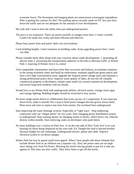economic boost. The flowerpots and hanging plants are unnecessary extravagant expenditure. Who is getting the contract for this? The parking spaces recently made on NY Ave just slow down the traffic and are not adequate for the amount of over development.

- My wife and I want to have the utility lines put underground quicker.
- The price is too expensive. There are power turnoffs or outages more than 11 times a month. Could it be made less costly and more efficient and effective
- Please bury power lines and poles! Split cost city/residents
- Limit building heights. Limit variances on building codes. Keep upgrading power lines. Limit city debt.
- Please consider these ideas along with your concerns about condo development: 1. grounding all electric lines 2. pressuring the transportation authority to lift tolls to alleviate traffic in Winter Park 3. repaving of Palmer Ave-it is a mess!
- Visit comparable communities and learn from their successes and failures; accumulate surpluses in the strong economic times and build an endowment, maintain significant green spaces and have a few high concentration areas, upgrade the frequent power outage areas and maintain a strong professional police force. Improve water quality of lakes, do not sell off valuable commercial property to developers, initiate some small city owned commercial development, and incent long-term residents with tax breaks.
- Would love to see Winter Park with underground utilities, all brick streets, vintage street signs and vintage lighting. Building heights should be restricted to four stories.
- No more rough streets (brick or cobblestone) that screw up my car's suspension. If you must put down brick, make it smooth. Put a stop to brief power outages-this has grown worse lately. Plant more oak trees to replace lost trees from storms. Put overhead lines underground.
- Start improving the water drainage systems. Especially in "right ways". Stop employing contractors who use "illegal aliens" for city work. Start changing power distribution system to underground. Stop wasting money on changing streets to bricks, which heavy city vehicles destroy within months. Start enforcing codes on developers who push limits.
- No more buildings over 2 stories on Park Ave. or on the east side of New York Ave! Low cost housing for those being displaced on the west side. Fix Temple-the road is beyond terrible. Increase budget for tree trimmings. Underground electric, phone and cable. Improve electrical system to cut down outages.
- Winter Park has lost its quaint small town appeal. When I hear people talk about Orlando they include Winter Park as an offshoot not a separate city. Also, the power rates are too high since taking over from Fla Power. Bricking the streets forcing people to pay for it who are against it! This does not slow traffic. They drive faster to get off the bricks.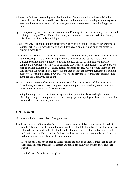- Address traffic increase resulting from Baldwin Park. Do not allow lots to be subdivided to smaller lots to allow increased houses. Proceed with moving electric/telephone underground. Revise old tree cutting policy and increase your service to remove potentially dangerous trees.
- Speed bumps on Lyman Ave, from across tracks to Denning Dr. for cars speeding. Too many tall buildings, living in Winter Park is like living in a business section not residential. Change City of W.P. utilities-bills much higher.
- Leave it the way it is. Stop so much construction, such as the Carlisle, and save the ambience of Winter Park. Also, it would be nice if we didn't have a quick off-and-on in the electrical current almost daily.
- It's unfortunate that each year I'm away from mid June to mid Sept., when W.P. holds its critical Public Hearings! The population explosion has hit W.P. as well as the whole state. Developers trying hard to put more building and less quality on valuable WP land are common knowledge! How a group of qualified WP architects and designers to decide topics such as building height, scale, color, density and traffic sense? Also, I would like to see the City bury all the power lines. That would enhance beauty and prevent hurricane destruction, money well worth the expense! Overall- it's wise to prevent errors than undo mistakes like giant condos-Thank you for asking!
- Focus on getting power underground, on "quiet zone" for trains in WP, on lakes/waterways (cleanliness), on live oak trees, on protecting central park (& expanding), on architectural integrity/consistency in the downtown areas.
- Updating building codes for hurricane loss prevention, protections Need red light cameras, trimming of large trees to prevent electrical outage, prevent spoilage of lakes, lower rates for people who conserve water, electricity

# **ON TRACK**

Move forward with current plans. Change is good.

Thank you for sending the card regarding the above. Unfortunately, we are seasonal residents from the UK and, as such, do not know so much yet about the locality. We just know that we prefer to be on the north side of Orlando, rather than with all the other British who tend to congregate near the Theme Parks. That way we have got to know some really nice American neighbors and we enjoy the peaceful surroundings.

All we can say is try not to change things just for the sake of change. Winter Park is a really lovely area. In some areas, it feels almost European, especially around the lakes and Park Avenue.

Good luck with formulating your plan.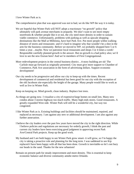I love Winter Park as is.

The comprehensive plan that was approved was not to bad, we do like WP the way it is today.

- We are hopeful that Winter Park will NOT adopt a reactionary "no growth" policy that ultimately will park avenue merchants in jeopardy. We don't want to see more empty storefronts & whether people like it or not, the city need more density in order to sustain viable commerce. Unfortunately, problems with parking as well as upscale shopping destinations like the Mall at Millennia, have hurt Park Ave. Put more people within walking distance of stores and restaurants- and it's hard to imagine why that wouldn't be a shot in the arm for the business community. Before we moved to WP, we probably shopped here 5 or 6 times a year…maybe. Now we patronize local restaurants and shops 3 or 4 times a week! Responsible carefully planned growth is the answer. But no growth is a bad policy also; we'd love to see the new Enzian here! And we're members of First Congregational.
- More redevelopment projects in the central business district...4-story building are ok! The Carlisle must go forward as originally presented. City must give more support to Chamber of Commerce, Park Ave association in the form of advertising dollars. Support economic development!
- Our city needs to be progressive and allow our city to keep-up with the times. Recent development of commercial and residential has been good for out city with the exception of the old Jacobson site-especially the height of the garage. Many people would like to work as well as live in Winter Park.

Keep on keeping on. Mind growth, clean industry. Replace lost trees.

- As things are going now. I visualize a city of expensive/large homes on small lots. Many new condos about 3 stories highway too much traffic. Many high ends stores. Good restaurants. A greatly expanded West side. Winter Park will still be a wonderful city, but way too congested.
- I like Winter Park as is. Existing buildings and facilities should be maintained, repaired, and replaced as necessary. I am against any new or additional development. I am also against any further annexation.
- I believe the city leaders over the past few years have moved the city in the right direction. While I believe policies and regulations are necessary for orderly growth, I think the past and current city leaders have been exercising good judgment in approving recent Park Ave/Central Park projects. Keep up the good work.
- My husband and I are both happy to see Winter Park grow smart- it will grow, so I'm happy the city is taking a proactive role and planning for the long term. I was saddened to see Kip replaced-I have been happy with all that has been done. Growth is inevitable-so let's not bury our heads in the sand. Thanks for the new urbanism!
- Remain on present path for steady improvement and more density. This is essential to keep economic balance and diverse community amidst metro Orlando.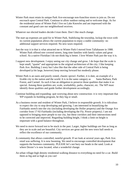Winter Park must retain its unique Park Ave-encourage non-franchise stores to join us. Do not encroach upon Central Park. Continue to allow outdoor eating and to welcome dogs. As for the residential areas of Winter Park I live on Lake Knowles and am impressed with the constant and good care our neighborhood receives.

Whatever our elected leaders decide-I trust them. Don't like much change.

- The start up expenses are paid for in Winter Park. Stabilizing the township, lockup the town with its current population allows the current population to enjoy a stable community- no additional support services required. No new taxes required.
- Just the way it is-that is what attracted me to Winter Park-I moved from Tallahassee in 1988. Winter Park offered tree covered streets, long time families with family values and great school. As a native Floridian I do not think big is better. I love Winter Park just the way it is.
- I support new development. I enjoy seeing our city change and grow. I do hope that the scale is kept small, "quaint" and appropriate to the original architecture of the city. I like keeping Park Ave. Building 2 story but I also like that the other side of Central Park is being developed (a bit large, however) keep moving forward but modestly please.
- Winter Park is an oasis and poorly zoned, chaotic sprowl. Further, it is date, an example of a livable city to the nation and the world. It is in the same category as Santa Barbara, Park Forest, and Carmel. As such it has an obligation to preserve those qualities that make it so special. Among these qualities are; scale, workability, parks, character, etc. The WP must identify those qualities and guide further development accordingly.
- Continue building and expanding- quit worrying about new construction- it is very important that WP expands its building program, be they big or small.
- As a business owner and resident of Winter Park, I believe in responsible growth. It is ridiculous to expect the city to stop developing and growing. I am interested in beautifying the Fairbanks stretch into the city (including developing the Holler property) and the Orange Ave corridor from 17-92-Fairbanks (including developing the Fla. Power property). I am not opposed to bringing more people to our city, but these corridors and their intersections need to be corrected and improved. Regarding building height, I think a limit on height is important with a good balance throughout.
- We need to move forward not to be stuck in the past. Larger, higher buildings are fine as long as they are in scale and are beautiful. City services are great and the new town hall needs to reflect the excellence of our community.
- A community that allows controlled, tasteful growth. If we look at several years ago, Park Ave. retail was suffering. It is now booming. We need to encourage controlled development that supports the business community. PLEASE let's not bury our heads in the sand. Look at where Dexter's is now located, what a wonderful change.
- An urban village-high density residential-walking distance to everything-no need for a car. Build them as big and as high as you can!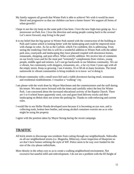- My family supports all growth that Winter Park is able to achieve! We wish it would be more liberal and progressive so that our children can have a better future! We support all forms of urban growth!!
- I hope to see the city keep on the same path it has been. I love the new high-rises going up. As a storeowner on Park Ave. I love the direction and seeing people coming back to the avenue! Let's move forward, stop living in the past!
- It is my belief that the big uproar in Winter Park started with the construction of the building at Park and Canton which is looking better with the landscaping and could be improved more with change in color. As far as the Carlisle, which I'm confident, this is addressing. From seeing the rendering I feel this is will be a wonderful addition to Winter Park with the added park area, courtyards and landscaping they have planned coupled with downtown homes, restaurants, shopping, and post office. What a terrific addition. We receive lots of comments on our lovely town and for the most part "extremely" complements from visitors, young people, middle aged and retirees. Let's not go backwards in our fabulous community. We are a vibrant, fun community-with shoppers, restaurants, etc., a far cry from 3 years ago with all the empty stores. Keep us growing. I see 4 stories, 55 or 60 ok in many locations. The trend nationwide in vibrant communities is bring residents in to town- we're doing it.
- A vibrant community with a small town feel and a viable downtown having retail, restaurants and residential establishments. I visualize a "walking" city.
- I am please with the work done by Mayor Marchman and the commissioners and the staff during his tenure. We must move forward with the times and carefully select the best for Winter Park. I am concerned about the increased educational activity of the Baptist Church. There are 5 or 6 school buses apparently used, cars and giant food delivery trucks and their landscaping on Beloit does not screen the parking lot. Thanks to code enforcing and current rules.
- I would like to see Holler Honda developed soon because it is becoming an eye sore, and is collecting trash, broken beer bottles, and strong alcohol containers worries me as to who might be using the property

I agree with the position taken by Mayor Strong during the recent campaign.

# **TRAFFIC**

- All brick streets to discourage non-residents from cutting through our neighborhoods. Sidewalks on all our neighborhood streets (i.e. Magnolia, Hibiscus), closer inspection of blueprints so we don't have homes unfitting the style of WP. Police seem to be way over funded for the size of the city-please redistribute.
- More density in the urban core so as to create a walking neighborhood environment. Not excessive but tasteful infill and redevelopment. I do not see a problem with the R3 height of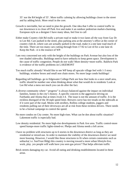35' nor the R4 height of 55'. More traffic calming by allowing buildings closer to the street and by adding brick. More retail in the core.

- Growth is inevitable, but we need to plan the growth. One idea that I offer to control traffic in our downtown is to close off Park Ave and make it an outdoor pedestrian market-charming, European style as a designer I have many ideas, feel free to call
- Either make Country club Rd really a private road or make it two lanes all the way from Gay Dr to Lee Rd. Cars parked in the street, plus parking area at the attorney's office at the corner of country club dr, where cars are actually parked in the road, make it a one lane road much of the time. There are too many cars cutting through from 17-92 to Lee rd for a one lane rd. Keep the Park –it is the essence of WP.
- I am very concerned not only with the height of the buildings on Park Avenue but also loss of the tree shaded sidewalks. Buildings need to have setbacks to keep green space. Development is the cause of traffic congestion. People do not walk! More density=more traffic. Baldwin Park is evidence of the traffic problems on LAKEMONT
- Too much traffic already! Would like to see WP keep all upscale village feel with 1-3 story buildings, window boxes and small non chain stores. No more large condo buildings!
- Regarding tall buildings- go to Edgewater College Park see how that looks to a once small area, traffic should be number one when thinking about what that would do to residents/ Look at Lee Rd what a mess not much you can do after the fact.
- A diverse community where " progress" is always balanced against the impact on individual families, homes to the city's history. A specific concern is the aggressive driving on Fairbanks and Aloma that at times rivals I-4. The issue is not the amount of traffic. It is the reckless disregard of the 30 mph speed limit. Brewers curve has tire treads on the sidewalk as if it were part of the road. Moms with strollers, Rollins college students, joggers and residents pulling out of their driveways are all at risk from these reckless drivers. There needs to be a formal campaign to control the speed.
- No more condos on City center. No more high-rises. What can be doe about traffic situation? Lakemont traffic is especially bad.
- Low density residential. No more high-rise developments in Park Ave area. Traffic control-more speed humps-more traffic lights-timed-ex: Phelps and Aloma needs a left arrow.
- I have no problem with structures up to 6 stories in the downtown district as long as they are residential or mixed-use. In order to maintain the viability of the downtown district we need more housing. However, I would like those structures to fit when certain constraints such as setbacks( i.e. SunTrust Bldg) this country is moving toward a more urban lifestyle-live, work, play. yes people will walk have you seen gas prices? That helps alleviate traffic
- Brick streets damaging my car. Avoid all eating and drinking establishments located in these areas.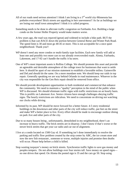- All of our roads need serious attention! I think I am living in a 3<sup>rd</sup> world city-Minnesota has potholes everywhere! Brick streets are appalling in heir unevenness!! As far as buildings we are losing our small town atmosphere! I think it is called progress.
- Something needs to be done to alleviate traffic congestion on Fairbanks Ave. Building a large condo on the former Holler Property would make matters worse.
- A few years ago, the road was repaved (great) and widened to include a bike path. BUT the problem is that cars RACE down the portion between General Reese and Winter Park Road. The speed limit is 30 and most go 40-45 or more. This is not acceptable for a once quiet neighborhood. Thank you!!
- WP doesn't need any more condos or multi-family type facilities. Each new family will add at least one and possibly two more cars to our already overcrowded roads. Aloma, Fairbanks, Lakemont, and 17-92 can't handle the traffic it ha snow.
- One of WP's most important assets is Rollins College. We should promote this asset and provide an agreeable and desirable atmosphere of the college town for businesses that want to settle here. It should be apart of our mission statement to establish a favorable milieu. Gainesville and DeLand should do the same. On a more mundane note. We should keep our raids in top repair. Generally speaking we are way behind Orlando in road maintenance. Whoever in the city was responsible for the Gen Reis repair should be removed from office.
- We should provide development opportunities to both residential and commercial that enhance the community. We need to maintain a "quality" perception in the mind of the public when WP is discussed. We should eliminate traffic signs with traffic restrictions on an hourly basis. This is prolific on Lakemont Ave. Senior citizens have enough challenges obeying traffic signs. The hourly restrictions are ridiculous. We need to concentrate on driving not watching our clocks while driving.
- Informed by its past, WP should be move forward for a better future. 4-5 story residential buildings in the downtown and other parts of the city will reduce traffic, put feet on the street and make WP a better place to live. Every effort should be made to encourage outdoor dining on park Ave and other parts of the city.
- Due to so many houses being , unfortunately, demolished in my neighborhood, there's an increase in heavy traffic. The brick streets are in disarray. I don't know if that's worse or the newer brick streets that get your car radio and car out of alignment.
- I live at a condo located on 1500 Gay rd. If something isn't done immediately to resolve the parking and traffic flow problem created by the strip center by ABC, the ice cream store and now the new fish restaurant , someone or worse, multiple injuries and promise then deaths will occur. Please help before a child is killed.
- Stop wasting taxpayer's money on brick streets. Synchronize traffic lights to save gas money and peoples tempers. Do not allow buildings over four stories tall. Save money on speed signs no one drives that speed. On Aloma the posted sign is 35 and the cars go 50. Stop using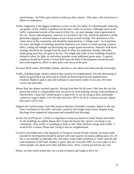speed bumps—let Police give tickets to help pay their salaries. Why does a fire truck have to follow an ambulance.

Traffic congestion is the biggest problems we have in the City today. It is detrimentally affecting our quality of life. Stalled in gridlock has become a daily occurrence. Although much of the traffic is generated outside of the control of the City, we must manage what is generated in the city. Future redevelopment, wherever it is located in the City, should be planned as traffic generation neutral or minimal impact as part of our overall strategy. Our downtown is the center piece of the community and should be maintained as a "village scale". As it had been for years, the height of buildings should be limited to two stories to avoid creating a canyon effect, cutting off sunlight and destroying our unique quaint downtown. Setbacks with street frontage should be far enough from the street to allow for pedestrian friendly sidewalks, landscaping and trees; all open to the sky. The length and width of new buildings should be limited to allow for light, air and where possible create additional green space. A special emphasis should be to protect Central Park from the kind of development around the park that could negatively affect its open space and views of the park.

No more Brick roads! Affordable utilities, and have a care about more than just the rich people.

- Traffic, building height, density-subjects that concern our neighborhood. Also the destroying of perfectly good black top street-just to install car destroying brick-has angered many residents. Baldwin park is and will continue to cause heavy traffic in our area. We need curves and sidewalks.
- Winter Park has almost reached capacity. Having lived here for 60 years I like how the city has grown but traffic is a big problem-also too much on street parking causing vision problems at intersections. I hope the Carlisle project is approved- its too far along to deny and people waited too long to object- Let's be open miracles- WP is for all it's citizens not just cliques that want it all its way.
- Support the Carlisle project and other projects that have favorable economic impact in the city. Find a resolution to the traffic and noise caused by the freight trains (many frequent long blockage from stopped/ok long teams and extended horn blowing)
- As the city of WP grows, I think it is important to keep two factors in mind: beauty and traffic. As the buildings are added, please don't forget the beauty that "green" can bring to our community. Also, traffic is something to keep in min. More business brings more traffic. I avoid I4 for a reason. Please don't bring it into my neighborhood.
- Growth is inevitable due to the popularity of living in Central Florida. Density increases made possible by development should be paired with road capacity increases (adding lanes, etc.) If this is not possible or desirable, this will either create traffic problems or "stunt" growth and redevelopment of WP land. Neither is good. How do I envision WP? As a nice place to live where people care about each other and their town. Slow, Careful growth has my vote.

Please- no more brick streets they are a waste of money and tough to drive on!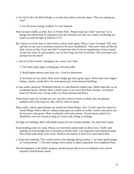- 1. Get rid of ALL the Brick Roads, or at least keep them in decent repair. They are ruining our cars!!
	- 2. Fix the power outage problem. It's too frequent.
- Way too much traffic on Pine Ave. in Winter Park. Please make our street "one-way" or redesign the intersection at Lakemont and Lake Howell such that cars cannot cut through our street to avoid the light at Palmer!!!!!!!!!!
- My vision is to never have to drive down a brick street again. What a waste of money! The wear and tear on our cars is enormous based on the poor installation!! Why aren't they all like the little section at New York and Holt? I would also love to see an equalization of taxes based on the true value of your property, not on how long you have lived here. The newcomers are paying way too much!
- 1. Get rid of brick streets- damaging cars, noisy, can't bike
	- 2. Too many stops signs; wasting gas, slowing traffic

3. Build higher density near Park Ave. Good for downtown

4. Set backs are too small, allow more height, get more green space. With Giant tress, higher homes, condos, would allow for more green area, from between buildings

- 4 Lane south Lakemont. Permanent Barrier to Lake Baldwin subdivision. Build sidewalks on all residential streets. Realize there is much more to our town than Park Avenue. Get School buses off Wood crest. 3 Lane traffic on Aloma during rush hours.
- Those brick roads are ruining our cars, and due to heavy trucks on them, they are getting potholes and in the long run, they will be costly to repair.
- More traffic control-speed bumps are needed on North Phelps. Also 15-mile zone for school on North Phelps. Police officers without radar guns are useless in traffic control. (all police cars do not have radar guns). More residential code enforcement. Vacant houses need to be identified; some are vacant as long as 3 years with selling or renting!

No high-rise building. More affordable homes for low-income families. No more brick roads.

- Keep building codes etc same. Please, no more brick streets built as these were. Traffic and parking are bad enough now in downtown Winter Park. I am opposed to development plans that would make these even worse. Preserve the beauty of Park Ave and Central Park.
- 1. Keep trees trimmed. This would result in less damage during storms. 2. no more speed bumps or "round abouts" 3. No more bumpy brick streets 4. Open Lakemont Ave at Baldwin Park.
- The development of the Holler property should not provide access to Fairbanks Ave, but be limited to North/South streets.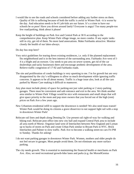- I would like to see the roads and schools considered before adding any further stress on them. Quality of life is suffering because of both the traffic is awful in Winter Park –it is worse by the day. And education needs to be #1 job-kids are our future. It's a crime to have our schools be so poor! Have you driven around lately? Everyone is angry! Too many people-too few road/parking, think about it please!
- Keep the height of buildings on Park Ave and Central Park at 30 ft according to the comprehensive plan. Keep Winter Park village image, no more condos. If any septic tanks still in city, get rid of them. No more land annexations. Make Fairbanks attractive. Monitor closely the health of our lakes-always.

Do day bus stop here?

- Very strict guidelines for tearing down existing residences, i.e. only if the planned replacement fits neighborhood and is in the best interest of the surrounding area. Fairbanks Ave west of I-4 is a blight and an eyesore. City needs to put area on sewer system, get rid of the car dealerships and tacky businesses there and encourage aesthetic development of the area. Relieve traffic congestion of 17-92 and Fairbanks roads.
- The site and proliferation of condo buildings is very upsetting to me. I'm for growth but am very disappointed by the city's willingness to allow so much development while ignoring traffic concerns. It appears to be all about money. Traffic is a huge issue also, look at all the cars parked by Manor Care making it difficult to maneuver.
- Any plan must include plenty of space for parking-not just valet parking or 2 story-parking garages. There must be convenient and safe entrance and exit to the area. We think another area similar to Winter Park Village would be nice with restaurants and small shops that will give space priority to the mom and pop store owners that you forced out of the high (rent) prices on Park Ave a few years ago.
- New Urbanism-residential infill to support the downtown is needed! We also need mass transit! Winter Park would be doing its citizens a grave disservice to not support light rail with a stop in downtown Winter Park!
- Relocate rail lines and depth along Denning Dr. Use present rail right-of-way for walking and biking trail. Relocate post office into new city hall and expand Central Park area to include all area north of Morse. Organize land west of Interlachen between New England and Lyman up to backs of stores on Park and create Urban Park similar to Bryant Park in NYC. Brick Interlachen and Palmer to slow traffic. Park Ave to become a walking street-no cars Fri PM to Sunday. Thanks for asking!
- I do not want parking garages in downtown Winter Park. Women, mothers and older people do not feel secure in garages. Most people avoid them. Do not eliminate any more surface parking.
- The city needs growth. This is essential to maintaining the financial health or merchants on Park Ave. Also, we need recreational growth-bike lanes and parks (e.g. the Morse0Genius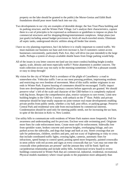property on the lake should be granted to the public) the Morse-Genius and Edith Bush foundations should pour more funds back into our city.

- Two developments in our city are examples of desirable design: the Sun Trust Plaza building and its parking structure, and the Winter Park Village. Let's analyze their characteristics, capture them in a set of principles to be expressed as ordinances or guidelines to impose on plans for commercial structures and for shopping/dining/entertainment complexes. Adopt plans (not just goals) including annual budget provisions to: brick all much-traveled streets. Eliminate all septic tanks, underground electric utilities along all feeder line streets.
- I have no city planning experience, but I do believe it is vitally important to control traffic. We must maintain our business tax base and even increase it, but if customers cannot access businesses conveniently, particularly Park Ave, they will drive (no pun intended) to the large malls. Perhaps a system of always available shuttle buses from fringe parking would help.
- All of the issues in you letter concern me-land use (no more condos) building height (condos again), scale, density and most especially traffic!! Noise abatement is another concern. The trash collection occurs way too early in the morning-sometimes 3:30! Not a pleasant sounds or easy to sleep through!
- My vision for the city of Winter Park is avoidance of the plight of Casselberry- a road to somewhere else. Vehicular traffic I see as our most pressing problem, imprisoning residents and restricting our own freedom of movement. Most of this traffic neither originates in nor ends in Winter Park. Express bussing of commuters should be encouraged. Traffic impact from new developments should be primary concern before approvals are granted. We should preserve what' s left of the scale and character of the CBD-before it is completely replaced with big boxes. Respect the comprehensive plan, restrict variances to rare events. Limit new building heights in the CBD to 3 stories, with setback on the  $3<sup>rd</sup>$  floor. Public and private enterprise should be kept totally separate-no joint-venture real estate developments enabling private profits from public needs, whether a city hall, post office, or parking garage. Preserve Central Park and residential west side from encroachment by commercial interests. Condemnation should be used only for meeting public needs, not for increasing the tax base, in spite of the decision in Kelo vs. New London.
- Use utility bills to communicate with residents of Winter Park matters more frequently. Poll for awareness and understanding and fro pro/cons. Enclose west side swimming pool. Originate more fines for code enforcement items. Create more staff for enforcement. Sidewalks free from sprinkler water, broken concrete and uneven heights, overhanging foliage, and cars parked across the sidewalks, and dogs that lunge and bark at you. Street crossings-that are safe for pedestrians, children, strollers and pets, and not scary of frightening or risky to cross; that include coordinated traffic lights, crossing lights, cameras, automatic fines for infractions, speed bumps to control speed, posting speed more frequently, painted crosswalks in neon yellow with red accents and signs at every crosswalk that sys "cars may not enter the crosswalk when pedestrians are present" and the amount they will be fined. Spell out car/pedestrian relationship and include utility bills. Architectural review board-to review buildings constructed in Winter Park that are commercial, industrial, residential, recreational. Physical models mandatory where visual speaks to the population more adequately than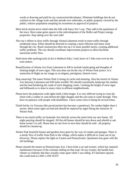words or drawing and paid for my construction/developers. Eliminate buildings that do not conform to the village scale and that intrude over sidewalks, or public property viewed by the public; enforce population sampling for awareness an approval of projects.

- More brick streets-never mind what the folk with fancy Suv's say. They add to the quaintness of the town. Have some green spaces in the redevelopment of the Holler and Project energy properties. Stop taking over the west side!
- The city's efforts to slow traffic through Aloma/Lakemont result in more traffic through residential areas. Effort should be directed to creating a more efficient and faster route through the city. Road construction often ties up 2 or more parallel streets, creating additional traffic problems. The city should coordinate improvement projects to allow/facilitate maximum traffic flow.
- Need more bike parking/racks (Like in Baldwin Pak). I only know of 1 bike rack over by the train station.
- Beautification of Aloma Ave from Lakemont to 436 to include landscaping and thoughts of limiting height of store signs. This area does not do the city of Winter Park justice. It is somewhat of blight on our image as an elegant, prestigious, historic town.
- Stop annexing! The name Winter Park is losing its cache and meaning. Also the stretch of Aloma Ave between Lakemont and 436 looks terrible! We should consistently landscape the median and the land bordering the roads of each shopping center. Limiting the height of store signs and billboards as is done in many cities in affluent neighborhoods.
- Please have the pedestrian walk lights hold a little longer. It is very difficult trying to cross the street with a walker or cane before the light changes and the cars start to come through. They have no patience with people with disabilities. I have come close to being hit several times.
- Finish bricks via Tuscany-(the paved portion has become a speedway). No condos higher than 4 stories. Most street signs are bad and should be replaced by signs fitting the character of Winter Park.
- There is too much traffic on Symonds Ave directly across the street from my new home. All night partying should be stopped. All the old homes should be torn down and rebuild or ask home owner's to sell. Home that no one lives in next door should be sold . all property should be cleaned up.
- Winter Park beautiful homes and gardens have gone by the way of condos and garages. There is a sturdy flow of traffic from Park to the village, which makes it difficult to come out of my driveway. Please replace the light on Canton and Pennsylvania. Quaintness has gone with the tall buildings.
- Please smooth the stones on Pennsylvania Ave. I have both a car and scooter, which has required maintenance because of the constant rattling on that road. On my scooter, the handle bars vibrate so violently that they actually came apart while I was riding. If I had been injured, this could lead to a BIG LAW SUIT!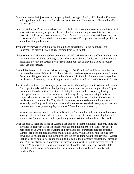- Growth is inevitable-it just needs to be appropriately managed. Frankly, I'd like what I've seen, although the magnitude of the Carlisle has been a concern. My question is "how will traffic be managed?"
- Subject: bricking of Pennsylvania/Lake Sue Dr. I had written to commissioners when this project was started without any response. I believe that the extreme roughness of this road is a disservice to the residents of southwest Winter Park who must use this arterial road to go to downtown Winter Park and other locations across town. Perhaps someone would speak to me about how it might be connected.
- Try not to overpower us with high-rise building and congestion. Do (no right turns) off Lakemont (so many) help all of us? (coming from Glen ridge)
- I hope Winter Park don't end up like downtown Orlando. The density and traffic is too high now. Limit the number of high buildings, that's what I mean about Orlando. What bothers me the most right now are the streets. Brick streets look good, but do they have to be so rough? I don't use those streets.
- I would like better traffic control. Most cars are going 50-55 mph on Lee Rd-the car noise has increased because of Winter Park Village. We also need more parks and green areas. I do not feel safe walking on sidewalks next to these busy roads. I would like more attention paid to residents-local interests, not just bringing tourists and visitors from outside Winter Park area.
- Traffic with resultant noise is a major problem affecting the quality of life in Winter Park. Aloma Ave is particularly bad! How about putting on some "quiet-residential neighborhood" signs that are used in other cities. The city could bring in a lot of added revenue by having the entire police enforce the noise ordinance that the city already has by writing tickets for people who play their car stereos with the volume cranked so loud it rattles the windows of residents who live in the city. They should have a permanent stake out on Aloma Ave especially b/w Phelps and Lakemont when traffic comes to a stand still everyday at noon and late afternoon to early evening. My vision for Winter Park is a quieter city.
- Hedges and landscaping doing cemetery on New York Ave. build bicycle and sidewalk paths to allow people to walk and ride safely and reduce auto usage. Require train to stop blowing whistle b/w 7 pm and 7 am. Build speed bumps on all Winter Park roads heavily traveled.
- Over the past 10 years the traffic on Aloma/Fairbanks has become ridiculous. The only thing the city does to deal with traffic is brick more roads and put up more stop signs. That doesn't help those of us who live off of Aloma and can't get out of our streets because of traffic. Winter Park does not need anymore multi-family units. With \$150,000 homes being torn down and \$1 million replacing them, I'm sure the city is doing with the tax revenues. Winter Park is a city of homes, not condo buildings that add to the downtown congestion. Fairbanks and 17-92 has always been a problem intersection and now they want to develop the Holler property? The quality of life is really going out of Winter Park. Someone, even the state, didn't do its job protecting us from the traffic coming out of east Orange County and Baldwin Park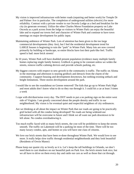- My vision is improved infrastructure with better roads (repairing and better work) for Temple Dr and Palmer Ave in particular. The completion of underground utilities (electric) for more reliability. Contract with a private vendor to run Osceola Lodge as a bed and breakfast for the city (to generate revenue). Utilize the other Charles Morse Foundation property on Lake Osceola as a park across from the lodge so visitors to Winter Park can enjoy the beautiful lake and to expand our towns feel and character of Winter Park and continue to have town meetings on major development for public input.
- Maintaining ambience of Winter Park. Lots of attention has been given to the too large commercial developments (they Are), but I feel the residential development trend for LARGE houses is beginning to ruin the "park" in Winter Park. Many lots are now covered primarily by building or hardscape, so entire blocks have lost their park-like feel. Traffic speed is bad: more brick streets!
- In 10 years, Winter Park will have doubled present population (evidence many multiple family homes replacing single family homes). Gridlock is going to be constant unless we widen the streets, remove traffic-calming devices and provide schools parking, etc.
- My biggest concern with respect to new growth in the community is traffic. The traffic on Aloma in the mornings and afternoon is nearing gridlock and detracts from the charm of the community. I support housing and development downtown, but nothing-existing setback and height limitations. Three stories development around the park.
- I would like to see the roundabout on Greene removed! The kids that go up to Winter Park High and most adults don't know what to do so they run through it. I could hit a car at least 3 times a week
- I cope with dirt/dust/noise every day. The DOT needs to put a no parking sign on the entire west side of Virginia. I am greatly concerned about the people density and traffic in our neighborhood. My vision is for eventual quiet and respectful neighbors of city ordinances.
- Are we thinking at all about the impact on Winter Park that our roads are going to be practically grid locked with all the condos being developed? No roads are being widened-our infrastructure will be overcome in future and I think we all want our park downtown to be left alone. No condos overshadowing it.
- Too much traffic faced with so many brick streets, the cost will be prohibitive to keep the streets smooth. The traffic on Lakemont will be a parking lot most of the time. There will be too many luxury condos, apts, and homes so you will have one class of citizens.
- We love our brick streets that have been re-done throughout Winter Park. We would love to see more. It really helps slow traffic through residential neighborhoods and they look beautiful! (Residents of Orwin Manor)
- Please keep our quaint city as lovely as it is. Let's keep the tall buildings in Orlando, we don't need them to cast shadows on our beautiful park on Park Ave. the brick streets look nice, but we all have to drive on them every day and rattle our cars as well as those that cut through.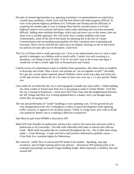- Decades of missed opportunities (e.g. ignoring consultant's recommendations on roads) have created many problems, which, even with the best efforts will make progress difficult. In view of the present highway problems (I-4, Fairbanks and Aloma) and the difficulty of acquiring the needed right of way to enlarge these heavily traveled routes to 6-8 lane highways need to serve present and future needs makes planning and execution extremely difficult. Adding more multiple dwellings, which only put more cars on the streets, does not seem to be a sensible approach. We will surely have a similar problem with water. Unfortunately, some (if not all) of the blame for planning lies at the feet of County Commissioners and surrounding municipalities for their consistent lack of planning and execution. Much can be said that the voters have not helped, insisting on one of the lowest tax policies (except sales tax) in the nation. Good luck!
- The City of Winter Park is really growing a lot. I love to see improvement, but it is such a rapid growth it endangers our children with so much traffic. Canton Ave early morning is a speedway, cars doing at least 45 mph. A lot of cars don't stop at the 4-way stop signs. I would love to have a traffic light back at Pennsylvania and Canton.
- Careful review of comprehensive plan to redefine those parameters, then show them to residents in drawings and words. Then a straw vote perhaps on "are we together on this?" Secondly, let's get our current streets repaired, please! Potholes, brick streets have dips and wash outs in NE side of town. Above all, let's fix what we have now over say a 1-2 year period. Thank you
- I just really do not think that the city is well equipped to handle any more traffic- I think building any more condos or homes near Park Ave is just going to make it Closter Phobic. I feel like the city is losing its hometown – small town feel! Also I hate that the neighborhood between the WP village and Park Ave is being depleted-that is a shame- have you thought about where they are going to go!
- The site and proliferation of "condo" buildings is very upsetting t me. I'm for growth but am very disappointed at the city's willingness to allow so much development while ignoring traffic concerns. It appears to be all about money. Traffic is a huge issue, also, look at all the cars parked by Manor care it is making it difficult to maneuver!

Safe Bicycle path from WPMH to downtown WP.

- Make WP truly friendly for pedestrians and bicyclist.-enforce the statue that motorists yield to pedestrians in all crosswalks. –Provide wide sidewalks both sides of arterial and collector roads. –Built multi use paths that are connected throughout the city. –Put in bike lanes along roads ---3 lane Denning. –Create and find a staff position dedicated to ped/bike issues. – Close Park Ave. weekend nights for Pedestrians.
- My concerns: -traffic flow in and around WP needs to be studied. –Speeding, stop sign avoidance, and red light running need to be policed. – Downtown WP parking needs to be evaluated and perhaps increased. Forget building height. More important is mobility into and around WP.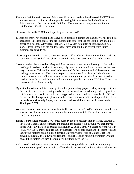There is a definite traffic issue on Fairbanks/ Aloma that needs to be addressed. I NEVER see any cop issuing citations to all the people making left turns over the double lines on Fairbanks which then causes traffic build up. Also there are so many speeders ion my neighborhood Kenilworth shores.

Slowdown the traffic! TOO much speeding in our town WP!!

- 1. Traffic is crazy. My husband and I have been passed on palmer and Phelps. WP needs to be a speed trap. Purchase state of the art equipment to enforce the speed limit. More of a police presence is needed. WP village, Park Ave., etc. 2. Max height for buildings should be 2 stories- let the impact of the residences that have been built take effect before future buildings are considered.
- Please stop the growth. No more variances. Stop Traffic---close Lakemont at Baldwin Park. Do not widen roads. Stall al new plans; no growth. Only small boats on lakes (6 hp or less)
- Buses should not be allowed on Maryland Ave.- street is to narrow and buses go to fast. With parking allowed on one side of the street, only one at a time can fit and this makes the street very dangerous. Yellow lines need to be extended further from the end of the street and no parking zones enforced. Also, some no parking areas should be place periodically down street to allow cars to pull over when cars are coming in the opposite direction. Speeding needs to be enforced on Maryland and Huntington- people cut corners TOO fast. There have been several accidents recently.
- My vision for Winter Park is primarily aimed for public safety projects. Many of us pedestrians face traffic concerns i.e. crossing roads such as Lee road safely. Although, with regard to a petition for a crosswalk on Lee Road, I suggested/ requested safety crosswalk, the DOT of Deland has finally agreed to place one at Lee Road eastbound-with much appreciation from us residents at (formerly Legacy apts) –now condos-additional crosswalks were needed. Thank you DOT!
- We must constantly consider the impacts of traffic. Aloma through WP is ridiculous-people drive way too fast. This is a residential neighborhood not an interstate. Fairbanks is a narrow, dangerous nightmare.
- Traffic is our biggest problem-77% (cities number) are non-resident though traffic. Solution 1. Put traffic lights at all cross streets and make it impossible to go through WP then maybe traffic will really have to go around us. Solution 2. Build 6 lane, No access rd from NE WP to SW WP- Local traffic can use their own streets. The people causing the problem will get their own problems back. Solution 3extend University Boulevard to 6 lanes West to the bicycle Path run S. to Baldwin Park(cit limit) and let Orlando handle the problem Orlando caused the problem we care it through WP Let them have the rest!
- Barker Road needs speed bumps to avoid tragedy. During rush hour speedsters do not pay attention to the speed limit. A police officer should be assigned to that road to catch violators.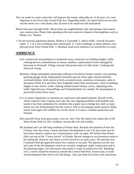- The city needs to create a plan that will improve the streets, sidewalks etc of all areas. It is very important to not focus only around Park Ave. Regarding traffic, the speed limits are too slow and the streets are a real shame, they all need to be improved and maintained.
- Please limit pass through traffic. Please keep our neighborhoods safe with perhaps more patrol cars, motorcycles. Please limit speeding with more attractive islands in thoroughfares such as Phelps Ave. Thanks!
- 1. Do not increase population density. Reduce it if possible 2. reduce traffic. Growth increases traffic 3. 1 or 2 story buildings near central park. 4. 3 story buildings w/ deep setbacks, max allowed away from Central Park. 5. Maintain small town ambience we moved here to enjoy

# **AMBIENCE**

- Less commercial encroachment in residential areas, restriction on building heights, traffic calming devices, beautification of streets, medians, replacement of trees damaged by hurricane in Westside. Village concept with preservation of older home. Underground electrical wiring.
- Maintain village atmosphere-promoting walking to downtown farmers market, easy parking (parking garage-nicely landscaped) consistent upscale street signs, buried minimize overhead utilities, brick streets or brick accented streets, numerous restaurants, cafes in downtown (Park Ave and West New England), better Park maintenance, limit of building heights to four stories, traffic calming needed around Aloma curves, replanting trees, traffic light between Aloma/Phelps and Fairbanks/Park Ave needed. No development in preserved Genius Drive areas
- It is of utmost importance to maintain our waterways and natural habitats. Howell Creek, which connects Lake Virginia and Lake Sue, has ongoing problems with hydrella and weeds it has been understood by residents that a grant was to dredge the creek as many streets are now being drained into the creek as well as not keeping weeds sprayed. Many nature land eagles and wildlife live on the island. It is most a valuable possession and treasure.
- Slow growth! Keep more green grass, tress etc. don't lose the small town charm that is left. Keep Winter Park for ALL residents, not just the rich and wealthy.
- My husband and I are life long residents of Winter Park. Recently the question of how the Citizens view the recent, current and future development in our City has arisen and we have been asked to contact our Commissioners with our input. We believe that Winter Park was one of the "Crown Jewels" in Florida. Recent changes to our downtown seem to be ruining the character and charm we have loved for so many years. We question how Commuter Rail got approved much less a station in our park. We question too the size and scale of the developments which are recently completed, under construction and in the planning stages. Our Downtown area needs to retain its small town feel. Buildings over 2 stories should be limited to outside the Central Park/Park Avenue area. Growth and development don't have to be bad things - they just need to be done with conscience.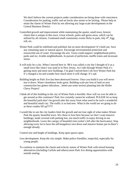We don't believe the current projects under consideration are being done with conscience. Consideration for parking, traffic and set backs also seems to be lacking. Please help us retain the charm of Winter Park by not allowing any large-scale developments in the Central Business District.

- Controlled growth and improvement while maintaining the quaint, small town, historic charm that is unique to this town. Great schools, parks and green areas, which can be utilized by all citizens. Continued small community events flicks in park, July  $4<sup>th</sup>$ , Egg roll, etc.
- Winter Park could be redefined and polished, but no more development! It's built-out. Save any remaining open or natural spaces. Encourage environmental protection and resourceful use of water. Encourage the arts. Taxes could support: neighborhood police, parks and rec, livable neighborhoods. In pursuit of perfection, muffle trains and incessant sirens.
- It will truly be a city. When I moved here in '88 it was called a city but I thought of it as a small town like what I was used to in New Jersey. As I ride through Winter Park it's getting more and more new buildings. I'm glad I moved here-I do love Winter Park but it's changed a lot and wonder how much more it will change. It's sad.
- Building height on Park Ave has been destroyed forever. Once you build it you will never tear it down. Water cleanliness looks great. Building scale per foot of land on new construction has gotten ridiculous…better put some serious planning into the Holler Chevy Project!
- I think all of this building in the city of Winter Park is horrible. How will we ever be able to get around as this continues? Park Ave certainly cannot be widened. PLEASE let us keep the beautiful park-don't let growth take this away from what used to be such a wonderful and beautiful small city. The traffic is so bad now. What in the world are we going to do as these condos fill up?????
- I would like to see the city leaders limit the growth and not lose sight of what makes Winter Park the quaint, beautiful town. We chose to love here because we don't want massive buildings, lands covered with parking lots, too much traffic to enjoy driving in our neighborhoods. Leave the canopy of beautiful trees (what's left after the hurricanes). Stop allowing every lot to have the old bungalows torn down and massive homes put in-there's enough already.

Control size and height of buildings. Keep open spaces open.

- Less development. Keep the city simple. Make police friendlier, respectful, especially for young people.
- To continue to maintain the charm and eclectic nature of Winter Park with mixed housing alternatives (including Carlisle and others) more Park Ave dining opportunities-with outside seating.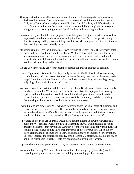- The city maintains its small town atmosphere. Another parking garage is badly needed for Park Ave businesses. Open spaces need to be preserved. Add 4 more tennis courts at Cady Way Tennis Center and practice walk. Keep Mead Gardens, wildlife friendly and catch feral cats and neuter them. Stop putting poison to kill certain plants as poison is going into the streams going through Mead Gardens and spreading into lakes.
- I envision a city of about the same population, with improved major road arteries as well as improved ground transportation-such as a light rail station. The recent growth in high density housing and high story buildings is a bit overwhelming and threatens to diminish the charming town we currently have!
- My vision is to preserve the quaint, small town feelings of Winter Park. The greenery, small roads and variety of homes add to its charm. My biggest fear and concern is for traffic and congestion especially in the downtown area. I don't see large condos and retail projects a benefit. I think strict restrictions on size, height, and density are needed to keep Winter Park appealing and beautiful.

We are 90 years old and deplore the changes-control the growth as much as possible.

- I am a 4<sup>th</sup> generation Winter Parker. My family arrived in 1887! I love brick streets, trees, stately homes, and clean lakes! We need to attract the very best new residents-we need to keep Winter Park unique! Reduce traffic. I endorse responsible growth, not big, boxy, ugly blogs-those with character and charm.
- We do not want to see Winter Park become the next Palm Beach- an exclusive enclave only for the very wealthy. We believe there needs to be a diversity in population, housing options and retail operations. We feel that a lot of development has been allowed to proceed at the expense of the poorer residents of this community, and that a privileged few developers have been allowed to overdevelop some areas.
- I would like to see progress in WP, which is in keeping with the small scale of buildings and charm preserved. I think the post office should be updated and preserved as a mi-century modern building-just as Palm Springs has done. Landscaping and architectural accents would be all that is need. We voted for David Strong and want citizen input!
- If I wanted to live in an urban area, I would have bought a home in downtown Orlando. I moved to WP because I wanted to live in a charming town. I would encourage you to preserve ordinances that have made WP such a wonderful place and apply them justly. If you are going to have zoning laws, then they must apply to everybody. When the city starts granting major exemptions to a few and not all, that's an invitation for corruption. So, don't increase the residential density, limit height to 2-3 stories, maintain open space, and keep reasonable setbacks. Traffic is bad enough, don't make it worse.
- A place where more people can live, work, and entertain in and around downtown area.
- We would like to keep WP more like a town and less like a big city. (Downsize) We like charming and quaint a place where the buildings are not bigger than the trees.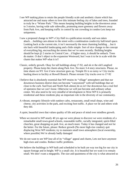- I see WP making plans to retain the people friendly scale and aesthetic charm which has attracted me and many others to love this intimate feeling city of lakes and trees, founded to truly be a "Winter Park." This means keeping building heights in the downtown areas to 3 stories, having wide safe sidewalks, promoting more greenery and flowers away from Park Ave, and keeping traffic in control by not crowding in condos-Lets keep our uniqueness.
- I saw a proposed change to WP's City Hall in a publication recently and was taken aback….building cam almost to the street with a combination condo/city hall/retail space. Looking back at the current site, it isn't necessarily the most charming building …but it sits back with beautiful landscaping and a little simple. Sort of nice change to the concept of everything big, encroaching the streets that we've seen recently. Building heights should be kept @ 2 stories in Central Core…if higher story, it should be setback. Trees do matter. O don't object to the expansion Westward, but I wan it to be in scale with the charm that makes WP what it is!!
- Classic, orderly growth. Okay for tall buildings along 17-92, and ok re the old Langford property. Please keep the charm along Park Ave. No more 3-4 story structures. Please, no time shares on NY Ave if new structure goes up. Temple Dr is so noisy w/ City trucks hauling down to facility at Howell Branch. Please reroute City trucks over to 17-92
- I believe that is absolutely essential that WP retains its "village" atmosphere and that our downtown business district does not become "canyonized" with tall buildings that set close to the curb. SunTrust and North Park almost do us in! Our downtown has a real feel of openness that we can't loose. Otherwise we will just become and ordinary urban center. We also need to be very mindful of development in West WP It is primarily residential and these residents play an important role in the diversity of our community.
- A vibrant, energetic lifestyle with outdoor cafes, restaurants, small retail shops, wine and cheese, city activities in the park, and exciting foot traffic. A place we lie and others wish they did.
- A quiet, beautiful town that values quality of life and peace of mind over mindless growth.
- When we moved to WP nearly 40 yrs ago we were please to discover we were residents of a remarkable small town-good schools, reasonable traffic, racially integrated, spirit-filled churches, great shopping on park Ave, an much more. Today it has changed and not for the better. For the future, please: Reduce growth (No more high-rise condos); quit displacing West WP residents; try to maintain small town atmosphere (local ownership, where possible) We're already badly damaged
- We do not want to see WP lose all of its "village" appeal and charm, Lets not have anymore high-rises and condos. Reduce traffic problems.
- We believe the buildings in WP built and scheduled to be built are way too big for our city in square footage and in height. WP is a small city. It is beautiful but we want it to remain small. We don't want a megapolis. The size and quaintness of the city is what attracted us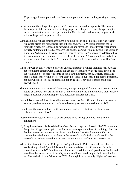50 years ago. Please, please do not destroy our park with huge condos, parking garages, etc.

- Preservation of the village atmosphere in WP downtown should be a priority. The scale of the new project detracts from the existing properties. I hope the recent changes adopted by the commission, which have permitted the Carlisle and Landmark top propose such hideous, large buildings be repealed.
- WP has a unique village atmosphere; here is nothing like in all of Florida. It is "the reason" real estate prices are rising faster than I the tri-county area. We must maintain the 30' limits strict setbacks landscaping between bldg and street and lots of trees!! After seeing the ugly building on the old Jacobson's site and the coming Douglas Grand, it is a must to pursue an Architectural Review Board no more of these. Don't canyonize WP Keep it as it is with tasteful development. Keep the old scale for new 2-3 story buildings and allow no more than 2 stories on Park Ave Hannibal Square is looking good no more Douglas Grand.
- When WP was begun, it was to be a "city unique, different" a village look and feel. A place not to be homogenized with Orlando-bigger, taller, less history, destruction. If we keep the "village look" people will come-to stroll thru the streets, parks, arcades, cafes, and shops. Because they will be "slower paced" no "stressed out" feel- but a relaxed peaceful, not overwhelmed feel, tall buildings do not bring this! They add to stress and being overwhelmed.
- That the comp plan be an enforced document, not a planning tool for guidance. Retain quaint nature of WP w/o new urbanism- that's fine for Orlando and Baldwin Park. Transparency in gov't dealings with developers. Architectural standards for CBD.
- I would like to see WP keep its small town feel. Keep the Post office and library in a central location, so they become and continue to be easily accessible to residents of WP.
- Do not want the area developed with apartments/ condos over 3 stories as they do not enhance the charm of WP.
- Preserve the character of Park Ave where people came to shop and dine in this kind of atmosphere.
- Hi, Sorry I must have misplaced the Post Card. Pease accept this. I would like WP to remain the quaint village I grew up in. I am for more green space and less big buildings. I realize that businesses are important but please limit them to 2 stories downtown. Please consider how the long time residents of the Westside would feel. I would not like the Westside turned into some huge business center and the residents get squeezed out.
- When I transferred to Rollins College in 1947, graduated in 1949, I never dreamt that the lovely village of WP (pop.5000) would become a crisis center 50 yrs later. Back then, I pursued a career in NY for a few years I returned to WP for a staff position at Rollins and have lived here ever since . After 45 years of retail merchandising on Park Ave, I retired in 1994, and still live in "downtown" WP. Although I lie in the only "high-rise" condos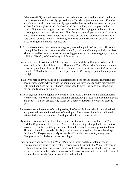(Wenterset/1971) its small compared to the under construction and proposed condos in our downtown area. I am totally opposed to the Carlisle project and the one at Knowles and Canton as well as the ones already approved by the city and under construction, such as Douglas Grand (Morse and New York) and the Langford, which appears to be at a stand still. I welcome progress, but not to the extent of destroying the ambience of our charming downtown area. Please don't allow the greedy developers to ruin Park Ave. as well. The new comers won't know the difference but we who have cherished WP as a very special place to live, will never forgive the city commissioners for allowing such drastic changes in our much admired city.

- As I do understand that improvements are greatly needed in public offices, post offices and zoning, I feel it can be done in a smaller scale. My vision is efficiency with simple class. Money should be spent on personnel answering phones and not on some gaudy, oversized building. Like City of Ocoee's city hall for example.
- Low density-use old Winter Park 50 years ago as a standard. Keep European village scale, small buildings kept back from street. Develop a Winter Park parking code-current code is not adequate for # of spaces RQD in restaurants, theaters, etc-need stricter! Residents come first! Merchants come 2<sup>nd</sup>! Developers come last! Quality of public buildings must be high.
- I have lived here all my life and do not understand the need for any condos. The traffic has become unbearable, why increase the population? We have already added many homes with Wind Song and now new homes will be added where Glenridge once stood. How can our roads handle any more?
- 37 years ago our family bought a new home on Palm Ave. Our children and grandchildren were blessed with Winter Park and Maitland schools, the past leadership from the mayors and depts. If it's not broken, why fix it? Let's keep Winter Park a wonderful place to live.
- A no-exception enforcement of existing codes, the Central Park area should be maintained and protected from the impediment of developers. The preservation of the traditional Winter Park must be continued. Developers should not control our city.
- My vision of Winter Park for the future remains mostly static. I have lived here in Winter Park for 48 years and I love Winter Park as is! I know things change but I don't believe massive huge outsize buildings are either desirable or any fit in my hopes of the future. The current trend seems to be that Big is the answer to everything! Houses, buildings, furniture, SUR's-you name it. My answer is NO! quality over quantity every time! Change can be for the better rather than bigger.
- I was born here and have lived in Winter Park for 47 years and the development and construction I see saddens me greatly. Tearing down the quaint little Winter retreats and replacing them with Mcmansions is progress, I guess? Downtown Orlando, with an eye on historical preservation is both attractive and classic. Winter Park, the so-called "city of gracious living" is a big time sellout to the highest bidder.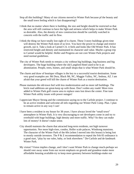- Stop all this building!! Many of our citizens moved to Winter Park because pf the beauty and the small town feeling which is fast disappearing!!
- I think that no matter where there is building, the size and height should be restricted so that the area will still continue to have the light and airiness which helps to make Winter Park so desirable. Also, the density of new construction should be carefully watched in concerts with the traffic and its flow.
- I think the thing we have totally lost sight of is charm. These 3-story buildings given time will destroy the Winter Park most of us love. You have the power to change and restrict growth, use it. Take a look at Carmel CA. it feels and looks like Old Winter Park. It has restricted height and density and maintained its character and value. Maybe a group trip to Carmel would be helpful. Holler and Progress are not core Winter Park projects and need normal guidelines.
- The city of Winter Park needs to remain a city without big buildings, bug business and big developers. The huge building where the old Langford Hotel used to be is an abomination. People, trees, homes, and small shops-that is what Winter Park should be.
- The charm and draw of boutique villages is the key to a successful tourist destination. Some very good examples are: Mt Dora, Black Mt, NC, Maggie Valley, NC, Sedona, AZ. I am afraid that your greed will kill the charm of Winter Park as a tourist destination.
- Please maintain the old-town feel with less modernization and no more tall buildings. The brick road additions are great-keep up with those. Don't widen any roads! More tress added to Winter Park golf course area to replace ones lost down the center. Fine tune Winter Park utility issues with power outages!
- I appreciate Mayor Strong and the commission saying no to the Carlisle project. I continue to be an active resident and welcome all info regarding our Winter Park Comp. Plan. I plan to remain active in any way I can!
- I have been a resident in my house for 38 years. I have always loved the "small town" atmosphere in Winter Park. It is very discouraging to see developers come in and try to overbuild with huge buildings, high density and more traffic. Why? So they can make lots of money! It doesn't make sense.
- City should maintain the charm that attracted long-term residents, not high turnover opportunists. Nor more high-rises, condos, Holler scale palaces, Windsong mansions. The character of the Winter Park of the 60s (when I moved into this house) is being lost to mostly outside investors. The  $P \& Z$  recommendation to repeal the Feb 05 ordinance is a good start, "play by our rules, baby, or look elsewhere." De-Carlisle and de-landmark Winter Park.
- My vision? Vision implies change, and I don't want Winter Park to change much-perhaps we should veer away some from our recent emphasis on growth and grandeur-make more affordable housing available-try to keep more greenery between buildings-make our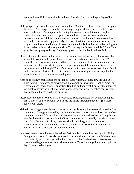many and beautiful lakes available to those of us who don't have the privilege of living on them.

- Make progress but keep the same trademark values. Maintain a balance-we need to keep up the Winter Park image of beautiful trees, unique neighborhoods. I even think the brick streets add charm. But keep from becoming too commercialized, too much asphalt parking lots, etc. Some change is good. I would have to say that some of the old, rundown homes which have been torn down to make room for small condo complexes has resulted in attractive upgrades. My old town of Winter Haven did not see a need for progress, and has resulted in the old areas near the schools, hospital, etc in becoming run down, undesirable and almost ghetto-like. Try to keep traffic controlled, let Winter Park grow, but stay pretty and cozy. I'm always proud to say we live in Winter Park.
- Plans that honor the wants and needs of the institutions and individuals that have contributed so much to Winter Park's growth and development and culture over the years. Wellcontrolled, high value residential and business developments that does not outplace the infrastructure that supports it (eg water, power, sanitation, telecommunications, etc) Local routes in and through Winter Park that do not become major east/west north/south routes in Central Florida. Plans that encompass set areas for green spaces equal to the space devoted to development/redevelopment.
- Keep politics down-make decisions fair for all! Really listen. Do not allow the Enzian to build in town. Stop favoring construction that complicates parking! (Bank of America renovation and recent Morse Foundation Building on Park Ave). Consider the impact of too much construction all at once-noise, congestion, traffic snarls. Police construction that spills into the streets during business.
- Please leave the face of Winter Park the way it is. Buildings should not be allowed higher than 2 stories, and we certainly don't need the traffic that taller structures (i.e. more people) will create
- Maintain the village atmosphere that has attracted residents and businesses alike to this fine community. Change is inevitable, but I do not believe it must come at the expense of our community values. We can allow and even encourage new and modern buildings but it must be done within reasonable guidelines that are part of a carefully considered master plan. Once the plan is in place, variances should only be granted when unusual circumstances exist or unintended hardships would result. We citizens count on our elected officials to represent us, not the developers.
- I am no different than all other older Winter Park people. I do not like the big tall buildings. Being a shop owner, I also wish you would consider timing construction. We have been surrounded by massive construction for 4 years. It is hard in business to have street closings and big cement trucks let alone the noise. Those buildings don't jump up in one day. It usually takes a year.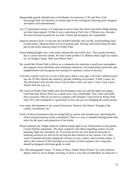- Responsible growth. Beatification of Fairbanks Ave between 17-92 and New York. Encourage Park Ave business to remain open in the evening by attracting more shoppers and diners with entertainment.
- As a  $3<sup>rd</sup>$  generation citizen, it is important to me to retain the charm and small village feeling we have long enjoyed. I'd like to see a soda shop pr Park Ave. O'Brians was a favorite. We have become too posh for my taste. Charm and prosperity are comparable.
- Improve entrance from I-4 into the city on both Fairbanks and Lee Rd. avoid building close to train tracks. Maintain Park Ave in its present state. Having code enforcement do their job on the newly annexed areas of Winter Park.
- Keep building heights low, scale small, density thin and traffic slow. This sounds frivolous but it is most sincerely meant. We don't need another I-4, Millenia Mall, high rise condos etc. in Orange County. Why ruin Winter Park?
- We would like Winter Park to thrive as a community but maintain a small town atmosphere that supports local merchants and community endeavors. Increased police protection and neighborhood watch programs are essential to maintain a sense of security.
- You have a perfect town as it is (or at least up to about a year ago. I am from California and I saw the SF Bay blitzed and ruined by growth; building everywhere. Traffic a mess, etc. The developers will ruin this town if you let them. Once you start, it won't stop. Leave Winter Park the way it is.
- My vision of Winter Park ended when the developers took over and the high-rises began. Until that time Winter Park was a small town, very comfortable. Now crime and traffic have increased. Why do we have to compete with Orlando? I have lived in Winter Park since 1971 and considered it a great place to live, but you are changing the whole picture.
- Less major development in our central downtown. Preserve the charm!! Enough of the condos, townhouses, etc.
- Fewer of these mcmansions that are being built on narrow lots around town, destroying the charm and graciousness of the community! There is a way to remodel existing homes that more fits the space and proportion of the whole.
- Please maintain our village character without losing sight of our role/presence un the greater Central Florida community. We must cooperate with others regarding matters of road planning, light rail, education, etc. If we look out for our own interests the point of isolating ourselves we will not be serving the best interests of our citizens. Let's also work to maintain diversity among the citizenry in race, culture, and economic status. It adds to the richness of life and helps us to protect us from isolation. Our comp plan should be designed with these goals in mind.
- The 1992 photographic essay, "A Sense of Place, Winter Park, Florida" by Clark Schreyer depicts what we are in danger of losing. A town is very like an individual, its character is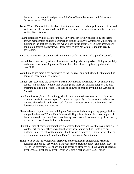the result of its own will and purpose. Like Vero Beach, let us use our 2 follies as a format for what NOT to do.

- To see Winter Park look like the days of yester year. You have damaged so much of that old look now, so please do not add to it. Don't ever move the train station and keep the park looking like it is now.
- Having resided in Winter Park for the past 39 years I am terribly saddened by the insane growth management policies, construction around Park Ave, Central Park, the proposed building in the post office site. Etc. we will see traffic at its worst in these areas, more population growth in downtown. Please save Winter Park, stop selling it to greedy developers.

Keep the unique look of Winter Park. Height and scale important to keep under control.

- I would like to see the city stick with some strict rulings about high-rise buildings-especially in the downtown shopping area of Winter Park. Let's keep it updated, quaint and beautiful!
- Would like to see more areas designated for parks, trees, bike path etc. rather than building homes or more commercial centers.
- Winter Park, especially the downtown area is very historic and should not be changed. No condos (tall or short), no tall office buildings. No more tall parking garages. The area is charming as it is. No developers should be allowed to change anything. No Carlisle on NY Ave!
- I think the historic, low scale buildings should be maintained. More needs to be done to provide affordable business space for minority, especially, African American business owners. There should be land set aside for multi-purpose use that can be owned and developed by African Americans.
- Please reface or repaint the new building on Park Ave with the new parking garage. It does not get the theme of Winter Park, it's too tall. Upgrade all Winter Park road signs with the nice wrought iron one. Plant trees the city takes down. I lost 4 and it ups from the city taking turn down. I have had no replacement.
- I think that they already commercialized and glitzed Park Ave and now the post office site. In Winter Park the post office was a familiar site now they're putting it into a co-op building. Puhleeze follow the money. I think we were in need of 2 story (affordable) coops for a long time near Central and Park Ave, not on it. Keep it simple.
- The historic beauty of Winter Park preserved and continued in building and restoring buildings and parks. I see Winter Park with many beautiful outdoor and indoor places as well as the convenience of shops and businesses so close by. We have young children so great schools, great parks, great recreation is also a part of our vision. Thanks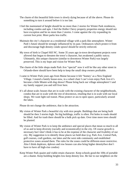- The charm of this beautiful little town is slowly dying because of all the above. Please do something to turn it around before it is too late.
- I feel the maintained of height should be no more than 2 stories for Winter Park residences, including condos and apts. I feel the Holler Chevy property properties energy should not have exception and be no more than 2 stories. I come against the city expanding its current foot print. More parks less traffic.
- Maintain the city's character as a residential village with a park-like atmosphere. Winter Park's future should be strongly influenced by its past. Ordinances which protect it from and discourage high density condo sprawl should be strictly enforced.
- My town of birth is Chapel Hill NC. Some 35 years ago in-town development projects were allowed that began to threaten the town's character, but awakened a public outcry. Ultimately, this unique character (similar to downtown Winter Park) was largely preserved. This is my hope and vision for Winter Park.
- The charm of the little shops made Park Ave "special" now it will be like any other street in Orlando-there should have been help to keep the small shop owners profitable.
- I came to Winter Park years ago from Maine because it felt "homey' as a New England Village. I reared a family house-now, in a wheel chair I can't even enjoy Park Ave-it's become a little Miami-with dog shows! Please bring back our village atmosphere! I and my family support you and still liver here.
- It's all about scale; houses that are in scale with the existing character of the neighborhoods, condos that are in scale with the rest of downtown, retailing that is in scale with our local shops. We want light rail transit. Pleas protect or ass to open space, particularly around the lakes.

Please do not change the ambience, that is the attraction.

- My vision of Winter Park a beautiful city with nice people. Buildings that are being built should be then 3 stories high. No big buildings, traffic is often. Pot holes in roads should be filled. And for trash there should be a bulk pick up date. Over time more trees should be planted.
- My vision of Winter Park is to keep the ambience and special places that mean so much to all of us and to keep diversity (racially and economically) in the city. Of course growth is necessary but I don't think it has to be at the expense of the character and livability of our city. My suggestion is to identify those places we hold dear (e.g. Park Ave, Central Park, golf courses, craft gardens, our lakes and the west side community and established protective zones around them. The rules for the zones could be different-more restrictive. Also I think duplexes, 4plexes and row houses can also bring higher density0we don't have to have all high-rise condos)
- Keep Winter Park quaint and viable-retain character. Keep schools good-the 100s of portable are a shame. Keep building heights low-keep density low. Be fair to our neighbors on the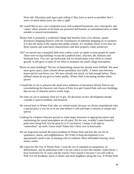West side. Maximize park space-quit selling it! Buy back as much as possible! Don't worry so much about taxes, do what is right!

- We would like to see a nice residential town with scattered businesses, not a metropolis, and a place where animals of all kinds are protected and housed, as remembered alive to other suitable or natural environments.
- Winter Park is primarily a residential village that benefits from a low density, quaint downtown shopping districts with the convenience of suburban shopping on its outskirts. It is also the home to the regions best public schools. It's residents chose to live here for these reasons and want those characteristics and their property values preserved.
- 1957 we moved into a beautiful little town within a year we spoke to most people by name. There were no big buildings except the Landford hotel, churches, the Alabama and Seminole Inns. You can't go backwards, but we should make every effort to control growth. It will grow in spite of our effort to maintain our small village atmosphere.
- Please no more building!! The law of diminishing returns has already been fulfilled. We need more green space, more schools (fewer portables), less traffic. A better ratio between house and lot size-fewer cars. We have already lost much, we had enough before. These inflated values do not give us better quality. Winter Park is becoming another urban sprawl.
- I would like to city to preserve the small town ambience of downtown Winter Park by not overwhelming the character and charm of Park Ave and Central Park with over buildings, that are out of character and/or overly large.
- Do what we can to maintain what we've got. All decisions on new development should consider 2 aspects-aesthetic and financial.
- We moved back to Winter Park after we retired-mainly because we always remembered what a special place it was for us in our time before-I wish and hope it remains as unique and special.
- Looking for a balance between growth in some larger structures in appropriate places and maintaining the casual atmosphere we all enjoy. By the way, wouldn't some beautiful palm trees along Park Ave be great (it is Fl you know). Canopy is all right in "somewhere" up north. Guess what? Palms don't blow over in hurricanes.
- We are long-term (around 40 years) residents of Winter Park and love the city for its quaintness, charm, and neighborliness. We'd like to keep development to an appropriately small scale, in keeping with its tradition. More affordable housing; favor starter castles.
- My vision for the City of Winter Park: I want the city to maintain its uniqueness, its differentness, and its pedestrian scale! I do not want it to turn into another condo haven. I have lived here for 35 years and the reason I have stayed is because I can still walk to Park Ave for breakfast, lunch or dinner and meet neighbors along the way. If Winter Park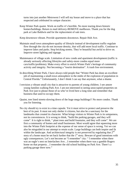turns into just another Metrowest I will sell my house and move to a place that has respected and celebrated its unique character.

Keep Winter Park quaint. Work on traffic-it's horrible. No more tearing down historic homes/buildings. Return to mail delivery-REMOVE mailboxes. Thank you for the dog park at Lake Baldwin and for the replacement of oak trees.

Keep downtown vibrant. Provide apartments downtown. Repair Holt Ave.

- Maintain small town atmosphere-quality of lifestyle instead of development traffic-regulate flow through the city-do not increase density, that will add more local traffic. Continue to improve lakes and parks. Stop bricking streets. They're beautiful but awful to drive on. Improve street lighting and signage.
- Maintenance of village scale. Limitation of new condo and apartment development (traffic is already seriously affecting lifestyles and safety-more condos equal more cars/traffic/problems). Make every effort to enrich Winter Park's heritage of community activity and integrity. Not becoming a "tourist destination". A trash free environment.
- In describing Winter Park, I have always told people that "Winter Park has done an excellent job of maintaining a small-town atmosphere in the midst of the explosion of population in Central Florida." Unfortunately, I don't think I can say that anymore, what a shame.
- I envision a vibrant small city that is attractive to parents of young children. I see amore young families walking Park Ave. I am not interested in seeing unoccupied properties on Park Ave just to please those of us who've lived here a long time and remember that business that used to occupy them.
- Quaint, tree lined streets-slowing down of the huge mega buildings!! No more condos. Thank you for listening.
- No city should try to exist in a time capsule. Yet it must strive to protect and preserve the best of its past. It must not only shelter it citizens, but also be a sanctuary for the landmarks that created its character. What brings visitors to Winter Park is its uniqueness, not its conveniences. It is wrong to think, "build the parking garages, and they will come". It is right to think, " plant trees and build fountains, and they will come". We are first a community of homes and small businesses. Most would agree that squeezing more into the Winter Park footprint at the expense of our sense of space is wrong. Yet we can also be misguided in our attempt to retain scale. Large buildings can both inspire and fit within the landscape. And architectural integrity is not preserved by regulating that  $2<sup>nd</sup>$ story of a home must be set back further that the  $1<sup>st</sup>$  story. Beware of good intentions with ugly consequences. Let's not become an "I remember" city: " I remember when there was an eagle's nest on Interlachen Ave…I remember when there was a gamble Rogers home on that property...I remember the old school building on Park Ave. There's a parking garage there now."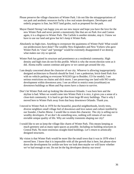- Please preserve the village characters of Winter Park. I do not like the misappropriations of our park and aesthetic resources for/by a few real estate developers. Developers and orderly progress is fine, but NOT land groles, such as proposed for the park.
- Mayor Daniel Strong I am happy you are our new mayor and hope you have the love for the new Winter Park and never permit a monstrosity like that are on Park Ave and Canton again, it is a disgrace to Winter Park. The Carlisle is another mistake, stop it. I know we have to use our land and grow but let's keep it Winter Park.
- Absolutely no high-rises. Anything to overpower the quaintness of Winter Park! What would our predecessors have done? The wealthy New-Englanders and New Yorkers who gave Winter Park its "class" and "prestige" would be extremely disappointed if we destroy what makes our city so special.
- Winter Park has gained its structure and prominence as a residential community. High density and high rises do not fit this profile. Which is why the recent election went as it did. Aloma traffic cannot continue and grow or we cannot get around the city.
- I am deeply concerned about the character of our city. Whoever is allowing inappropriately designed architecture to flourish should be fired. I see a pedestrian, brick-lined Park Ave with no vehicle parking so everyone WALKS (go to Boulder, CO for model). I see serious restrictions on chains and slick stores. I see preserving raw land with NO condo development within downtown area. I see an effort to restrict rents (exorbitant) on downtown buildings so Mom and Pop stores have a chance to survive.
- Don't let Winter Park end up looking like downtown Orlando. I was born here and the skyline is bad. When we would come into Winter Park it is nice, it gives you a sense of a close-knit community. It is hard to get that from large 80 story buildings. That is why I moved here to Winter Park away from that busy downtown Orlando. Thank you.
- I moved to Winter Park in 1978 for the beautiful, peaceful neighborhoods, lovely trees, diverse neighbors small village feel of downtown and love nature and culture instilled by our founder, Charles Morse. I would like to retain this character. The city is selling out to wealthy developers. If we don't do something now, nothing will remain of our once enviable unique quality of life. Why are wealthy transients shaping our city?
- I would like to see us keep the village-like charm of Winter Park. This means keeping as much greenery and as many open spaces as possible. Including no building structures in Central Park. No more enormous straight-lined buildings. Let's return to artistically designed structures.
- My vision is that Winter Park would be more like the small town that it was in 1978 when I moved here. I know that it is impossible with all the growth that is here, but please-slow down the development for awhile-see how we look then-maybe we will know whether we've had enough or not. Do not let the big developers destroy our town!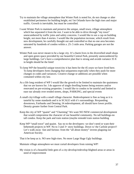- Try to maintain the village atmosphere that Winter Park is noted for, do not change or alter established perimeters for building height, etc! let Orlando have the high rises and major traffic. Growth is inevitable, but must be controlled.
- I want Winter Park to maintain and preserve the unique, small town, village atmosphere which has separated it from the rest. I want to be able to drive through "my town" unencumbered by traffic joins and safety concerns. I would like to see a cap on building height, not more than 4 stories. I would like the population increase, which result from new development, be carefully thought out and controlled so that no one area becomes saturated by hundreds of condos within a .25-.5 mile area. Parking garages are not the answer.
- Winter Park was never meant to be a large city. It's charm lives in the diversified small shops and open green space provided by our beautiful Central Park, presently unencumbered by large buildings. Let's have a comprehensive plan that is strong and avoids variance 35 ft in height should be the limit!
- To keep WP the beautiful unique town/city it has been for the 45 years we have lived here. To keep developers form changing that uniqueness-especially when they push for more changes in codes and variances. Creative change or additions are possible when contained within city law.
- As a life long resident of WP I would like the growth to be limited to maintain the quaintness that we are known for. I do approve of single dwelling homes being restores and/or renovated on pre-existing properties. I would like to condos to be tasteful and limited to ease our already over eroded streets, shops, PARKING, and special events
- A small city/village with a small village character. Redevelopment is fine as long as it is tasteful by some standards and is in SCALE with it's surroundings. Rexpanding downtown, Fairbanks and Denning, I4 redevelopment, all should have lower profile. Density greater further from Central Park.
- Keep the city of WP "quaint" and "Charming" We want NO NEW commercial development that would compromise the character of our beautiful community. No tall buildings-no tall condos. Keep the park and train station (maybe remodel train station building
- Keep WP "small town" and quaint. Say no to the developers- we don't need or want their behemoth projects in WP. No to 3 and 3+ story buildings. Down w/ the Carlisle project!! Let's walk away -fast and furious- from the "all about money" invests plaguing our American Society.

That it be keep as is. NO new high-rises. No more Large Huge Ugly buildings.

- Maintain village atmosphere-we must curtail developers from ruining WP!
- My vision is of a beautiful little gem of a city-develop/redevelop blighted areas or areas in need of improvement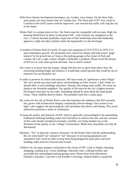- With lower density development-boutiques, sm. Condos, town homes. On the West Side, more pretty two story homes like on Carolina Ave. The West side of NY Ave. north of Carolina to the Golf Course could be improved. I am worried that traffic will clog the city in the future.
- Winter Park is a unique place to live. Our future must be compatible with our past. High rise housing should have no place in downtown WP…and certainly not contiguous to the city's. Citizens become justifiably suspicious of their leadership when that leadership approves a high-rise (the Carlisle) where the big benefit is to the developer
- A resident of Winter Park for nearly 35 years and a graduate of UCF (FTU) in 1970, I've seen tremendous growth. We personally have raised two homes and built newer, larger homes-I'm for growth but as I look at the parking garage at the corner of Park and Canton, all I see is ugly cement. Height is definitely a problem. Please reveal the beauty of WP as it is with some growth and taste- Not so much cement!
- Our vision is to never lose the unique, village feel that sets us apart from other cities. By restricting building height and setbacks it would help control growth that would be out of character for our beautiful city.
- In order to preserve its charm and character, WP must retain its "pedestrian scaled village" We can't permit any more park place sized buildings on Park Avenue. I don't think we should allow 4 story buildings anywhere. Density only brings more traffic. We must not displace our Westside neighbors. Our quality of life must be the city's highest priority-Developers must play by our rules. Something should be done about the ninth grade center. These children deserve better. The portables look like a trailer park.
- My vision for the city of Winter Park is one that maintains the ambience that WP currently has, grows with architectural integrity consistently diverse design. Four stories is too high. I also suggest rule governing the café merchants that allows café dining. This social interaction promotes a sense of community.
- To keep the quality and character of WP, which is generally acknowledged to be outstanding. Ordinances defining building codes were laid down to achieve this aim, and any variance of this code should considered extremely carefully, not freely handed out, to the detriment of the quality of our "village" environment. Multi-story monoliths can only be detrimental.
- Maintain. "Try" to keep the "positive character" of old Winter Park with the understanding the city must build "up" instead of "out" (because of increasing population and automotive fuel costs) In order to keep form being plagued by park place and such, building codes must be reviewed and revised.
- I believe we can enjoy progress and preserve the charm of WP. Look to Naples charming shopping, walking area. 4 story buildings. Sidewalk cafes, walking friendly and accessible but camouflaged parking garage areas! Please learn from Downtown Orlando's mistakes. Concrete is not friendly or inviting- without bodies to spend the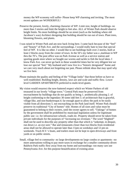money the WP economy will suffer- Please keep WP charming and inviting. The most recent updates are WONDERFUL!

- Preserve the present, lovely, charming character of WP. Limit size, height of buildings- no more than 3 stories and limit the height to feet also. ALL of Winter Park should observe height limits. No more buildings should be on street (such as the building where old Jacobson's was) Architect designing that building should be run out of town. Plant trees, blooming flowers, and plants.
- I was raised in Winter Park and am now back living here. I came back because of the "feel" and "beauty" of Park Ave. and the surroundings. I would really hate to lose that special feel of WP. It is like no other. I would like to see buildings built over 2 stories, built at least 2 blocks away from the center of town. In the 50's my father was a ,mailman in WP thru the 70's. The post office was on Park Avenue as well as a service station and sporting goods store where we bought our worms and tackle to fish the local lakes. I know Park Ave. can never go back to these wonderful times but be very diligent lest we lose our special "feel." My husband and I now live in a "historic designated" home and we care very much about not forgetting our past. Please rethink ideas that may spoil why we live here.
- Please maintain the quality and feeling of the "Village looks" that those before us have so well established. Building height, density, laws are and scale and traffic flow. Lower level GARDEN APARTMENTS preferred to multi-level giants.
- My vision would resurrect the now-battered respect which we Winter Parkers of old treasured in our lovely "village town." Central Park must be preserved from encroachment by buildings that do not qualify as being 1. aesthetically pleasing 2. of height conforming to the legendary 30 some odd feet 3. of architecture that is graceful, village-like, and non-bunkeresque.4. far enough apart to allow the park to be easily visible from all directions 5. not encroaching on the Park land itself. Winter Park should preserve its traditional "City of homes" title. Homes of all sizes and value must be guaranteed to belong to their owners, until the owner agrees to sell. "Takings" of homes by the government shall be prohibited by municipal legislation unless for legitimate public use- i.e. for infrastructure schools, roads etc. Property should never be taken from private individuals for the purposes of "increasing tax revenues." The word "blighted" shall not be used to describe any property other than that which is "unkempt, in despair, run down i.e. an eye sore." Bar and restaurants closer than two blocks from residential areas shall not be allowed to operate later than 11pm on weekdays and 12 pm on weekends. Truck R.V.'s boats, and trailers must not be kept in open driveways and front yards or on public streets.
- Small, village feel to community- no large developments-no large condos or apartments –no more annexations-willing to pay more taxes in exchange for a smaller community-divert Baldwin Park traffic flow away from my home and surroundings- too many cars use Pennsylvania Ave. for this purpose-beautification of existing areas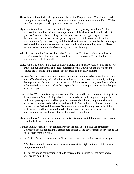- Please keep Winter Park a village and not a large city. Keep its charm. The planning and zoning is recommending that an ordinance adopted by the commission in Feb. 2005 be repealed. I support the Ph 3 position. Keep WP a village!
- My vision is to allow development on the fringes of the city (away from Park Ave) to preserve the "small town" and quaint appearance of the downtown Central Park that gives WP so much character huge buildings in town are not appealing and detract from the small town flavor that's worth preserving. One "special" vision would be the renovation of a "gem" in our city and that is Mead Gardens. The boardwalk is no longer usable and the nature area has evolved into an ugly and foul smelling swamp. Please include revitalization of the Gardens in your future planning.
- Why destroy something we are al proud of? I moved to WP 12 ears ago-attracted by the village atmosphere. The park is a valuable assess for everyone. We must not let over building-greed- destroy it all.
- Exactly like it is today. I have seen so many changes in the past 10 years it turns me off. We are losing our uniqueness and I feel smothered by the growth- up and out we need to replace the trees and in that effort I see progress of the positive nature.
- We hope the "quaintness" and "uniqueness" of WP will continue to be so. High rise condo's, glass office buildings, and such take away the charm. Example: the truly ugly building that replaced Jacobson's. It is a monstrosity and the majority in WO, would love to have it demolished. What may I ask is the purpose for it? It sits empty. Let's not let it happen again we hope.
- It is vital that WP retain its village atmosphere. There should be no four story buildings in the downtown area. New buildings should be restricted as to their length and height. Set backs and green space should be a priority. No more buildings going to the sidewalks and/or with arcades. No building should be built in Central Park or adjacent to it and over shadowing the Park and the streets. No more annexations. Existing street side dining ordinances should have been enforced rather than making new ordinances that complied with restaurant encroachments. Post office should stand-alone.
- My vision for WP is to keep the quaint, little city it is, no big or tall buildings. Just a happy, friendly, little safe community.
- WP has a unique "small town" atmosphere with the park in WP being the centerpiece-Downtown should maintain that atmosphere and let all the development occur outside the line of sight from the Park.
- 1. I would like for WP to remain as a village, which enticed me to the area 36 years ago.

2. Set backs should remain as they once were-not sitting right on the street, too many exceptions to the rules.

3. The mayor and commissioners should represent the "people" not the developers. If it isn't broken don't fix it.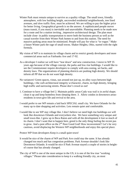- Winter Park must remain unique to survive as a quality village. The small town, friendly atmosphere, with low building height, uncrowded residential neighborhoods, tree lined avenues, and slow traffic flow, must be achieved. We are willing to pay the higher price for better living. Geographical growth is no the answer. A sophisticated people mover (mass transit, if you must) is inevitable and unavoidable. Planning needs to be made now for a route and for a station inviting , impressive architectural design. The plan must include close- in public transportation to move both the business person as well as the casual traveler from their Winter Park homes to and from this station. The need for massive parking areas must be minimized. People will pay for what is "in vogue." Make a future Winter park the rage of small towns. Shaker Heights, Ohio, started with the right formula.
- My vision of WP is to maintain its village charm and to restrict greedy developers and more commercial areas such as Fairbanks Ave and 17-92.
- As a developer I realize we will have "tear down" and new construction. I move to WP 35 years ago because of the village concept, the parks and low rise buildings. I would like to see the Commissioner require developers to comply with area zoning, set backs, and density laws. The organizations of planning districts are pushing high density. We should inform all PP that we do not want high density.
- No variances! Green spaces, vistas, sun around not just up, no alley ways between high buildings, t the curb architectural integrity w/character, charm, no high density, bringing high traffic and narrowing streets. Please don't crowd us out!
- 1. Continue to have a village feel 2. Maintain public areas-Cady way trail is in awful shape; clean it up and keep homeless from sleeping there. 3. Allow condos in downtown areasresidents in town give life and revival to the area.
- I would prefer to see WP remain a laid back SPECIAL small city. We have Orlando for the many up to date shopping and activities. Lets remain quiet and comfortable.
- I would like to see WP stay village like. I don't believe we need high rise buildings-we will look like downtown Orlando and everywhere else. We have something very unique and small town-like. I grew up in Boca Raton and with all the development it lost so much of its charm. I don't want that to happen here, greed is the only thing fueling the recent pus to grow. And a post office on the 2<sup>nd</sup> floor Good God! How inconvenient!! Let's be very cautious, avoid displacing the Western WP neighborhoods and enjoy this special place.

Protect WP from developers Keep it a small quiet town!

- It would be nice of the charm of WP and Park Ave could stay the same. It has already changed too much and has congestion problems. Park Avenue shouldn't look like Downtown Orlando. It would be nice if Park Avenue stayed a couple of stories in heightof course that has already changed.
- The city of WP is one of the most unique in the US; it is one of the few true "working villages." Please take consideration to keep it a walking friendly city, an most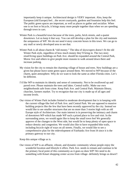importantly keep it unique. Architectural design is VERY important. Also, keep the European (old Europe) feel…the secret courtyards, gardens and fountains help this feel. The public green spaces are important, as well as places to gather and socialize. When one is on foot or bicycle, it brings many more people together than when we are speeding through town in cars.

- Winter Park is a beautiful town because of the trees, parks, brick streets, and a quaint downtown. Let us keep it that way. You can still develop a plan for the city and maintain the uniqueness of WP. We do not need 4 story concrete boxes in this town. We can go to any mall or newly developed area to see that.
- Winter Park is all about charm  $&$  "old money." The idea of skyscrapers doesn't fit the old Winter Park style, regardless of how much money they'll bring in. The two story retail/living space buildings on Park Ave. should be expanded around the Central Park, Morse Ave and others to give people more reasons to walk around down there and increase parking.
- My vision for the city to remain the charming village of house and trees. New buildings are a given but please leave some green space around them. We moved to WP because of the charm, quiet atmosphere. Why do we want to look the same as other Florida cities. Let's be different.
- I'd like WP to maintain its identity and sense of community. Not to be swallowed up and paved over. Please maintain the trees and lakes. Central traffic. Make our own neighborhoods safe from crime. Keep Park Ave. and Central Park. Maintain library, churches, farmers market. Try to recognize that our city is made up of all ages and income levels.
- Our vision of Winter Park includes limited to moderate development that is in keeping with the current village-like feel of Park Ave. and Central Park. We are opposed to massive building projects like the few that have been recently approved by the city. Instead we would like to see smaller structures that are no more than 3 stories high with an old Europe style of Architecture. Our main interest is in preserving the intimacy and charm of downtown WP-which has made WP such a prized place to live and visit. In the surrounding areas, we would again like to keep the small town feel We generally approve of the changes to the West side, but would lie to keep plenty of open space to reduce density and congestion. We would also like to have expanded bike trails, including bicycle right of ways on all streets. Finally, we would like to see a comprehensive plan for the redevelopment of Fairbanks Ave from I4 since it is the primary gateway to our city.

Keep this unique village as is.

Our vision of WP is an affluent, vibrant, and dynamic community whose people enjoy the wonderful location and lifestyle it offers. Park Ave. needs to remain and continue to be the primary focal point of this community-as it goes-so does WP! We need to do something with Kmart shopping center access from village- definitely brings us down!!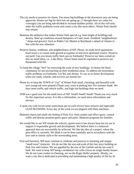- The city needs to preserve its charm. Too many big buildings in the downtown area are being approved. Homes too big for their lots are going up. ( I thought there are codes for coverage) Lots are bring sub-divided to increase builders profits. All of this will only make the traffic problems worse and create a city like most others. Winter Park should stay unique.
- Maintain the ambience that makes Winter Park special e.g. limit height of buildings and density. Beef up conditions around dumpsters of Cater street. Establish "neighborhood " shops and grocery! Such as Publix City Market in Buckhead a suburb of Atlanta in line with the new urbanism.
- Preserve beauty, traditions, and neighborliness of WP. Please, no multi-level apartments. Each lower s to curtail undo growth at expense of mid level apartment reuters. Preserve our park! Can you lessen traffic back ups on Fairbanks? Preserve our lakes-curtail jet skis on small lakes, i.e., Lake Berry. Power boast must be regulated to preserve our threatened wild life.
- To keep the village "feel" by restricting the scale of new buildings. To honor the black community by not encroaching on their residential areas. To address the horrendous traffic problems on Fairbanks, Lee Rd, and Aloma. To say no to future development when our roads, schools, and services are maxed out.
- Please try to keep the TOWN of "city" of Winter Park small, charming, and beautiful with new young oak trees planted (Thank you) -even in parking lots! For summer shade. We have more traffic and vehicle traffic, and high rise buildings than we need.
- 1938 was a good year for the small town of WP. Small! Small! Small! Thank you very much for this important survey. It is like a referendum, we need more referendums and surveys.
- A quiet city with severe noise restrictions put on yard service lawn mowers and especially LEAF BLOWERS. Every day of the week we are plagued with these machines.
- Maintain charm and small city feeling of Park Ave. limit condos and office space- control traffic and density-promote green space and parks. Maintain programs for families.
- We would like to see WP remain the eclectic, quaint town it has always been but we are in support if responsible growth and development. We believe there is a balanced approach that can successfully be achieved. We like the idea of a project, where the post office is currently. We think it can be done tastefully and in accordance with the laws and in similar style to the surrounding areas.
- First and foremost, WP must continue to celebrate and preserve it charming and unique "small town" character. We do not like the size and scale of the four story building on Park Ave and Canton. We are appalled by the size of the Carlisle and do not want it built. We want to keep WP being a residential city with a focus on single-family homes. We do not want condos on Denning, nor on the Roger Holler property. Mostly, we want a city that is dedicated to providing and maintaining a high quality of life for its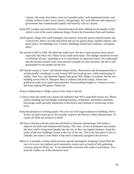citizens. We want clean lakes, clean air, beautiful parks, well-maintained streets, and reliable utilities (water, sewer, power, and garbage). We want efficient and responsive government that communicates openly and honestly with its citizens.

- Keep WP a unique and small town. Uninvolved growth does nothing for the quality of life, which is one of the sweet important things. Protect the Downtown Park and Gardens.
- Small quaint village with small boutiques and eateries. Keep the quaint railroad station and Central Park. Move city hall and utilize that are for quaint shops, outdoor eateries, and green space. No buildings over 3 stories. Buildings should have setbacks, with green space.
- We moved to WP in 1958. We liked the small town. We don't need anymore brick streets especially like Penn Ave. Many of our roads need repair. This Budget should be revised to eliminate all misc. spending so as to concentrate on important issues. We understand that the business people want more growth in people for their business, but this is still government by the people not the few.
- WP should remain a "town" and should remain homey. Renovation and development that is architecturally considerate is vital to keep WP from looking new, while maintaining its vitality. Park Ave. and Hannibal Square look great! WP village is excellent, but the new building across from St. Margaret Mary is hideous and looks cheap. Aloma into goldenrod needs to be made more beautiful. Keep building heights to 3 stories or fewer and keep making WP green! Thank you

Keep it simple-keep it village- keep it trees- keep it special

- I wish to retain the small town charm and ambience that WP is nationally known for. Please restrict building size and height including business, residential, and medical facilities. Encourage small specialty businesses in downtown and continue to streetscape across town.
- Keep the perspective of being quaint. Not over run with large unattractive buildings. Never let the city golf course go by the wayside. Improve the Electric Utility infrastructure. Of course all while not axing us to death.
- WP has to develop with the years but still hold its character and heritage. WP needs to improve the parks and maintain their beauty. The const. of new townhouses and condos ahs been vital to bring more people into the city so they can support business. Keep the scales of the new buildings current w/the rest of the city. This is the best place to live in Orlando; lets make it even better w/top notch community programs and services.
- Much as is possible, to keep small town but upscale atmosphere. Keeping Central Park the size it is so we can continue such community events such as fourth of July gathering, concerts, popcorn flicks, etc. To accommodate everyone who wants to participate. Let's keep the condos out of the downtown area.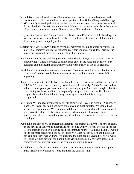- I would like to see WP retain its small town charm and not become overdeveloped and overrun with traffic. I would like to see properties such as Holler Chevy and Glenridge MS carefully redeveloped so as not to become abandoned eyesores or new structures that do not blend with the existing environment. We need to be very careful about the amount of and type of new development allowed or we will lose what we value most.
- Keep our city "quaint" and "unique" as it has always been. Restrict size of the buildings and location that affects traffic flow. I have been a resident for 38 years, and I don't want drastic changes to our quality of life.
- 1. Retain our SMALL TOWN feel no overbuilt, mammoth buildings homes or commercial allowed. 2. Improve our streets; fill potholes, repair broken sections, level bricks, Our streets are deplorable and a sad commentary of self image
- I think the various boards and the governing bodies should always think of WP as a very unique village. There is no need to mimic large cities in the scale and density of our buildings and the accompanying deterioration of the quality of life of its citizens.
- We all know we cannot freeze time and stand still. However, would it be possible for us to stand slow? In other words, let us preserve as best possible that which makes WP appealing.
- I hope the horse is not out of the barn; I've lived here for over 40 years and like the flavor of "old" WP. 1. Land use- the majority wanted park (old Glenridge Middle School) and we still need more green space-not cement. 2. Building height- 3 levels is enough 3. Trafficif we limit growth we can limit traffic-parks/green space don't cause traffic. I know progress is inevitable- but don't change as a city so much that it is no longer recognizable.
- I grew up in WP and recently moved back with family after 9 years in Austin, TX (a lovely place). WP is still charming and development can be much smarter. We should have architecture that matches. WP is unique and doesn't have to do what others are doing. If I had 3 goals to achieve: 1. Beautify the parks and maintain 2. Place power lines underground (the view would improve significantly and the value in storms etc.) 3. Smart Development
- I would like the city of WP to protect the authentic look mainly Park Ave. The new building on the far end of the Ave. is hideous and not keeping with WP's feel. I would like to see less cut through traffic M-F during business commute hours. (7-9am and 4-6pm). I would like to see more high profile special events in WP- a lot fall downtown and I think WP can gain some leverage w/ Park Ave attracting the right people. Overall IO WP to work, live, and play. Not difficult for planning and visiting but also place where people can connect with one another in parks increasing our community value.
- I would like to see fewer annexations on outer parts and concentration on cleaning up the areas that are newly annexed- some are mess and embarrassing!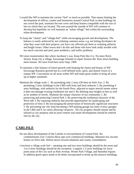- I would like WP to maintain the current "feel" as much as possible. That means limiting the development of offices, condos and businesses around Central Park so that buildings do not crowd the park, maintain the tree cover and keep houses compatible with the size of lots on which they are located. The area around the outside of WP will continue to develop but hopefully we will maintain an "urban village" feel within the surrounding urban development.
- To keep the "charm" and "village-feel" while encouraging growth and development. The balance is easily achieved by not violating common sense, e.g. not letting developers do what they want with their projects, nor have city officials pin them in violating setbacks and height issues. Other towns don't do this and those who have look really terrible with too much concrete and steel, poor aesthetics, and traffic problems.
- NO more monstrosities like where Jacobson's was. Keep Park like it is. No more Brick Streets. Keep city a village. Encourage Orlando to repair Sereese Rd. Slow down building more houses. We have lived here since Sept. 1969
- To maintain a fine balance of future growth with keeping the charm and beauty of WP. Encourage Business growth but in a well defined style, spirit, and shared vision of a unique WP. Concentrate on all areas within WP and make great strides to bring all areas up to higher standards.
- Maintain the village scale 1. By permitting only 2 story (30 feet) on Park Ave. 2. By permitting 3 story buildings in the CBD with front and back setbacks 3. By permitting 4 story buildings, with setbacks for the fourth floor, adjacent to major arterial streets where it does not damage existing residential use and 4. By defining max heights in feet as well as by number of stories. Maintain the unique character of our community 1. By preserving and protecting Central Park 2. By preserving the residential character of the West side 3. By requiring setbacks that provide opportunities for landscaping and protection of trees 4. By encouraging the preservation of historically significant structures 5. By preventing our city from becoming a WP parking garage (no more 4-story garages in the CBD and 6. by rarely allowing variances. All city property should remain and be utilized as city property and no joint venture real estate developments should be entered into by the city.

### **CARLISLE**

- Do not allow development of the Carlisle or encroachment of Central Park. No condominiums over 3 stories-Have apts over commercial buildings. Maintain low income homes on West side. Defeat moves toward urbanism and county consolidation.
- I envision a village scale feel -- meaning one and two story buildings should be the norm and 3 to 4 story buildings should be the exception. I support 1-2 story buildings for focal point areas of the City such as Park Avenue, Winter Park Village, and Hannibal Square. In addition green space needs to be better incorporated to break up the massive buildings.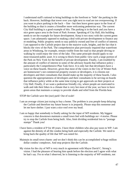I understand staff's rational to bring buildings to the forefront to "hide" the parking in the back. However, buildings that tower over you right next to road are too overpowering. If you want to place parking in the back -- fine - but then leave green space in the front of the building so that it creates a friendlier more welcoming pedestrian way. The current City Hall building is a good example of this. The parking is in the back and you have a nice green space area in the front of Park Avenue. Speaking of City Hall, this building needs to set the example for future development. Keep it two story with the current green space. I am adamantly opposed to making a deal with private development to finance any re-modeling. Public property needs to stay publicly owned and free of conflict of interest. I am opposed to the Carlisle project due to the massive scale, heights, and the fact that it blocks the view of the Park. The comprehensive plan previously required that waterfront areas in Windsong, for example, remain visible from the road so that people driving or walking by could enjoy the view of the lake. This same principle should apply to our most treasured public asset. It is wrong to block from public view such a large portion of the Park on New York for the benefit of private development. Finally, I am troubled by the amount of conflict of interest in some of the advisory boards that influence policy particularly the Comprehensive Plan Task force. It is only fair that developers have a voice on these boards. However, given that most of the voters in the City of Winter Park are homeowner's not commercial property owners or developers, it is citizens not developers and their consultants that should make up the majority of these boards. I also question the appropriateness of developers and their consultants to be serving on boards that influence policy while at the same time trying to get approvals on their projects at City Hall. Finally, if we want a pedestrian friendly city, where people are motivated to walk and ride their bikes in a climate that is very hot most of the year, we have to have green areas that maintain a canopy to provide shade and relief from the Florida heat.

STOP the Carlisle save the (our) park! Out of scale!

- I am an average citizen just trying to buy a home. The problem is you people keep delaying the Carlisle and therefore my future house is in jeopardy. Please stop this nonsense and let me have shelter. I just want a nice roof over my head.
- I am so happy that somebody is finally asking for the input of WP residents. My biggest concern is that downtown maintain a small town feel with buildings no> 4 stories. Please try to stop the Carlisle from being built. Also, limit dividing residential lots to "postage stamps" Thank you!
- I have been a resident of P for 49 years. I have three children who also pay taxes to WP. I am against the density of all the condos being built and especially the Carlisle. We need to bring back the quality of life that WP was noted for.
- Maintain its small town charm- and we don't think this can be accomplished w/huge million dollar condos/ complexes. And stop projects like the Carlisle.
- My vision for the city of WP is very much in agreement with Mayor David C. Strong's vision. I had the pleasure of hearing him speak before the election and I agree with what he had t say. Fro m what I observed, he is listening to the majority of WP residents, not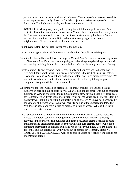just the developers. I trust his vision and judgment. That is one of the reasons I voted for him to represent our family. Also, the Carlisle project is a perfect example of what we don't want. Too high, out of scale, too dense, and too much traffic.

DO NOT let the Carlisle group or any other group build tall buildings downtown. This project will ruin the quaint nature of our town. Visitors have commented on how pleasant the Park Ave area is now. I live on Darcey Dr our next-door neighbor built a 2-story monstrosity home that does not fit in and ruins the cottage type setup in our neighborhood. Please control sizes of homes on small lots!

Do not overdevelop! Do not grant variances to the Carlisle.

We are totally against the Carlisle Project or any building that tall around the park.

- Do not build the Carlisle, which will infringe on Central Park & create enormous congestion on New York Ave. Don't build any huge high-rise buildings keep buildings in scale with surrounding building. Winter Park should be kept with its charming small town feeling.
- Don't want and PD overlays and I want 2 stories only on Park Ave and no higher than 35 feet. And I don't want Carlisle like projects anywhere is the Central Business District. How about keeping WP as a village and not a developers get rich dream playground. We want a town where we can trust our commissioners to do the right thing. A good comprehensive plan will keep them in check.
- We strongly oppose the Carlisle as presented. Too many changes to plans, too big and intrusive on park and out-of-scale in WP. We will also oppose other large out of character buildings in WP and encourage the commissioners to slow down all such new large-scale development. We will vote you out of office if you fail the voters again. Traffic is terrible in downtown. Parking is one thing but traffic is quite another. We have been accosted by panhandlers at the post office. What will security be like at the underground lots? The "residences" have gone from a field of dreams to a field of weeds. What is their latest plan for completion if any?
- If we had wanted to live in downtown Orlando we would have bought a condo there. We wanted small town, community living-seeing people we know in town, attending activities in the park, etc. Tall buildings and dense population create a feeling of being anonymous and disconnected from your town which in turn creates, people who don't contribute their talents and ignore crime and run down surroundings. You are killing "he goose that laid the golden egg" with you're out of control development. Either NO CARLISLE or a SCALED BACK- want to be able to access post office from outside not underground garage.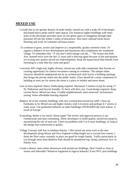# **MIXED USE**

- I would like to see greater density of multi family/ mixed use with a trade off of developer purchased micro parks and/or open spaces. For instances higher buildings with more units of the developer provides more on site green space or mitigation through land purchase off site but within 5 miles of downtown. Also more railroad tracks down Denning and work on commute rail/mass transit.
- To continue to grow, evolve and improve in a responsible, quality oriented vision. To support a balance of new development and businesses that compliment the residential village. To remember that " If you don't need change you die…" The lesson that Park Ave, learned twice over the last 12 years and is thriving again because of the anticipation of exciting new quality mixed use redevelopment. Keep the hypocritical blue bloods from retreating to a time that has come and gone!
- I envision WP a high-end, highly diverse, mixed-use walk able community that focuses on creating opportunity for chance encounters among its residents. The unique urban character should be emphasized not by an architectural style but by a building typology that brings the private realm into the public realm. Glass should be a main component of building as trees are for streets the street is a place to inhabit and move about.
- Lots of trees required. Heavy landscaping required. Maximum 3 stories except for along 17- 92. Pedestrian and bicycle friendly. To heck with thru cars. Good design required. Keep current flavor. Mixed use okay. Livable neighborhoods, interconnected. Inclusionary zoning. Some affordable housing required.
- Replace all of the crummy buildings with new construction mixed-use infill. Clean up Fairbanks to I4. Mixed use and higher density with 3-4 stories and perhaps 6-7 stories in some areas. Use graduated setbacks on taller buildings-UPGRADES the train station. A touch of Europe
- If anything, theme is too much citizen input! The review and approval process is too cumbersome and time consuming. Allow developers to build quality, mixed-use projects, maximizing the use of each site. I have no problem with 5 or 6 story buildings, so long as the design and construction is quality.
- Village Concept with low to medium density- I like mixed use areas such as the new development along Morse and New England-w/bldg height not to exceed four stories. I think the floor ratios currently in place are good for single family. Traffic-particularly in cut-through areas from Baldwin Park should be abandoned esp. along Lakemont Ave. to Palmer Ave,
- Create a denser, more urban downtown with mixed-use buildings. Don't build so close to streets and sidewalks! Whatever happened to logical setbacks? Even NYC puts buildings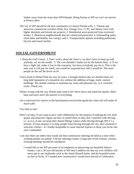further away from the street than WP/Orlando. Bring Enzian to WP we can't set movies at Pottery Barn

The city of WP should be the best community in Central Florida with: 1. Vibrant and attractive commercial corridors (Park Ave, Orange Ave, 17-92, and Aloma Ave) with higher densities and mixed-use projects; 2. Residential areas protected from oversized homes; 3. Historical neighborhoods that are valued and preserved; 4. Outstanding parks, clean lakes and healthy tree canopy; and 5. Transportation options including pedestrian, bicycle and transit facility

## **SOCIAL/GOVERNMENT**

- 1. Keep the Golf Course 2. Don't worry about the Jones's, we don't have to keep up with anybody, we are the model. 3. The cost shouldn't matter (or be the bottom line). 4. If we have a light rail, make it free to the consumer, but have everybody pay for it. This is the only way it will pay for itself; you would be surprised how full it would be. The more people on the rail the fewer on I4.
- I have lived in Winter Park for over 42 years. I strongly believe that we should retain our long held reputation of a beautiful city without the addition of huge, multi- storied buildings. We should continue to maintain our clean and pleasant city, as it currently exists. Thank you.
- What's wrong with the way Winter park used to be? Slow down and smell the daisies. More base and taxes aren't the answer to everything.
- Get a tram/train for seniors to the beach/parks/concerts/fair-good-fast clean rail will make I4 much safer.

Too little to late!

- Here's an idea, if you want to pave with cobblestone for the purpose of making the city look quaint and attractive, figure out how to install them so they don't interfere with driving; i.e. as it is, if one can keep their dental fillings I place while driving through WP it's a miracle. If your purpose is to keep people from driving through the city, don't pretend to welcome visitors—it's hardly hospitable to cause internal injuries to those you invite into your community!
- I am sure there are others that would ask that commission meetings be held at a time when working people can attend, 3:30 pm meetings isolate a large part of the volume, citizens, evening meetings should be considered.
	- I would like to see WP put more of an emphasis on preserving our beautiful historic homes, I am a 28 year old teacher in WP and it saddens me that my own children will never get to see landmarks such as the Annie Russell home, and the beautiful estate on Isle of Sicily, If I wanted new construction I would have moved to Celebration.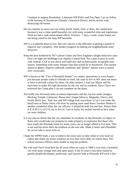Continue to support Brookshire, Lakemont WP Police and Fire Dept. Can we follow in the footstep of Downtown Orlando's historical District and be stricter with destroying old homes.

- Do not continue to move our city limits North, South, East, or West. We settled here because it was a clean small beautiful city with many wonderful rules and regulations. Wish we had a code enforcement officer 24 hours  $-7$  days a week- many homes are not being cared for the keep WP beautiful.
- WP is a wonderful place to live. My one concern is the difficulty in getting a permit to improve one's property. This hinders progress in making our neighborhoods more attractive.
- Keep the area bordered by NY-Canton-Center and New England a height restrictive zone. Don't let high-rise buildings over shadow Central Park. Put a plan in pace to work with Amtrak /CSX to tear down and build new and architecturally acceptable train station. Something with some Antique flare that would fit in downtown. The current station is ghetto, Improve sidewalk conditions and "please" repaint worn or paved over crosswalks.
- WP is known as the "City of Beautiful Homes" no condos, apartments or town homesjust because people come to Orlando to work, but want to live in WP, does not mean w have to provide a place for them. On other matters, I trust our Mayor and his associates to make the right decisions for the city and its residents. Since I have not reviewed the Comp plan I can not comment on the plans.
- The traffic has obviously been of utmost importance and the city has made changes; Bricking Temple, Lakemont. Please don't forget hibiscus, Magnolia, Oneco, and finally Brick also. Park Ave and WP village look marvelous=) Can't you make the beach area at Dinky Dock a bit nicer by putting more sand down. Farmers Market is another wonderful affair the city officers, it should be both Sat and Sun. Winter Park is F-A-B-U-L-O-U-S city to live in. I am so lucky my mother moved us here when we were children.
- It is my sincere desire that the city remember its residents on the Westside we object to those who would take our property/or make property so expensive that those who have made the Westside home for many years can no longer afford to live here. This is not and has never been the problem on the east side. Make it better and affordable for us not take it away from us.
- I hope the WPPD finds a way to enforce the noise laws as they relate to very loud car radios that shake my house windows no less than twice daily on school days. The school resource officers seem unable to stop the problem.
- My wife and I have lived here for 45 years when we came in 1960 it was truly a beautiful city with many orange trees and open space. It the 45 years it has been ruined by greedy people-developers, politicians, and lawyers look at Westside WP-such a fine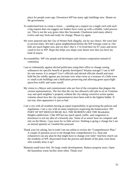place for people years ago. Downtown WP has many ugly buildings now. Shame on the government.

- To understand how to create a vision ….sending out a request on a single card with such a big request does not suggest our leaders have come up with a reliable, valid process yet. This is not the way great cities like Savannah, Charleston (and many others) evolve and stay fresh and ready for change. Please try again.
- We were annexed into the City of Winter Park illegally, not by our choice. We were lied to several times. We had a great neighborhood before the WP Gestapo came in. Our bills are much higher now and we don't like it. I've lived here for 67 years and never cared to live in WP. Hope this helps you shape your future now that you have my kind of mayor.
- Accountability- WP city people and developers and citizens cooperation instead of contention.
- I am so vehemently against elected politicians using their office to change zoning ordinances for specific benefit of greedy developers! Waatan outrage!! I am in WP for one reason: It is unique!! Gov't officials and elected officials should and must hold the bar solidly against any increase over what exists as a treasure of a little town w/ small scale buildings and a dedication preserving and allowing green space/light space/less traffic and water runoff.
- My vision is a Mayor and commissioner who are free of the corruption that plagues the current representatives. The fact that the city has allowed a dirt pile to sit on Venetian way and spoil neighbor's property without the city taking corrective action speaks volumes about how the city representatives have been sold to the highest bidder. If not true, then appearance is just as bad.
- I see a city with all residents having an equal responsibility in governing the policies and regulations. I see a city with its many employees respecting the homeowners. NO PART OF WP SHOULD BEAR ALL THE BURDEN LIKE THE Brookshire Heights subdivision. I like WP but too much speed, traffic, and congestion in downtown is not my idea of a leisurely day. Some of us senior have no computer and rely on the library. I pay taxes for so little service. Nothing is going o change but I am an eternal optimist so I mailed this postcard.
- Thank your for asking, but in truth I am not online to review the "Comprehensive Plan." A couple of question occur to me though how comprehensive (i.e. final and exhaustive) can any plan be that might have to change over time? And how much can the residents of WP, dissociated from the process and details of the plan, trust those who actually draw it up?
- Maintain small town feel. No large condo developments. Reduce property taxes. Open the hazardous waste facility more often. Thank you!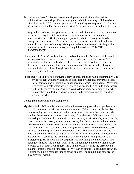- Reconsider the "asset" driven economic development model. Study alternatives to public/private partnerships. If taxes must go up to build a new city hall the so be it. Limit lot sizes in CBD to avoid appearance of single large scale projects. Make sure all project are guided by the governing principle of maintaining our village character.
- Existing codes need more stringent enforcement in residential areas! The city should not be in such a hurry to cut down mature trees-far too many have been removed unnecessarily since '04. Regulating and protecting the tree canopy needs to be strengthened and enforced! New residences' size needs to be restricted so that new homes fit the context of our city. We support setback requirements, 40' height limit w/no variances in commercial areas, and length limitations. NO MORE ANNEXATION!
- Stop placing the "show" needs before the needs of the people. Keep more of the small town atmosphere versus big growth-like big condos. Invest in the services WP provides for its tax payers. Garbage collectors who don't leave trash remains on driveway, cleaning out of storm water drains on a regular basis, code enforcement personnel who can follow through with the needs of citizens and have real disaster plans ready to implement.
- I hope that we'll find ways to cultivate a spirit of unity and celebration ofcommunity. The city is wrought with individualism, as evidenced by a tenuous mayoral election. Residents were uncivil during town hall meetings, which is intolerable. My vision is to create a climate where we seek firs to understand, then be understood; where we hear the voices of a marginalized West WP and adapt accordingly, and where we contribute intellectual and social capital to discussions/planning regarding regional growth.

Do not grant exceptions to the plan period.

My vision is that WP be able to maintain its uniqueness and grow with proper leadership. It would be nice to remain the little town that was. Unfortunately, this is the 21st century and growth is a necessary evil to be accepted. We want the city to provide but that always seems to require more money. Over the years, WP has slowly taken ownership of problems that come with growth - crime, traffic, schools, energy, etc. If, I don't want higher taxes (or more rate increases) then the money needed must come from some other sources. These are attainable with a balance that is acceptable to the "old" and "new" WP residents. Old is/was great but it won't generate the necessary funds to handle the previously listed problems that a static community must face when all around us continues to grow. My vision is "new" happening with leadership and controls. It seems to me that no growth will continue in rising costs for the average wage earner and I am one taxpayer who is reaching my limit. Federal and State governments take enough, I don't need WP getting on the bandwagon because we want to stay in the 19th century. I live in the WPHS area and my perception is that more effort is made in "the areas" of WP than an equitable distribution citywide. A prime example is response time to power outages. The coming hurricane season may prove me wrong.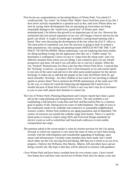- First let me say congratulations on becoming Mayor of Winter Park. You asked if I would provide "my vision" for Winter Park. While I have lived here most of my life, I have never actively responded to a question such as this, until now! Please allow me start by saying, these developments that are sprouting up everywhere are doing irreparable damage to the "small town, quaint feel" of Winter park. Don't misunderstand; I do believe that growth is an important part of our city. However the unchecked and over-priced expansion of our city will change it forever and not for the good I am afraid. A couple of month ago I attended a zoning board meeting with a friend. They were discussing the development of the site where the D.O.T. office is. The main point of contention was, how the structure is going to look! It seemed a little preposterous. Our zoning and planning boards SHOULD NOT BE THE "LAP-DOGS" OF DEVELOPERS. Please understand, I am not implying that those bodies are doing anything wrong, but the appearance that they are a "rubber stamp" for developers is widespread. I know its easy to "snipe from the cheap seats" and a far different situation from where you are sitting. I just wanted to give you my friends' perspective and mine. Oh and if you will allow me to vent for a minute. When the city "bricked" Pennsylvania Ave then Lake Sue then Winter Park Drive. I noticed that the "bricking" is uneven...on purpose! Isn't it discriminatory to try and control speed in one area of the same road and not in the other parts.(stated purpose for the uneven bricking). It strikes me as odd that the people on the Lake Sue/Winter Park Dr. get much smoother "bricking". Are their children in less need of cars traveling at reduced speeds to protect them? Not to mention the POOR maintenance of the roads now! Oh by the way, to whom do I send the balancing and alignment bill I need every 6 months because of those brick streets? If there is any way that I may be of assistance to you or your staff, please don't hesitate to contact me.
- The City of Winter Park's Planning Department and Citizens charett have done a good job on the comp planning and transportation review. The only problem is not establishing a link between Comp Plan and Park and Recreation Plan to a common goal of quality of life. During next ten years of redevelopment. The right of ways in the community needs to be walkable and connective to sustainable neighborhood resource centers. Winter Park residences are aging population and oil depended. The centers of resources are outside the walkabe range most homes. There is a need for lineal parks to resource centers using ADA and Universal Design standards for electric scoots as well as wheelchair and lineal park walkways to more public transportation bus stops.
- The question asked in the recent mailer is what do citizens envision for the City going forward, to which my response is very much the same of what we have been seeing recently with the redevelopment and considerable upgrading of buildings, open spaces and infrastructure. Certainly some mistakes have been made, but I would much rather see the City moving forward batting .900 than see it return to an era of no progress. I believe Jim Williams, Don Martin, Alberto, Jeff and others have and are doing a terrific job. My hope is that they will be allowed to continue with guidance.
- I love Winter Park and have been a resident here for over twenty years. I have owned four homes here and have only moved out of Winter Park once for about a year and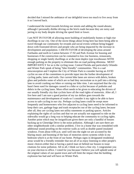decided that I missed the ambiance of our delightful town too much to live away from it so I moved back.

I understand the trend towards bricking our streets and adding the round-abouts; although I personally dislike driving on the brick roads because they are noisy and jarring to my body despite driving the speed limit or lower.

I am NOT IN FAVOR of allowing more building of multifamily homes or high-rise dwellings in our city. One of the nicest things about living here has been being able to travel through our community for errands and social events without being bogged down with frustrated drivers and people who are being impacted by the increase in development and population. I AM IN FAVOR of developing the areas around Fairbanks and north to Canton between 17-92 and Park Avenue for housing and businesses if the construction can be contained to low rise business, restaurants, shopping or single family dwellings or at the most duplex type townhouses WITH enough parking on the property to eliminate this on road parking dilemma. MOST IMPORTANTLY for us is the cycling issue. Central Florida and particularly Orlando and Winter Park speak of being "bike friendly" communities. This is a sad misconception and I implore the City of Winter Park to consider having an AVID cyclist on one of the committees to provide input into the further development of cycling paths, lanes and trails. Our current bike lanes are strewn with debris, broken glass and potholes some of which are so bad they necessitate us to pull into a driving lane to avoid crashing our bikes or ruining our bike rims. I am surprised that the city hasn't been sued for damages caused to a bike or cyclist because of potholes and debris in the cycling lanes. More effort needs to be given to educating the drivers of our usually friendly city that cyclists have all the road rights of motorists. After all, I live here and I am sure a good portion of my tax dollars goes towards the maintenance and development of roads-so I consider it my right to be able to have access to safe cycling in our city. Perhaps cycling lanes could be swept more frequently and homeowners who live adjacent to cycling lanes need to be informed to keep their cars, garbage bags and trash receptacles out of the cycling lanes; because after all, they are cycling lanes not utility easements or parking spaces. Articles explaining the rights of cyclists and that we are actually not supposed to ride on the sidewalks would go a long way to helping educate the community to cycling rights. Another point which may be insignificant given there are only a handful of houses backing up to Glenridge Drive is the noise pollution. Although I am sure there are other neighborhoods with a similar problem. I live in a home that was remodeled with additional sound proofing on the exterior walls as well as double paned insulated windows. From about 4:00 p.m. until well into the night we are accosted by the blaring music and booming of the bass of motorists stereo systems while in my bedroom which is at the front of our home. Perhaps signs in designated residential areas would be a friendly reminder that not all of us enjoy listening to other people's music choices-either that or having a patrol man sit behind our houses to issue citations for noise pollution. All in all, I think we have a fine city. I congratulate you on your election to office. I voted for you because I believe you will uphold some of the original values of our quaint town and will limit the impact that the building explosion has had and will have on Winter Park.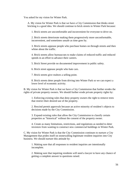You asked for my vision for Winter Park.

A. My vision for Winter Park is that we have a City Commission that thinks street bricking is a good idea. We should continue to brick streets in Winter Park because:

1. Brick streets are uncomfortable and inconvenient for everyone to drive on.

2. Brick streets deteriorate making them progressively more unconformable, inconvenient, and sometimes unsafe as time goes by.

3. Brick streets appease people who purchase homes on through streets and then whine about the traffic.

4. Brick streets allow bureaucrats to make claims of reduced traffic and reduced speeds in an effort to advance their careers.

5. Brick Street provide no documented improvement in public safety.

6. Brick street appease people who hate cars.

7. Brick streets give realtors a selling point.

8. Brick streets deter people from driving into Winter Park so we can expect a lower level of economic activity.

B. My vision for Winter Park is that we have a City Commission that further erodes the rights of private property owners. We should further erode private property rights by:

1. Enforcing existing rules that deny property owners the right to remove trees that restrict their desired use of the property.

2. Rescind permit approvals because an active minority of resident's objects to decisions made by the City Commission.

3. Expand existing rules that allow the City Commission to classify certain properties as "historical" without the consent of the property owner.

4. Create as many limitations, restrictions, and regulations as needed to deter investors from wanting to construct new commercial buildings in Winter Park.

C. My vision for Winter Park is that the City Commission continues to nurture a City Management that prides itself on stonewalling legitimate resident inquiries into City business. We should nurture this attitude by:

1. Making sure that all responses to resident inquiries are intentionally incomplete.

2. Making sure that inquiring residents will need a lawyer to have any chance of getting a complete answer to questions raised.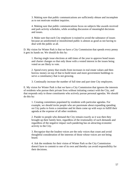3. Making sure that public communications are sufficiently obtuse and incomplete as to not motivate resident inquiries.

4. Making sure that public communications focus on subjects like awards received and park activity schedules, while avoiding discussion of meaningful decisions and issues.

4. Make sure that each City employee is trained to avoid the substance of issues because an uninformed or misinformed public is almost as good as not having to deal with the public at all.

D. My vision for Winter Park is that we have a City Commission that spends every penny it gets its hands on. We should do this by:

1. Having single issue elections at odd times of the year to approve bond issues and charter changes so that only those with a vested interest in the issues being voted on are likely to vote.

2. Spend every penny that results from increases in real estate values and then borrow money on top of that to build more and more government buildings to serve a constituency that is not growing.

3. Continually increase the number of full time and part time City employees.

E. My vision for Winter Park is that we have a City Commission that ignores the interests of residents who pursue their private lives without initiating contact with the City, and that responds only to those constituents who actively pursue personal agendas. We should do this by:

1. Creating committees populated by residents with particular agendas. For example, we should invite people who are passionate about expanding spending on City parks to form a committee and let them come up with ways to fulfill their agenda at the expense of all other residents.

2. Pander to people who demand the City remain exactly as it was then they brought up their family here, regardless of the irrationality of such demands and regardless of the negative impact such pandering has on attracting economic activity to the City.

3. Recognize that the loudest voices are the only voices that count and avoid thoughtful consideration of the interests of those whose voices are not being heard.

4. Ask the residents for their vision of Winter Park so the City Commission doesn't have to commit to one of its own and thereby can avoid responsibility for their decisions.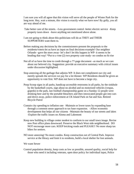I am sure you will all agree that this vision will serve all the people of Winter Park for the long term. Hey, wait a minute, this vision is exactly what we have now! By golly, you all are way ahead of me.

- Take better care of the streets. –Less government control -better electric service -Keep property taxes down -leave anything not mentioned above alone.
- I am not going to think about this-politicians will do as THEY and THEIR SUPPORTERS want them to.
- Before making any decisions by the commissioners-present the proposals to the residents/voters-let us have an input on final decisions-example! Our neighbor Orlando –gave the store away- let's don't let this happen in WP- it seems to be heading that way! \*Put to a vote (2) two property case study- no condos no hi-rise
- Not all of us have the time to comb through a 77-page document –as much as we care about our beloved city. Suggestion: provide an executive summary with critical issues under discussion highlighted.
- Stop annexing all the garbage that adjoins WP. It does not compliment our city and merely spreads the services we pay for a lot thinner. WP Residents should be given an opportunity to vote first. WP does not have to become a large city.
- Poop Scoop signs in all parks, handicap accessible restrooms in all parks, by the sinkhole by the basketball courts, sign about no alcohol and no motorized vehicles (vespas, gopeds) in the park, last football championship game on a Sunday 12 people were drinking beer and by the portable bleachers and then intoxicated people got into cars and drove away, police enforcement at CK Island Park on Sat and Sun. Retired Bicycle Patrol
- Contain city spending to inflation rate -Maintain or lower taxes by expanding base through a common sense approach to tax base expansion. –Allow economic development that helps all our citizens -Maintain the beauty of our streets and lakes -Explore the traffic issues on Aloma and Lakemont
- Keep new building in village center modest to conform to our small town image. Revise new Post office plans downward. Preserve the Black West side neighborhood. DO NOT encourage more cars. KEEP bricking roads and PLEASE!! No more sharp tax hikes for seniors.
- NO more annexing! No more condos. Keep construction out of Central Park. Improve service at the library and limit it to residents, build a local shelter for lost animals.
- We want Sewer
- Control population density, keep costs as low as possible, assured quality, social help for those who need it including veterans, open door policy for individual input, Police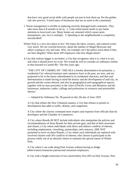that have very good social skills with people not just to lock them up. Put the golden rule into practice. Varied types of businesses that are an asset to the community.

- 1. Waste management is terrible at replacing severely damaged trash containers. They take more than 6-8 months to do so. 2. Code enforcement needs to pay better attention to lawn/yard care. Many homes are untamed which causes pests (mosquitoes, rats, etc) to multiply. 3. Speeding in the neighborhoods is completely uncontrolled!
- Winter Park is a very nice place to live. We enjoy the lakes, scenery, and cultural events very much. We are worried however, about the number of illegal Mexicans and others coming to city and state. Why, for example can't the police arrest them if they are here illegally? What about WP employers who hire illegal aliens?
- A City that realizes bigger is not better; a City that recognizes what it is, what it is not, and what it should never try to be. We would do well to consider an ordinance similar to that enacted in Carmel-By- The-Sea years ago:

"THE CITY OF CARMEL-BY -THE-SEA is hereby determined to be primarily, a residential City wherein business and commerce have in the past, are now, and are proposed to be in the future subordinated to its residential character; and that said determination is made having in mind the history and the development of said city, its growth and the causes thereof; and also its geographical and topographical aspects, together with its near proximity to the cities of Pacific Grove and Monterey and the businesses, industries, trades, callings and professions in existence and permissible therein."

--- Adopted by Ordinance No. 96 passed on this 5th day of June 1929

A City that refutes the New Urbanism mantra; a City that refuses to permit redevelopment that adds to traffic, density, and congestion;

A City where the citizens command more respect and response from officials than do developers and the Chamber of Commerce;

A City where Boards 00 NOT include individuals who manipulate the policies and recommendations of those Boards for their private gain, and that of their associates and clients; a City where individuals with direct and indirect conflicts of interest, including employment, consulting, partnerships, and contracts, ARE NOT permitted to serve on these Boards; a City where such individuals are replaced with involved citizens with NO conflicts of interest, who choose to participate in the process solely out of an altruistic desire to maintain the special nature of Winter Park;

A City where I can walk along Park Avenue without having to dodge tables/waiters/restaurant patrons/and restaurant employees;

A City with a height restriction of two-stories/thirty feet (30') on Park Avenue, New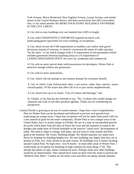York Avenue, Morse Boulevard, New England Avenue, Lyman Avenue, and similar streets in the Central Business district, and three-stories/forty feet (40') everywhere else; a City which permits NO MORE FOUR-STORY BUILDINGS ANYWHERE IN THE CITY LIMITS;

A City with no new buildings over one hundred feet (100') in length;

A City with CONSISTENTLY ENFORCED required set-backs with landscaping/green space/trees for every building, no exceptions;

A City which revises the FAR requirements so builders can't utilize with gravel driveways instead of concrete, to cleverly circumvent the intent of codes and play "by the rules;" a City which changes from a % requirement of non-permeable (which includes gravestone driveways/parking areas) to a % requirement of LANDSCAPED/GREEN SPACE for every lot, residential and commercial;

A City with no more special deals with/concessions for developers; Winter Park is attractive enough without any giveaways;

A City with no more annexations;

A City, which will not attempt to use eminent domain for economic benefit;

A City in which Code Enforcement takes a pro-active, rather than reactive, stance toward quality. Of life issues that affect all of us or just certain neighborhoods;

A City which lives up to its motto: "City of Culture and Heritage;" and

 IS. Finally, a City that bas the fortitude to say, "No," to those who would change our character and scale to suit their personal agendas. Thank you for considering my perspective.

Central Florida is growing in an out-of-control manner. I hope that a wise Comprehensive Plan for Winter Park can be developed and followed to prevent such growth from eradicating our unique town. I hope that exceptions will not be made when profit calls for a few instead of good for the entire community. Winter Park is not a unique town in the United States, but it is nearly unique in Florida. We are in a state of uncontrolled growth for profit which dates from the days of Ponce De Leon and the fountain of youth to the dredges that made most of Florida habitable to the massive "small town" developments of today. We need to adapt to change with plans, not just react to what sounds and feels good at the moment. My vision: Building Height: We should maintain our small town flavor by keeping our building heights low. No new buildings any higher than they are at present on Park Ave. from Aloma to the golf course. No buildings over 6 stories looming around Central Park. No high rises - over 8 stories - in most other areas of Winter Park. I would make an exception for buildings in high commercial areas along 17-92. This already has plenty of ugly, dense commercial areas. Perhaps some new taller buildings would be an improvement. They should have some set back from the street to prevent the "Baldwin Park affect." Condos are the latest craze and there are plenty already planned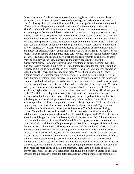for our city center. Evidently, someone on the planning board is due to make plenty of money on some of these projects. I assume they were given variances or was there no plan for the city already? I take full responsibility for my apathetic interest in the growth of Winter Park. The presently planned condos are all at the very high end in price. Therefore, they will add money to our tax system and may not generate too much traffic, as I would guess that they will be second or third homes for the majority. However, do we need more? Do these presently planned conform to our present plan for the city? The argument over the Carlisle seems to be too late. I agree with others that it is too tall and too close to the park. If it cannot be prevented, let's avoid more similar ones. If it must be built, can the developer be required to redesign and have a bigger setback from the road or fewer stories? Less expensive condos need to be reviewed in terms of density, traffic, and impact on schools, quality, and management. Our traffic is already too heavy for our roads. We don't need to add hundreds more cars to roads that can't handle what they have already. Any such condos should have strict parking requirements, sensible plans about entering and leaving the road, landscaping and quality architecture, and future management plans. How about teardowns and rebuilding of current housing? Does the plan address this change in our city? There are hundreds of smaller houses that could be replaced and it would be good for the city. However, lots used to be larger in proportion to the house. The lawns and trees are what make Winter Park so appealing. Today, gigantic houses are commonly placed on very small lots and the results can be seen in many housing developments in our area. I am not against tearing down an old house, but restraints need to be developed as to the size of the new house. The consideration should be how it would look if the entire neighborhood were the size of the new house. We want to keep our setbacks and side yards. These controls should be in place for the West side and lesser neighborhoods as well as the wealthier areas and central city. The development of the West Side is a real question. Will this continue to be a predominately Black section? What kind of constraints on building will be developed for this area? This is valuable property that developers would love to get their hands on. Gentrification is always a problem for those living in the old area. It always happens. Could our city learn by studying some other cities so we could be less harsh and uncaring? High standards should be kept for this section of town as well as others. Traffic I live near the high school. If the school buses and car traffic could be diverted to travel less through the neighborhood when the new roads open I would certainly appreciate it. Traffic circles are annoying and dangerous. I don't believe they should be continued. I don't know what can be done to eliminate traffic when all of Central Florida is growing at such a tremendous pace. I think that additional traffic police stopping people and giving out tickets will have the most effect. Other visions: The city does not expand the city limits unless the areas are closely identified with the current city (such as Winter Park Pines); and the utilities, services such as police and fire, etc. are fully funded to keep standards at present or above present levels. Winter Park continues to have a beautiful appearance due to continued tree planting and necessary cutting, park enhancements and upgrades, attractive signage, underground utilities, etc. Roads are maintained at a high level. Brick is not the surface of choice except in area like Park Ave., west side shopping, Farmers' Market. I am sure that brick roads are more costly to install and maintain. I feel there is no need to install uneven brick roads, as they will deteriorate soon enough to be uneven. Basic utilities and services are at a high level throughout the city, not just wealthier areas. I'm thinking of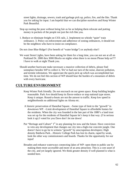street lights, drainage, sewers, trash and garbage pick up, police, fire, and the like. Thank you for asking for input. I am hopeful that we can discipline ourselves and Keep Winter Park Beautiful.

- Stop up rooting the poor without being fair as far as helping them relocate and putting money in pockets of the people not just the rich like you.
- 1. Reduce or eliminate freight on CSX rails. 2. Implement no whistle "quiet" train ordinance. 3. Policy on enforcement and adherence of zoning ordinances, it should not be the neighbors who have to insist on compliance.

Do not close Blue Ridge!! (For benefit of "water bridge") or anybody else!!

- We want Street Lights, have been asking for them for a long time, you can not see at all on Parkland Dr. 2800 thru 3000 Blocks on nights when there is no moon Please help us??? I have to walk at night Thank you.
- Should another hurricane make necessary a massive collection of debris, please find someplace besides WP to collect it. We've had our turn of the noise, dust/air pollution, and termite infestation. We appreciate the quick pick up which was accomplished last time. We do not feel this section of WP should bear the burden of a mountain of debris with every hurricane.

## **CULTURE/ENVIRONMENT**

- Keep Winter Park friendly. Do not encroach on our green space. Keep building heights reasonable. Park Ave should keep its flavor-reduce or stop national type stores. Keep it unique. Round-a-bouts are not the answer to traffic. Keep low speed in neighborhoods no additional lights on Aloma etc.
- A historic preservation of Hannibal Square. –Some type of limit to the "growth" in downtown WP. –Limit development of Hannibal Square to affordable homes for the residents. When the city was founded in the late part of the 1880's a land trust was set up for the residents of Hannibal Square let's keep it that way. (I'm serious look it up) I voted for you Dave don't let me down!
- Put "Heritage and Culture"  $1<sup>st</sup>$  in any planning for now and the future. Have conviction to veto any development that changes our city into a high-rise concrete jungle. One doesn't have to go far to witness "growth" by unscrupulous developers: High density Baldwin Park…Historic College Park has lost its charm, raped by weak, look the other way commissioners and boards. Thanks for the opportunity for our input!
- Broaden and enhance waterways connecting lakes of WP- open them to public use by making them more accessible and more of an area attraction. This is a core asset of the city, and yet largely ignored. We think greater density if well planned is what is needed here.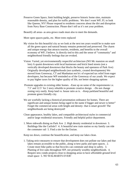Preserve Green Space, limit building height, preserve historic home sites, maintain reasonable density, and plan for traffic problems. We don't want WP, FL to look like Queens, NY! Please respond to residents concerns about the dirt and disruption from Navy Base Construction. Please don't tell us it's not your problem.

Beautify all areas- as area grows roads must also to meet the demands.

More open spaces-parks, etc. More trees replaced

- My vision for this beautiful city as we look at the next ten years would be to make sure all the green space and natural beauty remains protected and preserved. The charm and unique energy that attracts tourists, residents, and benefits to the overall economy of WP, I believe. Is directly tied to this and the sense of "community" and neighborhood friendly feelings that are evoked.
- Vision: Varied, yet environmentally respectful architecture (NO Mc mansion on small lots) A quaint downtown with local businesses and brick lined streets (not a vertically developed downtown that blocks the beauty and openness of Park Ave) Originally developed neighborhoods (not synthetic, created developments) We moved from Greenway, CT and Manhattan not b/c of expected tax relief from eager developers, but because WP reminded us of the Greenway of our youth. We expect to pay higher taxes for the higher quality of life, not better shopping options
- Promote upgrades to existing older homes. –Ease up on some of the requirements i.e. 7.5' and 12.5' for 2 story rebuilds to promote creative design. –Do not change zoning very easily. Keep land vs. house ratio as is. –Keep parkland beautiful and promote green friendly city.
- We are woefully lacking a historical presentation ordinance for homes. There are significant and unique homes being raged in the name if bigger and newer is better" Forget the commercial areas with height and density- that is smart growth! The neighborhoods are being destroyed!
- Clean appearance, healthy lakes, and compatible architectural styles in commercial and/or large residential structures. Friendly and helpful police department.
- 1. More sidewalk dining on Park Ave 2. High density residential in downtown 3. Buildings like the Carlisle!! 4. A beautiful new train station so my family can ride the commuter rail 5. Find a site for the Enzian.

Keep tax down, continue the beautification, and keep our lakes clean.

1. Taking strict measures to ensure that development does not pollute our lakes and that lakes remain accessible to the public, along w/new parks and open spaces. 2. Create more bike paths so that bicycles can commute and shop in safety. 3. Planting of live oaks throughout WP, not primarily wealthy neighborhoods. 4. Require new condo projects close to shopping areas to have affordable ground level retail space 5. NO WALMARTS EVER!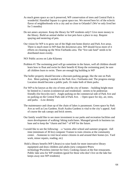- As much green space as can b preserved, WP conservation of trees and Central Park is wonderful. Hannibal Square is a great space too. We moved here b/c of the eclectic flavor of neighborhoods w/in a city and so close to Orlando!! (We've only lived her for 5 months)
- Do not annex anymore. Keep the library for WP residents only!! Give more money to the library. Build an animal shelter so lost pets have a place to stay. Require spaying and neutering of pets.
- Our vision for WP is to grow out of the High rent home district and Park Ave areas. There is much more to WP than the downtown area. WP should focus more of it efforts on cleaning up the West Fairbanks area. The "live oak fund" needs to be distributed more evenly.
- NO! Public access on Lake Kilarney
- Problem #1 The swimming pool will go sometime in the future, well all children should learn how to float and swim for their benefit #2 Keep the swimming pool, be sure all children learn to swim. There are enough big building in WP
- The holler property should become a discount-parking garage, like the one on Park Ave. More parking I needed on the Park Ave./ Fairbanks end. The progress energy Location should become a public park. Or make both of them parks.
- For WP to be known as the city of trees and the city of homes building height must be limited to 2 stories (commercial and residential) -streets to be pedestrian friendly (for bicycles too!) -Angle parking on the commercial side of Park Ave and no parking on the Central Park side of Park Ave. – Open space for sky, air, trees, and parks. –Low density
- The maintenance and clean up of the chain of lakes is paramount. Green space by Park Ave as well as Leu Gardens. Kraft Azalea Gardens is vital to the city's appeal. And of course the oak canopy and brick streets.
- Our family would like to see more investment in our parks and recreation facilities and more development of walking/ biking trails/lanes. Managed growth in business tax base and to keep the "charm and feel " of WP for the future.
- I would like to see the following: a 'tweens after school and summer program -full time (minimum of 30 hrs) computer Trainee to train citizens at the community center. –Someone to visit local senior citizens in and around their homes (ex. Yard work, minor repairs, reading, etc)

 Hold a library benefit (WP Library) to raise funds for more innovative library equipment and draw children and adults (new computers  $\rightarrow$  new technology $\rightarrow$  wireless internet for free). Cooking classes at the fine restaurants. Public lake area for WP residents (good for those who don't live on the lake but keeps away non WP residents)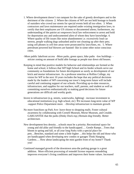- 1. Where development doesn't run rampant for the sake of greedy developers and to the detriment of the citizens 2. Where the citizens of WP are not held hostage to hoards of outsiders who crowd our streets for special events held all too often. 3. When contractors and lawn maintenance are required under existing immigration laws, to certify that their employees are US citizens or documented aliens; furthermore, my understanding of the patriot act empowers local law enforcement to arrest and hold for deportation any and undocumented alien of whom they have knowledge. 4. Where quality of life issues like noise abandonment i.e. excessively loud car stereos, people walking dogs unleashed and/or not cleaning up after their pets; using cell phones in cell free areas-were prosecuted by laws/fines, etc. 5. Where petroleum powered leaf blowers are banned- like in some other noise conscious cities.
- -More public lakefront access -More parks, green space, bike paths -low buildings stricter zoning on amount of build able footage as people tear down old houses.
- Keeping in mind that positive models for behavior and relationships are formed at the home and school, it follows that WP high School and its feeder schools serve our community as foundations for future development as surely as development of our brick and mortar infrastructure. As a professor emeritus at Rollins College, my vision for WP in the next 10 years includes the hope that any political decisions made by the leaders of WP concerning our town's long-term future will include careful and continuing support of our schools. Providing up-to-date resources, infrastructure, and supplies for our teachers, staff, parents, and student as well as committing ourselves enthusiastically to making good decisions for future generations are difficult and worthy goals.
- Invest in infrastructure (e.g. streets, waterworks, lighting) -increase investment in educational institutions (e.g. high school, etc)  $\rightarrow$  it increases long-term value of WP -support Police Department more. –Develop infrastructure to maintain growth
- No more franchises up Park Ave- leave those to shopping malls. Foster cultural awareness by collaborating with Cornell Museum, Morse Museum, and Crealde. GARUANTEE that the parks (Dinky Dock esp.) Remain dog friendly. Better architecture.
- New development-less density…schools must be a priority; Recreational space for young and old alike and friendly to the handicapped…. Gentle Ramps…Trees that bloom in spring and fall, or all year long Parks with a special place for pets…Benches, standard and some a little higher …this helps the old and those who are handicapped when developing new condos or garages Think Hanging Gardens…. How about landscaping the mini garden front of my home?! Thank you!
- Continued managed growth of the downtown area-the parking garage is a great addition. More efficient processing of remodel license requests remodeling improves everyone's living conditions and improves their home values. Increased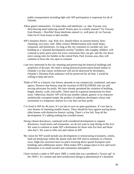public transportation including light rails WP participation is important for all of Orlando.

- Allow gated communities. To keep lakes and lakefronts- i.e. lake Tuscany very dirty/fencing need replacing rusted! Streets pave in a timely manner! Via Tuscany from Horatio = Horrible! Keep lakefronts natural i.e. wall putey @ via Tuscany Oaks lot #1 from house to lake terrible.
- WP's business district –esp. Park Ave, should follow its present historic lines: charming, two-story, mid- 20thc century Mediterranean style small shops, restaurant, and businesses. As long as the city continues to consider any size building as a "planned development overlay" builders, like naughty children, will continue to press press press for every concession they can get- and the city down strict zoning rules for builder in the central Park, Park Avenue area, they will continue to leave the city open to constant
- I am very interested in the city retaining and preserving the historical buildings and properties of the past. We need a strong historical preservation board similar to Orlando's so that classic architecture will not be destroyed by developers. Orlando's Thornton Park ambiance will be preserved for all time. I would be willing to help and serve.
- Think of WP as a historic city-history abounds in our commercial, residential, and open spaces. Preserve that history-stop the invasion of DEVELOPERS who are selfserving advocates for profit. We have already permitted the violation of building, height, density, scale, and traffic. There must be a general moratorium for three years. Otherwise, historic WP will be just another suburb, generic in its characteraesthetically corrupted-simply the product of ambitious developers whose only investment is a temporary interest in a city that can bear profit.
- I've lived in WP for 46 years. It's too late to save its quiet quaintness. It's too late to save dozens of charming smaller homes. There should be laws against tearing down older homes with distinctive historic styling. There's a few left. Stop all the development. It's adding nothing but crowded streets.
- Strong vibrant downtown, continued well-considered development to support downtown. Good stores and restaurants- we do not want to stop dining on the Ave. We want to continue to make WP a destination for those who live here and those who don't. We want to offer arts and culture in WP.
- My vision for WP would include any development or restructuring of property, streets, land use being kept within the quaint style that WP tried to maintain as a historic town. High-rise structures have no place towering above quaint European style buildings and cobblestone streets. What makes WP a unique place to live and travel destination is its small townful and community atmosphere.
- I have owned a condo in WP since 1989, a condo that was considered a "luxury apt" in the 1950's. It's cement and steel architectural design is phenomenal-It's beautiful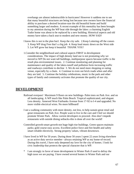overhangs are almost indestructible in hurricanes! However it saddens me to see that many beautiful structures are being lost because new owners have the financial ability to purchase a desired location-raze the old beautiful home and build something larger and modern. A recent example of this mentality has been brought to my attention during the WP boat ride through the lakes: a charming English Tudor home was about to be replaced by a new building. Historical aspects and old money have taken a back seat to modern and new money. HOW SAD!

- I know this is not in the plan but1. Keep the city safe. 2.Keep Loitering off the conors 3. Keep WP drug Free that's a big job 4. Keep loud music down on the West side 5. Let WP grow but keep it beautiful THANK YOU!
- 1.Consider the neighborhood and cultural aspects FIRST in development considerations. The impact of high density land use is not promoting why we moved to WP Do not want tall buildings, multipurpose spaces because traffic is the result plus environmental issues. 2. Continue monitoring and planning for maintenance and quality of the lakes-runoff and pollution form increasing traffic and roadways contribute to decline 3. We do not need more shopping or eating venue, especially by a chain. 4. Continue to even out brick roads when and after they are laid. 5. Continue the holiday celebrations, music in the park and other types of family and community activates that promote the quality of our city.

#### **DEVELOPMENT**

- Railroad overpass! Maximum 9 floors on new buildings- Palm trees on Park Ave. and on all landscaping. A WP much like Palm Beach: Tropical sophisticated, and elegant. Less density. Annexed West Fairbanks Avenue from 17-92 to I-4 and upgraded. No more visible electrical wires. No more billboard!
- I see a walking community with more density, not less, to help sustain great retail and great restaurants on Park Ave. People want to live in the care and I feel we should promote Winter Park. Allow current developers to proceed. Also don't impede restaurants with outside dining setbacks-this is done all over the world!
- Controlled growth-smart growth-not huge high-rise buildings. Green spaces-maintain parks; gold course easy access. Excellent police force and fire-health and safety smart reliable electricity. Strong property values, vibrant downtown.
- I have lived in WP for 50 years. During those 50 years I spent 22 years living elsewhere as an active duty service member –always retaining WP as my home-of-record. During this travel, I have only deepened my love for the city of homes. I look for civic leadership that protects the special character that is WP.
- \* I am strongly in favor of more development in Winter Park if used to defray the high taxes we are paying. I have owned several homes in Winter Park and our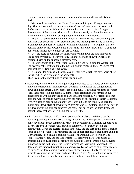current taxes are so high that we must question whether we will retire in Winter Park!

\* We must drive past both the Holler Chevrolet and Progress Energy sites every day. They are extremely unattractive and rundown and in no way consistent with the beauty of the rest of Winter Park. I am unhappy that the city is holding up development of these tracts. They would make very lovely residential townhouses or condominiums and might or might not have retail/office included.

\* Re the Comprehensive Plan: I am somewhat less concerned about the height of buildings than about the size of sidewalk setbacks. Building essentially to the curb is unattractive and does not foster a "walking environment." The height of the new building on the corner of Canton and Park seems suitable for New York Avenue but not for any further development of Park Avenue.

\* Yes, the scale of buildings is critically important but we are also in favor of strong property rights. I believe the city is honor bound to allow the Carlisle to continue based on the approvals already given.

\* The current site of the Post Office is quite ugly and not fitting for Winter Park. For heavens sake, let them build the Carlisle and fix things up there! We need that new post office. Don't let it get away.

It is unfair for citizens to bear the cost of legal fees to fight the developers of the Carlisle when the city granted the approvals.

Thank you for the opportunity to share my opinions.

- In answer to growth in Winter Park, big developments need to be slowed down especially in the older residential neighborhoods. Old ranch style homes are being knocked down and much larger 2 story homes are being built. As life long residents of Winter Park, these homes do not belong. A homeowners association was formed in our neighborhood without knowledge of many longtime residents. New residents come here and want to change everything, even the name of our section of North Lakemont Ave. We used to play on Lakemont when it was a 2-lane dirt road. Also keep the quaint home town style of downtown Winter Park, no tall buildings and do not bow to the developers who only see concrete and stone, but fail to see the grass, trees, and natural spaces that are slowly being done away with.
- I think, if anything, the City suffers from "paralysis by analysis" and drags out the permitting and approval process too long, allowing too much input by citizens who don't have a clue about commercial real estate development. I am fully supportive of all new projects in Winter Park, provided that they are of quality design and construction. Given the scarcity of land in the city, and the cost of that land, it makes sense to allow developers to maximize the use of each site; and if that means going up 5 or 6 stories, I don't have a problem with it. The Denning Drive corridor, The Progress Energy sites, and the Holler sites—all deserve to have large mixed-use projects in place. Even after all projects are built out, I don't foresee a huge adverse impact on traffic in the area. The Carlisle project has every right to proceed. The developer has jumped through enough hoops already. As long as all of these projects go through the development review process already in place, I only see the new projects as enhancing the charm and character of Winter Park….not taking away from it. I would rather see quality mixed-use projects than vacant lots, or an empty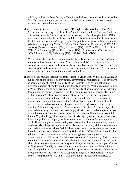building, such as the State facility at Denning and Morse. I would also like to see the City Hall re-development get back on track, before increases in construction costs increase the budget that much more.

More to follow just wanted to weigh in on CBD heights early..have fun. ...That Park Avenue and intersecting roads from 1 to 2 blocks on each side of Park Ave (including Fairbanks) should be 1 or 2 story buildings..no more. ...That throughout the CBD no more than 3 stories should be allowed and then only with front and back setbacks and the 3rd floor set back at a 45 degree angle. I hope this information will help you make a decision to support my Vision for Winter Park. Park Ave: 16 one story (35%), 25 two story  $(54\%)$ , 4 three story $(9\%)$ , 1 six story.  $(2\%)$  46 Total Bldg. on Park Ave. CBD \*\*: 42 one story  $(28\%)$ , 76 two story  $(51\%)$ , 13 three story  $(9\%)$ , 13 4 story (9%), 2 five story (1%), 3 six story (2%). 149 Total Bldg. CBD\*\*

\*\*The information has been documented for Park, Knowles, Interlachen, and New York as well as Canton, Morse, and New England with N/S streets going from Swoope to Fairbanks and in the case of Knowles to Lyman and the E/W streets going from Virginia to the east side of Interlachen. It is interesting that Park Avenue seems to mirror the percentages for the remainder of the CBD.

Thank you very much for asking residents what their vision is for Winter Park. Although public workshops on projects may satisfy governmental requirements, it doesn't give an accurate view of what the majority of the residents want. We do not support increased numbers of condos and higher density structures. What attracted our family to Winter Park is the family environment, the quality of schools and the low-density development as compared to other Florida urban areas of similar quality. The image we had was of a "village" reminiscent of New England or Europe. Condos and increased density of development doesn't attract people who are trying to raise families, and certainly does not give the "village" feel. Higher density will further increase traffic and overwhelm what makes areas like Park Avenue attractive to families. Before moving to Winter Park, we often visited Park Avenue to enjoy the park and the nearby restaurants with our boy-girl twins. We could often park in close proximity to a restaurant we choose to patron, and this is still true today. We think that the City should not allow replacement of existing city owned property, such as the existing City Hall property, with structures that cover the entire area and city block. The existing mature trees and grass areas of this block are an amenity to the residents. Also, the planed scale of the Carlisle project is utterly ridiculous to anyone who understands what Winter Park has been about. Are private-public partnerships the only way that we can have a new City Hall and Post Office? We also would like to know if there have been any studies or investigations into improving the connectivity of the SE section (i.e. Windsong/Winter Park Pines area) of Winter Park to the Park Avenue core area. Presently, the only connection is through Osceola Ave. This 4-lane connection with traffic at speeds always greater than what is posted is not at all pedestrian friendly. Has consideration been given to reducing the number of lanes through this area so that it is not used as a primary east-west route for cars to cut through the City? And finally, we do support having a City Architectural Review Board (ARB). However, we think it is important that the board be comprised of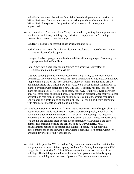individuals that are not benefiting financially from development, even outside the Winter Park area. Once again thank you for asking residents what their vision is for Winter Park. A response to the questions asked above would be very much appreciated.

- We envision Winter Park as an Urban Village surrounded by 4 story buildings in a oneblock radius and 5 story buildings beyond with NO equipment HVAC on top! Comments on current recent buildings:
	- SunTrust Building is successful. It has articulation and trees.
	- Park Place is not successful. It has inadequate articulation. It is too close to Canton Ave. Inadequate landscaping.
	- Garages: SunTrust garage should be the model for all future garages. Poor design on garage attached to Park Place.
	- Bank America is a very nice building ruined by a white half-story floor of equipment on top that is very visible.

Disallow building permits without adequate on-site parking, i.e. new Chamber of Commerce. They will overflow onto the streets and not use off-site area. Do not allow shop owners to park on the street and move their cars. Many are not using off-site parking lot. Build the Carlisle. New York Ave. looks awful. Enlarge Central Park as planned. Proceed with design for a new City Hall. It is badly needed. Proceed with plans for Enzian Theater. It will be an asset. Park Ave. Retail Area: Keep core with one, two, three-story buildings. For major construction projects: Since many residents are unable to read plans or visualize building scale, you might consider requiring a scale model on a scale site to be available at City Hall for 3 mos. before permitting with blank scale models of contiguous buildings.

- We have been residents of Winter Park for 41 years. Have seen many changes, all for the better. However, we do recall friends, mostly professional people, move from the community after retirement because of a lack of suitable housing. The majority moved to the Orlando Country Club area because of the town houses that were built. We should and can keep these people in our community with Condo's and town homes. This means increasing the density, so be it. Our wonderful retail establishments need to be supported and that takes people. We support what developments are on the drawing board. Create a beautiful town center, within . We are not in favor of growth by annexation.
- We think that the plan that WP has had for 15 years has served us well up until the last few years. 2 stories and 30 feet is plenty for Park Ave. 3 story buildings in the CBD. Height should be stories AND feet. It's nice to see the trees over the tops of the buildings. The buildings should be set back as far as possible, with landscaping between the buildings and the street if possible. The one-on-one review on a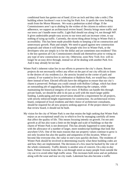conditional basis has gotten out of hand. (Give an inch and they take a mile.) The building where Jacobson's was is too big for Park Ave. It spoils the view looking south from the Morse Museum. We want a pedestrian scaled village. If the Commissioners aren't up to abiding by the wishes of the citizens to enforce strict adherence, we support an architectural review board. Density brings more traffic and our town can't handle more traffic. Light Rail should run along I-4, not through WP. It gives undesirable people easy access to our town and can increase crime, to say nothing of tying up traffic. Currently, the nicest thing about living in Winter Park is accessibility. This has been made possible thanks to keeping a lid on construction and unnecessary growth. Plain and simple. We need to guard against new construction proposals and whom it will benefit. The people who live in Winter Park, or the developers who are simply in it for the dollar and are sometimes non-residents? This is the key question all City Commissioners should ask themselves prior to voting on any type of new construction in our city. Otherwise, soon New York Ave. will no longer be an easy drive through, instead we all be dealing with another Park Ave. And it may already be too late.

- Winter Park's inherent value lies in our efforts to preserve the city's charm. Recent projects do not necessarily reflect any effort on the part of our city officials to listen to the desires of city residents (i.e. the atrocity located on the corner of park and canton). If we wanted to live in celebration or Baldwin Park, we would buy a home there instead of here. Elected officials have the obligation to ensure that our city's charm is preserved. Perhaps you could consult with Rollins College, which has done an outstanding job of upgrading facilities and enhancing the campus, while maintaining the historical integrity of our town. If Rollins can handle this through private funds, we should be able to do just as well with the much larger public funding. Landscaping and tree preservation should be a requirement for all projects, with strictly enforced height requirements for construction. An architectural review board, composed of local residents and their choice of architecture consultants, should be required for all new projects seeking approval. If the project doesn't pass that review board, it should not be built.
- My vision for the city of Winter Park is one that retains the high ranking that Winter Park enjoys as an exceptional small city in which to live by managing carefully all items that affect the quality of life. This means focusing intently on growth. I'm not antigrowth at all but also want a limit on the height and scale of buildings so that the charm of Winter Park is not destroyed. This has already happened to some degree with the allowance of a number of larger, more nondescript buildings that look like anywhere USA. One of the main reasons that our property values continue to grow is not only location but also the quality and uniqueness of this location. When we become like everyone else, the value in one's eyes quickly declines. The residents of Winter Park should be involved in determining exactly what these building codes are and how they are implemented. The decisions of a few must be backed by the vote of the whole community. Traffic density is another area of concern. On a day-to-day basis, Palmer Avenue looks like a cut-through street as many people from outside the city use it to avoid other high traffic areas. This increases both noise and air pollution along with the wear and tear on city roads. Lakemont has also become a traffic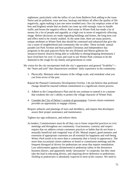nightmare, particularly with the influx of cars from Baldwin Park adding to the issue. Noise and air pollution, wear and tear, backups and delays all affect the quality of life negatively, again making it just one more troubled area. Our city employs some of the best and brightest minds that no doubt can come up with strategic ways to handle traffic and lessen the negative effects. Real estate in Winter Park has made a lot of money for a lot of people and arguably at a high cost in terms of negatively affecting image. Before decisions are made regarding buildings and homes, the long term cost and effect need to be closely studied. At the same time, there are many positive, unique attributes to Winter Park that should be continued and enhanced that give the city a sense of neighborhood and community like no other. These include: annual parades (on Park Avenue and boat parade) Christmas and Independence day programs in the park popcorn flicks the arts (Polasek and Morse galleries for instance) historic districts being able to walk/bike to dining/shopping destinations I have lived here for over 15 years and want to see Winter Park continue to be the diamond in the rough for my family and generations to come

- My vision for the city incorporates both the city's appearance and general "livability"-- the "heart and soul" that characterizes residents' daily experience in the community.
	- 1. Physically: Maintain what remains of the village scale, and remediate what you can from errors of the past.
	- Repeal the Planned Community Development Overlay. I do not believe that profound change should be enacted without commitment to a significant citizen process.
	- 3. Adhere to the Comprehensive Plan and do not continue to amend it in a manner that weakens the city's ability to protect the village character of Winter Park.
	- 4. Consider the City of Delray's system of government. Current citizen sentiment provides an opportunity to engage citizens.
	- Require setbacks and plantings of trees and shrubbery, and require that developers assure their proper sustenance and maintenance.
	- Tighten our sign ordinances, and enforce them.
	- As leaders, Commissioners must do all they can to foster respectful practices in civic meetings and throughout our community. Graciousness, courtesy and respect require that we address certain customary practices or habits that do not foster a mutually beneficial and congenial way of life. Mutual respect, good manners and extension of appropriate courtesies are all essential for happiness and well-being. *Winter Park needs to be more than a community that is lovely in appearance*. The more than occasional citizen rudeness in board or commission meetings and the frequent disregard of drivers for pedestrians are areas that require remediation. Law enforcement appears disinterested in pedestrian safety in the downtown business district, and apparently needs "persuasion" to cooperate, but they must take the lead in educating drivers, and requiring driver deference to pedestrians. *Yielding to pedestrians is absolutely required in most of the country.* We need to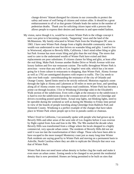change drivers' blatant disregard for citizens in our crosswalks to protect the safety and sense of well being of citizens and visitors alike. It should be a great embarrassment to all of us that greater Orlando leads the nation in the number of pedestrian deaths. Thank you for soliciting citizen input with a process that allows people to express their desires and interests in and open-ended fashion.

My vision, naive though it is, would be to return Winter Park to the village concept it once was prior to it becoming a trendy, "happening" town and the land of the McMansions. My family relocated to Winter Park from the Washington DC area in 1965. I have seen Winter Park change from a highly desirable community where wealth was understated to one that thrives on wannabe bling and glitz. I used to live in Westwood, adjacent to Beverly Hills, California. I don't mind either bling or glitz but Park Avenue has more ersatz bling and glitz than the real thing. The stores that used to cater to the understated wealth of Winter Park have exited and their replacements are poor substitutes. If citizens clamor for bling and glitz, at least offer the real thing. Make Park Avenue another Rodeo Drive or Worth Avenue with true luxury fashion and five star restaurant cuisine. The traffic throughout Winter Park is atrocious - worse than any traffic on Los Angeles' west side, which has a lot more going for it from culture to restaurants to shopping, than Winter Park. Aloma Avenue as well as 1792 are unmitigated disasters with respect to traffic. The City needs to take over both roads - notwithstanding the resistance of the city of Orlando and Orange County. Speed limits need to be strictly enforced. Motorists regularly zoom through the light at Aloma and Lakemont at 50 miles or more per hour, and speeding along all of Aloma creates very dangerous road conditions. Winter Park has become a prime cut through location. I live in Windsong (Glenridge side) in the Elizabeth's Walk section of the subdivision. Even with a light at the entrance to the subdivision it is hard to exit the subdivision due to the constant stream of traffic on Glenridge and drivers exceeding posted speed limits. Actual stop lights, not blinking lights, need to be operable during the weekend as well as during the Monday to Friday time period in view of the hoards of people traveling along Glenridge from Baldwin Park and Seminole County. Windsong is a perfect example of the changes that have taken place in Winter Park where people opt to live in pseudo castles or chateaus.

When I lived in California, I occasionally spoke with people who had grown up in Beverly Hills and other areas of the west side of Los Angeles before it was overrun by flight capital from Asia and Iran in the '80s. The '80s marked the decade when Beverly Hills was transformed from a village where the locals shopped to a highly commercial, very upscale urban center. The residents of Beverly Hills did not see until it was too late the transformation of their village. Those who have been able to have escaped to the more tranquil Monterrey coast just as many long time Winter Park residents are saying good by to Winter Park and moving on a permanent basis to Ashville, North Carolina where they are able to replicate the lifestyle that once was that of Winter Park.

Winter Park does not need more urban density to further clog the roads and make it even more an urban center. Zoning needs to be changed to not permit the residential density that is now permitted. Homes are being permitted to be built on sites that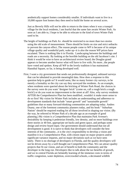aesthetically support homes considerably smaller. If individuals want to live in a 10,000 square foot homes they then need to build the home on several acres.

Just as Beverly Hills will not be able to return to the times when it was a tranquil village for the local residents, I am fearful that the same fate awaits Winter Park. As soon as I am able to, I hope to be able to relocate to the kind of town Winter Park used to be.

- The height of buildings on Park Av. should be restricted to no more than two stories using the old scale of measurement. There should be limits on size and strict setbacks to prevent the canyon effect..The reason people come to WP is because of its unique village quality and wonderful park; wake up--it is also the reason WP prices have escalated. There is nothing like it in Florida. Landscaping between the buildings and roads are a necessity. By looking at the horrible building on the old Jacobson's site. I think it would be wise to have an architectural review board; the Douglas grand appears to become another horror what will have to live with..No more...the people have voted and spoken. Keep all WP in the lovely tradition it has maintained. Hannibal Square, so far, is being developed well.
- First, I want a city government that sends out professionally designed, unbiased surveys that can be tabulated to provide meaningful data. How does a response to this question help to guide us? It would seem, like so many former city surveys, to be merely a formality so the city can say they surveyed the residents. As an example, when residents were queried about the bricking of Winter Park Road, the choices in the survey were do you want "designer brick" (come on, call a rough brick a rough brick!) or do you want no improvement to the street at all? Also, why survey residents AFTER the Comprehensive Plan has been modified...wouldn't it make more sense to do so first? My vision for Winter Park includes an understanding and adherence to development standards that include "smart growth" and "sustainable growth" guidelines that so many forward-thinking communities are adopting today. Andres Duany, one of the foremost community planners today, and his book " Suburban Nation" should be required reading for all those involved in shaping our vision. (By the way, he referred to Winter Park of a decade ago as an example of good planning.) My vision is a Comprehensive Plan that maintains Park Avenue's desirability by keeping it pedestrian friendly, low density, and no more buildings over three stories or 40 feet, appropriate set backs and green space, and perhaps some design and review board input. Our government should understand that not all development is good. It is naive to think that developers will consider the best interests of the community...it is the city's responsibility to develop a vision and manifest it in a Comprehensive Plan, with citizen input on major projects and/or significant variance requests, and no major deviations such as we have seen lately. There is no shortage of developers in Florida, and the quality developers will not be driven away by a well thought out Comprehensive Plan. We can attract quality projects that fit our vision, and are of benefit to both the community and the developer in the long run. Developers like to talk about the tax benefits of growth, and we in central Florida are belatedly learning of the immense costs in terms of traffic congestion, water depletion, overcrowded schools, a decimated wildlife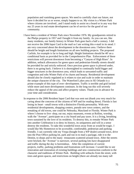population and vanishing green spaces. We need to carefully chart our future, not have it decided for us or worse, simply happen to us. My vision is a Winter Park where citizens are involved...and I stand ready to assist on a board or in any way that my 25 years in real estate development can be of service for the good of our community.

- I have been a resident of Winter Park since November 1976. My grandparents retired to the Phelps property in 1957 and I bought it from my family. As you can see, like many residents, our family history in Winter Park goes back a half a century. I did not receive the 2006 Input Card in the mail so I am writing this e-mail in its stead. I am very concerned about the development in the downtown area. I believe there should be height and length limitations on all new building projects. The proposed Carlisle, for example is far to long and high. Height limitations should be 40' on a conditional basis as provided for in the Comprehensive Plan. Enforcement of these restrictions will prevent downtown from becoming a "Canyon of High Rises". In addition, setback allowances for green space and pedestrian-friendly streets should be provided for and strictly enforced. Once precious green space is plowed under, there is no going back. I believe it is shortsighted to continually build bigger and bigger structures in the downtown area, which leads to unwanted traffic and congestion and robs Winter Park of its charm and beauty. Residential development should also be closely regulated as it relates to size and scale in order to maintain the unique character of the city. The Waterford Lakes area in SE Orlando is a prime example of this type of over--development. Traffic is terrible and grid locked while more and more development continues. In the long run this will severely reduce the appeal of the area and affect property values. Thank you in advance for your time and consideration.
- In response to the 2006 Resident Input Card that was sent out (thank you very much for caring about the concerns of the citizens of WP and for reading these). Florida is fast losing its heart - small towns with a distinctive Florida personality. With new residential developments, shopping centers, pseudo new town centers, and the remaking of old towns, one could be Nebraska, Maryland or Florida. Winter Park is where I choose to live- shop, eat out, enjoy museums, events at Rollins, worship, walk the "Avenue", participate on a city board and pay taxes. It is a living, breathing town sustained by the love of its residents. To destroy this, to remake Winter Park into another Celebration is to deny its history, its uniqueness and will in a sense destroy the residents. To take this wonderful town away from us would be tragic. I would like My Hometown to be accessible, comfortable, pedestrian and parking friendly. I can currently ride my Vespa (bought from a WP dealer) around town, drive into the Post Office parking lot, park and run in to mail a package, ride it to the Dentist, to shops and to the many restaurants scattered around town. After the streets were bricked, the "Avenue" is narrower, several parking lots have disappeared and traffic during the day is horrendous. After the completion of current projects, traffic, parking problems and frustrations will increase. I would like to see renovation and restoration of existing buildings and new construction conform to the character and traditions of Winter Park. Building with setbacks from the street, with trees and green spaces, and restrictions on height (there are already too many tall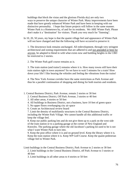buildings that block the vistas and the glorious Florida sky) are only two ways to preserve the unique character of Winter Park. Many improvements have been made that have greatly enhanced Winter Park and have been in keeping with our distinctive personality. I hope that future projects will follow in the same manner. Winter Park is a Hometown by, of and for its residents. We ARE Winter Park. Please don't make it a "destination" for visitors. Thank you very much for "listening".

In 10, 20, 50 years, my hope is that the quaint village feel and appearance of Winter Park will not have changed and that the following will have occurred to preserve it:

1. The downtown look remains unchanged. All redevelopment, through very stringent architectural and zoning requirements that are adhered to and not amended or bent for anyone, be adapted to blend in with what exists now and building heights in the CBD be restricted to 2 stories.

2. The Winter Park golf course remains as is.

3. The train station (and trains!) remains where it is. How many towns still have their train station right in town anymore? So we have to wait 5 minutes for a train! Slow down your life! I like hearing the whistles and feeling the vibrations from the trains!

4. The New York Avenue corridor have the same restrictions as Park Avenue and thus be a parallel continuation of shopping and dining for both tourists and residents.

1. Central Business District, Park Avenue, remain 2 stories or 30 feet

- 2. Central Business District, Off Park Avenue, 3 stories or 40 feet
- 3. All other areas, 4 stories or 50 feet
- 4. All buildings in Business District, not a business, have 10 feet of green space
- 5. No upper floors overhanging city air space
- 6. Create an Architectural review board

7. Limit the density of multifamily structures in the Central Business District, including the Winter Park Village. We cannot handle all this additional traffic or keep the village feel.

8. Keep our public parking lots and do not give them up to a park on the west side of the train station or to a parking garage at the corner of New England and Knowles. The parking garage where the old Jacobson's parking lot used to be is not what I want Winter Park to turn into.

9. Keep the post office where it is and on ground level. Keep the library where it is. Keep the train station where it is. Keep WP Golf Course. Keep the quaint pedestrian village feel to Winter Park.

Limit buildings in the Central Business District, Park Avenue to 2 stories or 30 feet 2. Limit buildings in the Central Business District, off Park Avenue to 3 stories or 40 feet

3. Limit buildings in all other areas to 4 stories or 50 feet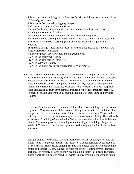4. Mandate that all buildings in the Business District, which are not a business, have 10 feet of green space

5. Ban upper floors overhanging city air space

6. Create an Architectural Review Board

7. Limit the density of multifamily structures in the Central Business District, including the Winter Park Village.

We cannot handle all this additional traffic or keep the village feel.

8. Keep our public parking lots and do not give them up to a park on the west side of the train station or to a parking garage at the corner of New England and Knowles.

The parking garage where the old Jacobson's parking lot used to be is not what we want Winter Park to turn into.

9. Keep the post office where it is and on ground level.

10. Keep the library where it is.

11. Keep the train station where it is.

12. Keep WP Golf Course.

13. Keep the quaint pedestrian village feel to Winter Park.

Setbacks – These should be mandatory and based on building height. Do not give them up in exchange for other building features. No more "colonnade" tunnels for people to walk under (Park Place, Carlisle) so that buildings can be built out flush to the curb. No more balconies hanging over the right of way. Setbacks are important in single-family residential areas too, especially front setbacks. Our lovely deep front yards distinguish us from developments inspired by the "new urbanism" craze. All setbacks of buildings more than 25 feet tall should have landscaping and/or water features.

Heights – Base these on feet, not stories. I think three-story buildings are fine for our city center. *However*, a normal three-story building measures 30 feet; add 5 feet for a parapet or roof feature and that makes 35 feet. It is inexcusable for a 55-foot-tall building to be referred to as a three-story or even a four-story building. The Carlisle is a "four-story" building 60 feet tall with 72-foot towers – where does it end? The term "stories" is meaningless and misleading when referring to a building's height. A height of 55 feet is too tall for the city center. Write height guidelines based on feet, not stories.

Sunlight angles – No sunless "canyons" formed by too-tall buildings crowding the curbs. Along with proper setbacks, the facades of a building should be terraced back if necessary so that the entire building fits into a 45-degree angle drawn out from the center of the street to allow sunlight to reach the street. (Roofing over the terracedback area, as recently allowed on the Vega building, negates this effect! The terrace must be open for sunlight to pass.) The winter solstice (the sun's highest position in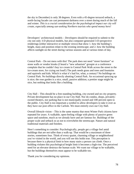the sky in December) is only 38 degrees. Even with a 45-degree terraced setback, a north-facing facade can cast permanent darkness over a street during much of the fall and winter. *This is a crucial consideration for the psychological impact our city will create, especially among sun-seeking Northern tourists who spend money here!*

Developers' architectural models – Developers should be required to submit to the city not only 3-D physical models, but also computer-generated 3-D perspective renderings (either interactive or multiple views) that show 1. how the building's height, mass and position relate to the existing streetscape; and 2. how the building affects sunlight on the street during various seasons and at various times of day.

Central Park – Do not mess with this! The park does not need "street furniture" or stone walls or vendor kiosks (I heard a "new urbanism" groupie at a conference complain that he couldn't buy ice cream in Central Park Walk across the street to the ice-cream store, for crying out loud!) The park needs grass and trees and fountains and squirrels and kids. Which is what it's had for, what, a century? No buildings on Central Park. No buildings directly abutting Central Park. An occasional sprucing up is nice; the rose garden is a nice, small, passive addition; a prettier stage might be nice, but nothing that looks like a building.

City Hall – This should be a free-standing building, city-owned and on city property. Private development has no place in our City Hall. Nor do condos, shops, privatelyowned theaters, nor parking that is not municipally owned and 100 percent open to the public. City Hall is too important a symbol to allow developers to take it over as they have our post office in the Carlisle. We must entirely own our City Hall.

Overall lifestyle vision – This is the same mantra that most Winter Park citizens have repeated for years: A walkable, open-feeling village with plenty of passive green space and sunshine, much as we already have and are famous for. Buildings of the proper scale and setback so as not to overwhelm the streetscape. Nature and natural traditional materials and finishes.

Here's something to consider: Psychologically, people get a village feel amid buildings that are not taller than a walk-up. That would be a maximum of three stories, sometimes four. Think of every quaint, charming village or neighborhood you've visited in the world, and you will see this holds true. This perception is because there is a physical limit to how many stairs a person can climb. Once a building violates this psychological height limit it becomes a high-rise. The perceived need for an elevator destroys the human scale. We want our village to be walkable, but the buildings themselves must appear to be walkable too.

Thank you for considering my opinions.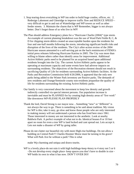- 1. Stop tearing down everything in WP inn order to build huge condos, offices, etc. 2. Redesign Lakemont and Glenridge to improve traffic flow and REDUCE SPEED – very difficult to get in and out of Waterbridge and WP towers as well as other feeder streets. 3. Maintain the charm that is WP Remember, bigger is not always better. Don't forget those of us who live in WP!
- The Plan should address Emergency plans for a "Hurricane Charlie (2004)" type storm. An example of current planning breakdown was the use of Ward Park Fields B, C, & D for chipping storm debris created an unacceptable burden upon the residents for four and one-half months following the storm, introducing significant health risks and disruption of the lives of the residents. The City's after-action review of the 2004 Hurricane season amounted to a self-serving pat on the back reminiscent of FEMA's initial press releases following Hurricane Katrina in 2005. The City was more than willing to blame others rather than identify areas for improvement. Additional Active/Athletic parks need to be planned for an acquired based upon additional residents brought into the City. The current Active/Athletic parks appear to be operating at maximum capacity and some events have had adverse impacts on surrounding residents. The objectives of the Recreation element should not result in sacrificing Quality of Life for residents surrounding Active/Athletic facilities. At the Parks and Recreation Commission held 4/26/2006, it appeared that the only new parks being added to the Winter Park inventory are Passive parks. The demands of new residents and Orange/Seminole county non-residents jeopardize the quality of life for residents surrounding the existing Active/Athletic parks.
- Our family is very concerned about the movement to keep low density and growth indirectly controlled via special interest persons. Our population increase is inevitable and must be PLANNED for by creating high density areas of "live work" like downtown WP-PLESSE PLAN PROPERLY
- Thank the lord, David Strong is our mayor now…Something "new" or "different" is not always the way to go. There is something to be said about tradition. My vision for WP is this; take it easy, go slow and know those people who are only interested in making money will not understand a person who has lived here since 1961. Those interested in money are not interested in the aesthetic. Look at nearby Baldwin Park. A perfect example of what not to do. Identical houses 8 or 10 feet apart no room for even a tree WP is land locked and cant spread out. Lets accept it. Lets not make a disaster of WP by going taller.
- Please do not clutter our beautiful city with more High-rise buildings. Do not allow a building on Central Park!!! Charles Hoomer Morse must be turning in his grave! What will Park Ave be without a park? This is what

make Wp charming and uniqua and draws tourits.

WP is a lovely place-do not ruin it with high buildings-keep 4story to 4 story not 5 or 6 –Do not develop every single place- keep spaces-you don't have to double in size - WP holds its own in what it has now. DON'T OVER DO!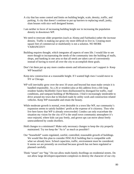- A city that has some control and limits on building height, scale, density, traffic, and parking. A city that doesn't continue to put up barriers to replacing small, junky, slum houses with nice well designed homes.
- I am neither in favor of increasing building height nor in increasing the population density in downtown WP.
- We need to renovate older properties (such as Aloma and Fairbanks) rather the increase density. Traffic is making our great city more difficult to live in. Creating more square feet of commercial or multifamily is not a solution. NO MORE VAIRANCES!!!
- Building requires thought, which integrates all aspects of ones life. I would like to see more though to incorporating the needs of the community into the building of malls, shops, and banking in one area so that all needs are taken care of conveniently instead of having to travel all over the city to accomplish these goals.
- Don't let them put up any more condos-streets and infrastructure can't support it- Keep WP beautiful!
- Keep new construction at a reasonable height. If I wanted high rises I would move to NY or Chicago.
- WP will inevitably grow over the next 10 years and beyond but must make certain it is handled responsibly. As a 26 yr resident (also at this address lives a life long resident Sandra Skolfield) I have been disillusioned by disregard for traffic, road conditions, and rampant building of McMansion. I find it increasingly intolerable to drive around my town due to blocked roads by utility work and construction related vehicles. Keep WP reasonable and retain the beauty.
- While moderate growth is normal, even desirable in a town like WP, our community's expansion seems to satisfy builders' profit at the expense of it citizenry. Thos who live here know that WP is already overcrowded. Condos can only exacerbate the situation my vision for the city of P is the small town community atmosphere it's once enjoyed, where kids can pay freely, and grown ups can move about freely unencumbered by condo dwellers.
- Hold changes to a minimum!! Make only necessary changes to keep the city properly maintained. Try too keep the "As is" as much as possible!!
- Our "household" wants regulated, careful, controlled, reasonable growth of buildings. We would like this plan to consider INSCALE building that is compatible with what we already have. School capacities, traffic, environment must be considered. It seems we are presently on overload because growth has not been regulated or planned carefully.
- Think "smart" not "big." Do not allow multi-family dwellings on residential streets. Do not allow large developers/apartment complexes to destroy the character of our city.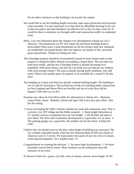Do not allow variances so that buildings can exceed city statues.

- We would like to see the building height restricted- open space preserved and increased where possible. It is also important to us that there be affordable housing in the city so that our police and staff members can afford to live in the city they work for! It would be ideal to minimize cut through traffic and construction traffic in residential areas.
- Hello, I am very distressed about the rampant over development ruining our city's character. The monstrosity on NY Ave where the old Sprint building stood is inexcusable! Pleas enact a total moratorium on all new project until new standards are established. Increased density does not improve our quality of life; increased green spaced does. Thanks for letting me vent.
- The Glenridge property should be reconsidered! Instead of more homes built on that property it should be better utilized via building a school there. The area does not need more traffic, and the new Glenridge School is already becoming over populated. With more homes, just how do you think you can educate our children with overcrowded classes? The area is already having traffic problems, why add more? Where will another piece of property to be available for a school?? (In this area)
- The building on Canton and Park has already violated building height. The building is out of scale for downtown. The architecture on the two building under construction on New England and Morse Blvd are horrible and out-of-scale How did his happen? And what can we do?
- Examine new ideas for East-West traffic for alternatives to Aloma Ave -Maintain central Parks charm -Rethink Carlisle and sign a bill a nice new post office. That fits the setting.
- 1. Focus on keeping the CBD a vibrant commercial, park and community asset. This is a priority over WP village and the Holler property. 2. Keep height limitations at 55' (maybe one/two exceptions) not over tree height. 3. Be flexible and open to new ideas! The West side community development is a good idea. It's an asset. 4. The parking garage was a good idea. Do another one for the future. It helps the CBD
- I believe the city should revert to the days when height of building was restricted. The city resident responded loudly when the first National Bank of WP (now Bank of America) went to 5 stories. We must protect the nature of our city even if it means restricting development. I'm a resident since '57.
- Congratulations on winning the election! 1. No more large developments 1. No more extremely uneven Brick streets. More residents can do nothing but harm the character of our town.
- #1 Preserve Park Ave –green, city hall, view of sunsets, sunrise, down height #2 No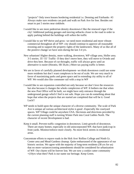"projects" Only town houses bordering residential i.e. Denning and Fairbanks #3 Always make sure residents can park and walk on Park Ave for free. Besides not smart to put 5 stories near sinkhole.

- I would like to see more pedestrian density downtown-I like the renewed vigor if the city! Additional parking garages and moving setbacks closer to the road in order to apply parking behind the buildings will soften the traffic
- I would like to see WP thrive and grow- we need more residential and more vibrant commercial throughout all of WP- city should continue to approve all reasonable rezoning and to support the property rights of the landowners. Many of us like all of the positive change we have seen during the last 3-4 yrs.
- New urbanism! Higher density, more walking, downtown, WP village area, Holler area. 3-5 stories. 35'-55' Traffic- If they don't move here, they will move to Oviedo and drive thru here. Because of cut throughs, traffic will always grow until an alternative is easier (Horatio, SR 50,etc.) More tax paying traffic is better.
- We are in favor of carefully planned development- we think downtown could use some more residents but don't want complexes to be out of scale. We are very much in favor of maximizing parks and green space and in extending city utility to all of WP. We would also like commuter rail with a stop in WP
- I would like to see expansion controlled not only because we don't love the resources but also because it changes the whole complexion of WP. It bothers me that when the new Post Office will be built, we might have only entrance through the underground garage which I feel is not safe. Hope you can do something about that hope that when the projects that are started are completed that will be it. Good Luck!!
- WP needs to build upon the unique character of a diverse community. The scale of Park Ave is unique ad various architectural styles is good –Especially the courtyard spaces. WP Village could be anywhere USA. Decisions and directions provided by the current planning staff is turning Winter Park into Coral Gables North. The character of recent Development is bad.
- Keep it small. Prevent traffic congestion in downtown. Limit growth of downtown. There are many homes; especially in old unincorporated WP, that have junk/crap in front yards. Monitor/enforce more closely. No more brick streets in residential areas.
- Concentrate efforts to repave roads in the Holt Ave/ Rollins College and Ninth Gr. Center area and Mead Gardens cleanup. Quite embarrassed of the appearance of our historic section. We agree with the majority of long-term residents (38 yrs for us) that no more variances/zoning amendments should be considered for urbanization of WP. Our charm will be forever lost. We are now a cookie cutter community  $=(10$ yrs what then? Park is our name our heritage. Keep Green.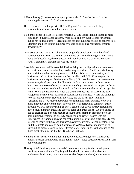- 1. Keep the city (downtown) in an appropriate scale. 2. Dismiss the staff of the planning department. 3. Brick more streets.
- There is a lot of room for growth off New England Ave. such as retail, shops, restaurants, and small-scaled town homes/condos.
- 1. No more condos please- creates more traffic 2. City limits should be kept no more expansion 3. Keep Mead gardens, Ward Park, and city Golf Course for general public not to developers 4. Present codes for new buildings should be adhered to 5. Maintain and keep unique buildings by codes and building restrictions (mainly downtown WP)
- Limit sizes of new houses. Crack the whip on greedy developers. Limit how loud construction noise can be. When I complained of steel rod cutting noise on house being built beside me, the contractor said" hey lady this is a construction zone." "Oh," I thought, "I thought this was my home."
- Growth in downtown WP is essential. Residential growth will provide the restaurants and their merchants the sales they need to stay in business. It will provide the city with additional sales tax and property tax dollars. With attractive, active, vital businesses and services downtown, urban dwellers will WALK to frequent this businesses- their expendable income will stay WP. In order to maximize return on investment, developers must be allowed to build more than two or three stories high. Contrary to some belief, 4 stories is not a high rise! With the proper aesthetic and setbacks, multi-story buildings will not detract from the charm and village like feel of WP. I envision the day when the entire area between Park Ave and WP village will be filled with semi dense residential and business. Where the buildings for each are, where the sidewalks are wide, and the streets safe. I envision Fairbanks and 17-92 redeveloped with residential and small business to create a more attractive and vibrant entry into our city. Non-residential commuter traffic through WP will need diverting, as best it can be. Our city is already fortunate to have beautiful mature trees, and copious parks and green space. We don't need to add to green space except to require adequate landscaping in proportion to each new building/development. We DO need people on review boards who are experienced in reading plans and conceptualizing blueprints and drawings. My fear is: with so many contrary, anti business, naysayer current residents, developers will find the climate and cost of doing business in WP too adverse, and move on to surrounding areas, leaving us here 10 years later, wondering what happened to "all those great little places" that USED to be on Park Ave.
- No more brick streets. No more housing developments. No high-rise. Continue to emphasize trees and flowers. Single-family homes. Keep streets repaired. Don't sell out to developers.
- The city of WP is already overcrowded- I do not support any further development. Inspiring areas within the City is good; but should be done with a view and uncluttered landscapes; no more than 4 stories (to pursue views) and somehow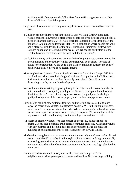inspiring traffic flow –presently, WP suffers from traffic congestion and terrible drivers- WP is not "special anymore

- Large-scale developments are compromising the town as it was. I would like to see it stop.
- 4.5 million people will move her in the next 50 yrs: WP is an URBAN not a rural village, make the downtown a place where people can live! 4 stories would be ideal, given Mcmansion rise to 35 feet. Also, work for light rail, Mayor Strong fears the impact of…. too many pedestrians? Make WP a destination where people can walk and a place not just designed for the auto. Humans no Hummers! Our town was founded on rail and a walking, human scale. Lets get back to our history not the 1970's. Envision the future, love the past, and don't fear change!
- We feel that our city will continue to grow with the changing times. Our concern is that a well managed and control system for expansion will be in place. A couple of things for consideration. A. No dogs at the Farmers market B. Enforce the control of side walk paths on Ave. food establishments
- More emphasis on "gateway" to the city-Fairbanks Ave from I4 is a dump 17-92 is a fast food run. Aloma Ave looks blighted with rental properties in the Balfour area. Park Ave is nice, but as a resident I can only go to church there. Focus on decreasing taxes by responsible development.
- We need, more than anything, a good gateway to the City from the I4 corridor that is not cluttered with poor quality development. We need to keep a vibrant business district and Park Ave full of walking space. We need a good plan for the high quality development of the Holler property and continue to upgrade our streets.
- Limit height, scale of new buildings (the new and towering large scale bldgs takes away the charm and character that attracted people to WP in the first place) Leave some open green areas with trees for parks. When constructing new buildings allow for sufficient space for customers and employees to park. WP does not need al the big massive condos and buildings that the developers would like to build.
- A pedestrian, friendly village, with lots of trees and blue sky, eclectic shops (no chains), a cozy feel, no freight train traffic, commuter trains OK. Citizens involved with city business and direction, care for and protect the parks. No high-rise buildings excellent schools chose cooperation between city and Rollins.
- The building being built near the WP central Park are entirely too close to sidewalk and roads – they should be set back and in style with the existing buildings. I am totally against dogs on Park Ave at restaurants while their owners eat-also at the farmers market on Sat. where there have been confrontations between the dogs, plus food is in the area.
- No more condos- too much density and traffic. Less cut-through traffic in neighborhoods. More green space for parks and families. No more huge buildings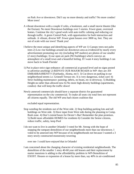on Park Ave or downtown. Did I say no more density and traffic? No more condos! More trees!

- A vibrant downtown with a couple if cafes, a bookstore, and a small movie theatre (like the Enzian). No more Downtown buildings over 5 stories. Fewer giant, oversized homes. Continue the city's good work with auto traffic calming and reducing cut through traffic. A green Central Park, with opportunities for both interaction and solitude. A vibrant, diverse WP. Fewer giant houses over 3000 sq. feet. They are out of scale with our town! Thank you!
- I believe the most unique and identifying aspects of WP are 1) Canopy trees-not palm trees 2) Low rise buildings around our downtown area-as evidenced by nearly every advertisement promoting our city (including WP mailers) are photos of our smaller (2 story) buildings; 3) our open air park (NO buildings) which conveys an atmosphere of a small town and a beautiful feeling. If I want 4 story buildings I can move back to South Florida!
- 1) Put in place strict sign ordnance: all commercial at ground level and no signs posted to advertise anything! 2) REPAVE OUR MAJOR ROADS in WP- they are AN EMBARRASMENT!!! (Fairbanks, Aloma, etc!) 3) Cut down on parking in our neighborhood streets i.e. Grinnell Terrace etc. It is very dangerous, ticket cars! 4) Strict building maintenance: painting, debris, no boats, etc in driveway. 5) Building Height-no taller than allowed now 6) No more high-density buildings (apartments, condos)- that will keep the traffic down!
- Newly annexed commercials should have a separate district for guaranteed representation on the city commercial. To make all seats city total foes not represent all citizens equally. The old WP area had citizen coalition that

excluded equal representation.

- Stop weeding the residents out of the West side. 2) Stop building parking lots and tall buildings on West side. 3) Have input from West side during the planning to Comp. Rush zone. 4) Don't extend hours for Dexter's Bar! Remember the plan promises. 5) Build more affordable HOMES for residents 6) Consider the Senior citizens, reduce traffic, safety, keep Pool
- I do not want to live in another Orlando! I voted for Mr. Strong with the hope of stopping the rampant demolition of our neighborhoods more than our downtown. I voted to be annexed into WP because of its neighborhoods not because I wanted a 3 story newly constructed monstrosity towering

over me- I could have enjoyed that in Orlando!

I am concerned about the changing character of existing residential neighborhoods. The demolition of the smaller 1 story 40-60 year old houses and their replacement by starter mansions is adding to the affordability problem in WP-Demolition of EXOST. Houses or expansion of a house by more than, say 40% in air-conditioned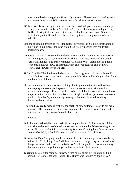area should be discouraged and financially thwarted. The residential transformation is a greater threat to the WP character then a few downtown structures.

- 1) There will always be big money. We don't need to develop every square inch or just change our name to Baldwin Park. Take a 2-year break on major development. 2) Traffic: slowing traffic at main entry points. School zones are a joke. 3)Schools: protect our quality. It would have been nice to get some base property to help WPHS?
- Stop the expanding growth of WP. Stop further development! Stop the construction of multi storied buildings. Stop-Stop-Stop. Stop retail expansion into residential neighborhoods.
- WP needs a vibrant downtown that includes: 5 star hotel, Enzian theatre, new upscale restaurant, grocery store, new condos, workplace housing, an expanded Central Park with a longer stage area, commuter rail station, WiFi, digital kiosks, public restrooms, a flower show, jazz festival, wine and food festival, and a cultural festival that showcases our arts orgs.
- PLEASE do NOT let the theater be built next to the congregational church. It would take light form several important rooms on the West side and be a big problem for a number of the children.
- Please- no more of these monstrous buildings built right up to the sidewalk with no landscaping and costing outrageous prices (condos). A person with a medium income can no longer afford to live here. Also, I feel that the West side should have a representative on the city commission. It is tragic that developers have taken over much of Hannibal Square reducing housing in that area. I am sad watching downtown being ruined.
- The plan has already made exceptions for height of new buildings. Pease do not make anymore! Also do not even think about ramming the Enzian Theater (or any other building) next to the Congregational Church on

## Knowles

- 1) A city with real neighborhood parks (in all neighborhoods) 2) Preservation of the west side and retention of the African-American community 3) No more high-rises especially near residential communities 4) Revision of zoning laws for teardowns (more setbacks) 5) Affordable housing similar to Hannibal Lard Trust
- 1) I wish that Park Ave garage could be demolished. It is an outrage for our lovely city to have THAT. 2) I hope "we" will have brick streets, no parking meters, no "new" things in Central Park, and I wish 3) that WP could be publicized as a community that does not want huge buildings (Carlisle) despite tax base mania.
- To remain basically the same downtown. Please do not allow the Enzian to be built behind First Congregational Church. This church was founded by the first WP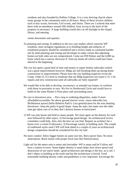residents and also founded by Rollins College. It is a very thriving church where many groups in the community meet at all hours. Many of these involve children such as boy scouts, brownies, Girl scouts, and choirs. There are 3 schools that meet there with an attendance around 200 children. Easy access to the back of the property in necessary. A large building would also cut off daylight to the chapel, library, and meeting

rooms downstairs and upstairs.

- To planning and zoning: In addition to the two case studies which concerns WP residents, more stringent regulations as to building height and setbacks of residential property should be considered and a review made at a potential builder site by both planning and zoning and developer to make certain that adjoining homes-on both sides are not compromised. Come see 859 Palmer and the 6,000 sq. home which has a narrow driveway 8' from my home-all which could have been altered in the beginning
- The city has spent a good deal of time and money to repair broken sidewalks (which was a great improvement) however; Bldgs are still breaking them up during home construction or improvements. Please have the city building inspector revise the Comp. Order (C.O.) form to moderate that our Bldg Inspectors not issues C.O.'s for repairs and new construction until all sidewalks are fully repaired!!
- We would like to be able to develop, reconstruct, or remodel our homes, to conform with those in proximity to ours. We live in Northwood Circle and would love to build on the some Planter it Penn place and surrounding areas.
- No cars in downtown area. Put a stop to widening disparities; make O more affordable/accessible- No above ground electric wires –more sidewalks less McMansion sprawl (hello Baldwin Park!)- Less gentrification for the area abutting downtown –keep the parks in good shape –keep the oaks, but make sure the older ones get taken care of so they don't destroy houses in hurricanes!
- 1) WP can only house and hold so many people. We must agree on the density for each area followed by other topics. 2) Encourage good design. An architectural review committee could help. Also, hire the best we can find. Require an architect for a house over a certain \$ allowance. 3) Encourage variety in building style. The couple of traditional styles used I WP will look dated in a couple of years an architectural design competition should be considered for the city hall.
- No more condos! Allow bigger homes on same size lots. Bury power lines. No more annexations. Brick streets with proper brick (not like Pennsylvania)
- Light rail for the metro area is smart and inevitable- WP is smart and he'll allow and have a station in town- Some higher density is smart helps slow down sprawl and destruction of our native lands –good architecture and design is the key, as is rail. I don't object to building at the north end but the architecture is horrid. Good reasonable building density codes and guidelines is very important. Encourage the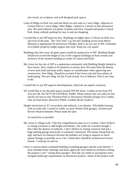arts-visual, art sculpture, and well designed park spaces.

- Limit all Bldgs on Park Ave and one block on each side to 2 story bldgs. Adjacent to Central Park to 2 story bldgs. Other Bdlgs. Limited to 3 stories in thee downtown area. We need setbacks wit plenty of plants and trees. Expand and protect Central Park. Keep curbside parking for easy in and out shopping.
- I would like to see WP kept low-key. Buildings no higher than 2-3 floors on Park Ave, and west of the park. The "new look" e.g. the new building across from Morse Museum is appropriate for downtown Orlando, built is an eye-sire in WP. Fairbanks Ave (holler property) might support that style. Keep our city quaint.
- Buildings that take away all green space would be unattractive in WP. Building Height should not exceed the height of any of the original buildings on Park avenue (not inclusive of the monster building at corner of Canton and Park)
- My vision for the city of WP is a pedestrian community with Building Height limited to four stories. New condos to be limited to 4 stories also! We must limit the density of new units built and keep traffic impact in consideration when approving new construction. New bldgs. Should be set back 8 feet from curb and have plenty of landscaping. The new bldg. On the N end of park Ave is hideous! This is not what to do!

I would like to see WP approve developments, which do not require variances.

- We would like to see the park spaces around WP left alone. Condos across from NY Ave are OK, but NOT ON CENTRAL PARK. Please enforce the size rules for lots and do not turn us into Thornton Park or Downtown Orlando-Orange Ave Condos, why are boat docks allowed in Public Gardens (Kraft Azalea?)
- Height restrictions at 35' everywhere and setbacks. Low density. Affordable housing with no trade offs. Control of traffic no more Winter Park garages. Architectural Review Board instituted. Please make the plan

As restrictive as possible

- My vision is village scale. I like the comprehensive plan as it is written. I don't believe in zoning variances to add height and density. Our roads are crowded enough. I don't like the absence of setbacks. I don't believe in zoning variances that put a huge parking garage practically in someone's backyard. The homes being built are ugly and have no character because the builders are trying to squeeze as much square footage as possible on to a lot. I think there should be architectural review boards. I could go on and on.
- I have a concern about continued building of parking garages and the scale thereof. I have attended many meetings and these approvals were based on architects selling the projects o not " seeing these garages" Also the city needs to incorporate more stringent landscape requirements on downtown projects. Some of the project scale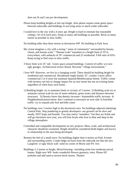does not fit and I am pro development.

- Please keep building heights at tree top height. Also please require some green space between sidewalks and buildings in out lying areas or much wider sidewalks.
- I would love to the city with a 4 story apt. Height is hard to estimate but reasonable ceiling s 10-14 ft each story. Keep as many old buildings as possible. Brick as many streets as possible to slow traffic.
- No building taller than three stories in downtown WP. No building in Park Area.
- My vision imagines a city with a strong " sense of community" surrounded by beauty, charm, and human scale." "Human scale" translates to a height limit of 35'm everywhere, with setbacks of 10' commercial and 25 residential. FAR ratio of 65%. Keep trying to find ways to slow traffic.
- 3 Story limit w/in 35' tall. Green space around buildings. Control of traffic w/o new ugly garages. Architectural review Board. Recreate "village environment."
- I love WP. However, we live in a changing world. There should be building height for residential and commercial. Residential single-family 35', condos 3 story-office /commercial 5 or 6 story but maintain Spanish/Mediterranean theme. Traffic comes with territory not fair to change impact fee on new home but not on existing home regardless of when buys each home.
- 1) Building height- try to maintain limits in vicinity of 5 stories 2) Building scale try to maintain current scale by use of street setbacks, green zones and distance between structures. 3) Density know that density increase= Automobile traffic increase 4) Neighborhood preservation: don't continue to encroach on west side 5) foot/bike traffic: try to expand safe foot and bike zones
- No buildings over 3 stories high in the downtown area. No buildings adjacent (abutting) Central Park. Stop pondering to greedy developers- our growth can be slow and steady, NOT leaps and bounds. You may entice "outsiders," but they are fickle and will go elsewhere next year, you will lose locals who love to dine and shop in the village atmosphere.
- Controlled and compatible development on new projects. Mass, scale, and architectural character should be examined. Height should be considered (both higher and lower) in relationship to the area being developed.
- Remain the feel of a small town. No buildings higher than 4 stories on Park Avenue and surrounding streets. Condo bldgs set back from the sidewalk not like the new Langford- or ugly block wall- solid on corner of Morse and NY Ave.
- Buildings 2-3 stories in height. Mixed housing –including some low-moderate priced homes. Right now WP- looks wonderful-flowers greenery, trees. Please fill potholes and add sand to newest brick streets. Thanks!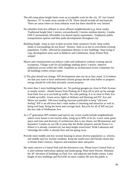- The old comp plane height limits were an acceptable scale for the city. 35' ion Central Business. 55' in some areas outside of CB. These should include all mechanicals. There are areas where no front setbacks work but these should be very limited.
- No subsidies from less affluent to more affluent neighborhoods (e.g. brick roads). Traditional height limit 2 stories; extraordinarily 3 stories medium density. Condos ONLY permanently affordable (via shared equity) apartments. Emphasize public transportation options and bike paths developments throughout city
- Building height –keep as now in plan-severely limit variances! Scale- keep within limits of surroundings do not dwarf. Density- limit so as not to overwhelm existing population. Traffic- affected by population density in new buildings. Stop trying to copy development areas such as Baldwin and Celebration. Keep Winter Park unique!
- Mayor and commissioners tat enforce codes and ordinances without creating special exceptions. Village scale for all buildings nothing above 3 stories. Improve pedestrian access within the CBD. Establish an architectural review committee for all buildings within certain zones.
- 1) The plan should not change. WP development rates are ok as they stand. 2) It bothers me that you want to have uniformed citizens groups decide what holler or progress energy should do with their privately owned property.
- No more than 2 story buildings/hotel, etc. No parking garages too close to Park Avenue or nearby streets…shuttle busses from Parking ok if drop off or pick up far enough from Park Ave as to not hold up traffic. No valet parking. It is so close to Park Ave it holds up traffic. Green arrow lights at Webster and Denning and NY Ave and Morse are needed. Old town looking structure preferable to keep "old town feeling" WP is an old town that's what makes it charming and attractive as well as being well kept. Bring the horse and carriage back. Recycle for all of WP not just the nice side of Welbourne Ave
- As a 5<sup>th</sup> generation WP resident (and native) my vision would include neighborhoods where every house is not exactly alike, using up to 90% of its lot. Leave some green space and trees and diversity of architecture-that is our charm, not Mcmansions and hummers! Condos etc are OK in areas like the Holler property and the Power Co. Where it is already commercial, but keep height restrictions! Wide Lakemont and Glenridge the traffic is already here and not going away.
- Provide more middle and low income housing to attract diverse population i.e. retirees, and middle and low income residents. Keep the small town old Florida charm that is Winter Park's history. Improve and maintain lakes and parks
- My main concern is Central Park and the downtown core. Please leave Central Park as is and continue meticulous upkeep and landscaping. Plant more flowers. Maintain the 30' elevation of buildings on Park Ave. and adjacent and feeder streets. Limit height of new buildings and PLEASE no more condos! Be sure the public is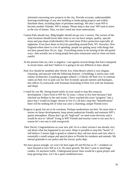informed concerning new projects in the city. Provide accurate, understandable drawings/renderings of any new building or landscaping projects and widely distribute them, including dates of pertinent meetings. We don't want WP to become another Orlando. WP is unique. Please keep it that way! WP used to know as the city of homes. Also, we don't need any more annexations.

- Central Park should stay. Bldg heights should not go over 2 stories, The owners of the store locations should lower their rents so we can have unique, quality, upscale mom and pop shops (individuality) We need more Police protection especially @ nighttime- Even have them on bicycles patrolling around Park, NY, Knowles, New England-where there is a lot of speeding- people are getting away with things that not have passed here 20 yrs. Ago. Everything seems to be lacking of the old quaint ways –that actually use to bring people here-plus restaurants need to clean out backsmells!
- At the present time my view is negative. I am against several things that have transpired in recent times, and don't believe it is going to be any different in days ahead.
- Park Ave should be modeled after Worth Ave, Palm Beach which is very elegant, charming, and upscale with the following features: 1) buildings 2 stories max with similar architecture 2) parking garages setback 1-2 blocks off Park Ave 3) continue valets on Park Ave to park cars for free 4) mostly upscale eateries and boutiques, less offices 5) courtyards with fountains branching of Park Ave with me fountains and shops
- I voted for you Mr. Strong based solely on your stand to stop this runaway development. I have lived in WP for 32 years. I chose to live here because I had checked out Rollins in the mid sixties. I have watched this town "progress" into a place that I would no longer choose to live if y'all don't stop this "beautification" there will be nothing left of what was once a charming, unique Florida town.
- Progress is good, but not to be overdone. Perhaps moderations are best. No more than 4 stories on future developments; keep streets pedestrian friendly and maintain WP's quaint atmosphere. Please don't go all "high-end" we need some diversity and it would be nice to "afford" living in WP! Friends and tourists come to our area for a reason-let's not ruin it with overgrowth.
- Dear David, Congratulations on your new job! As to a short version I am already very sad about what has happened to our town. Hope is possible to stop this "boom" (I still believe 3 stories high is good) or whatever they call tear down and ruin what is essentially a small unique and special place to Florida for residents and animals. My eternal gratitude to our police and fire rescue, parks dept.
- We have grown enough- we won't be here (ages 93 and 95) but as  $35 +$  residents we have learned to love WP as it is. No more growth. We don't want or need huge condos. Or anymore traffic. Underground power lines would be a great project and keep growing trees. Let's be a quiet residential town.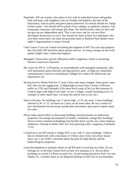- Hopefully, WP can remain a fine place to live with its individual homes and garden, both well kept, with neighbors who are friendly and helpful n the time of the hurricanes), with its parks and green places preserved. Its schools should not "bulge at their seams." We should still be proud of our colleges, art galleries, theaters, fine restaurants, museums, and unique gift shops. We should protect what we have and not give up our independent spirit. This is our town, and we can not allow developers dictate how to run it. Nor should we listen to Park Ave merchants who own three stores there, but takes his proceeds home to Baldwin Park Harbor every night! Congratulations to mayor Strong!
- I don't know if you can control everything that happens in WP You cant stop progress. But I do think WP should be about quality and size. As long as things are don with quality (high) I don't mind what happens.
- Managed, Conservative growth. Minimize traffic congestion, which is worsening. Preserve small town character.
- My vision for WP is: 1) Primarily, an extraordinarily well-managed community, safe, well maintained, green (literally and figuratively), quiet. 2) High tax community commensurate w/service extraordinaire 3)High rise condos OK 4)Diversity not important to me
- Having lived in Winter Park for 27 years I have seen many changes. Some good, some bad. Here are my suggestions. 1) bldg height no more than 3 stories 2) Review traffic on 1792 and Fairbanks 3) No more brick roads 4) No Lee Rd extension 5) Control large scale bldg of any kind- we are a village, a small charming town ( in example of other small cities. Let keep this and be true to our city.)
- Stick to the plan. No buildings over 2 stories high , at 10' per story. 3 story buildings allowed at 36' w/ 12' set backs on 3 story on all street sides. Be very creative in new development but do not go outside plan and protect open spaces require many live oaks.
- Please make special effort to discourage building oversized homes on undersized properties. Encourage development of smaller, residential, cottage like dwellings. Strive to limit commercial buildings that literally block out the sun, create shadowy ambiences. Attempt to buffer Park Ave from growing traffic congestion, Fairbanks, 17-92.
- I would lie to see WP remain a village NOT a city with 5+ story buildings. I believe that we should stick with a maximum of 3 floors since every extra floor means more cars. I am VERY concerned about the push for high density and the Holler/Progress properties.
- Limit Development to maintain charm of old WP and to avoid big city looks. Do not infringe on, or develop Central Park on Park Ave maintain as is. Do not allow buildings to exceed 3-4 floors on park Ave. Avoid turning downtown Park Ave into Naples, FL. Consider plans to use diagonal parking on Park Ave to accommodate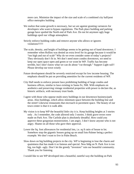more cars. Minimize the impact of the size and scale of a combined city hall/post office metroplex building

- We realize that some growth is necessary, but we are against granting variances for developers who want to bypass regulations. The Park place building and parking garage have spoiled the North end of Park Ave. Do not let anymore ugly huge buildings spoil our village atmosphere.
- Strictly enforce building codes and remove anyone who allows or ignores violations!!!!!!
- The scale, density, and height of buildings seems to be getting out of hand downtown. I remember when Rollins was denied an extra level for its garage because it would be "too high and out of scale" Why do we even consider some of today's projects? They obviously don't fit in. We don't need more condos downtown, we need to keep our open space open and green or we wont be WP. Traffic has become terrible, but I don't know what we can do about "cut through." Support Light rail!! Please develop our town wisely
- Future development should be severely restricted except for low income housing. The emphasis should be put on providing amenities for the current residents of WP.
- City Hall needs to enforce present laws prohibiting building of large condos and business offices, similar to laws existing in Santa Fe, NM. With emphasis on aesthetics and preserving vintage residential properties with power to declare the, as historic artifacts, with necessary trust funds.
- I agree with those who oppose multi-story buildings in our downtown business/park areas. Also buildings, which allow minimum space between the building line and the street! Likewise restaurants that encroach in pavement space. The beauty of our town center is that it is walk able.
- My vision is to keep WP the beautiful little city it is. Keep building heights at 3 stories only . As I remember, the code allowed only 3 stories. I think grave errors were made on Park Ave. The Carlisle plan is absolutely dreadful. How could you approve these gorgonian monstrosities. I am angry. I don't know anyone who is not angry. Shame on all those who gave their approval.
- Lower the Sq. foot allowances for residential lots, i.e. sq ft ratio of house to lot. Somehow stop the gigantic houses going up on small lots-Palmer being a perfect example. We don't want to live in Palm Beach.
- Slow down on big building projects in the city. WP is beginning to lose the charm and quaintness that has made it so famous and special. New bldg on N. Park Ave is too big, too high –ugly. Don't let the greedy "investors" ruin our beautiful community. Thank you for listening.

I would like to see WP developed into a beautiful, tasteful way-the building on Park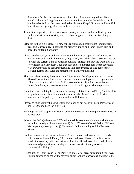Ave where Jacobson's was looks atrocious! Park Ave is starting to look like a tunnel with the buildings looming on each side. It may not be the height so much but the setbacks from the street need to be adequate. Keep WP quaint and beautiful, but still encourage upgrading the looks of the town.

- 4 floor limit supported. Limit on areas and density of condos and apts. Underground cables and wires for electricity and telephone supported. Limit on size of signs desired.
- Setbacks-Setbacks-Setbacks. All new construction should make room for significant trees and landscaping. Building to the property line as on Morse Blvd is ugly and needs the softening of nature.
- I have been here 37 years and always considered Park Ave "special" and always took my relatives and friends there to eat, shop, stroll, etc. I didn't like it 30 years ago or so when the current Bank of America building "skirted" the law and went over a 2 story height into a monster. Then that ugly colored monster barn where Jacobson's was. Downtown is no longer special and I am embarrassed to take people there. Develop further out! Keep the remainder of Park Ave the same.
- This is not the same city I moved to over 20 years ago. Development is out of control. The old 2 story Park Ave is overshadowed by the too-tall parking garages and too tall and too many condos. I would like to see rules in place for smaller homes, shorter buildings, and no more condos. The charm has gone. The \$ replaces it.
- Do not increase building heights, scale or density. I'd like to see WP keep (maintain) its original charm and beauty and not try to be another Miami Beach look with majestic buildings- keep it's quaint and beautiful look as is.
- Please, no multi-stormy building within one block of our beautiful Park; Post office or no! Let Orlando have the high rises!
- Building sizes and proportions haven't been under control. Exterior paint colors need to be regulated.
- 1) Keep the FAR @ the current 200% with possible exception of cupolas-which must be limited in height (downtown area). 2) Do NOT extend Central Park to NY Ave. We desperately need parking @ Morse and NY for shopping and the Farmers Market.
- Sending this survey out speaks volumes!!!! I grew up on Park Ave in the '60's. My wife is Joanna Henkel. Family 100 tears on Park Ave. I have a 5 million dollar residential company with my partner with office off Park Ave. I love WP! I want small-scaled proportionate, much green space, **architecturally sensitive** commercial buildings!!
- Height limit of 3 stories and 30' on Park Ave and 35' for areas surrounding Park Ave. Buildings need to be set off the street to allow for both landscaping and sidewalks.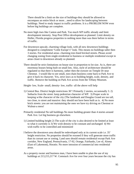There should be a limit on the size of buildings-they should be allowed to encompass an entire block or more…need to allow for landscaping between buildings. Need to study impact to traffic problems. It is a PROBLEM NOW even before big buildings are complete.

- No more high rises like Canton and Park. Too much WP traffic already and limit development intensity. Stop Post Office development as planned. Limit density on Holler, Florida progress properties to nothing more than was there before in terms of traffic.
- For downtown upscale, charming village look, with all new downtown buildings designed to compliment "Little Europe's" look. This means no buildings taller then 3 stories. For residential areas- charming tree-lined bricked streets. Please avoid changing zoning from single-residential to business or multiple residential except in areas closet to downtown already so planned.
- There should be strict limitations on house size in proportion to lot size. As is, there are enormous houses being built on small lots. Also, style of architecture should be regulated so that there is harmony, rather then the eyesore on Temple Dr near Chestnut. I would like to see small, non-chain business come back to Park Ave to give it back its character. Yes, strict laws as to building height, scale, density, and traffic. Remove the building on Park Ave across from the Tiffany Museum.

Height- low, Scale- small, density- low, traffic- all the above will help

- 1) Central Bus. District height restrictions 30'! Primarily 2 stories, occasionally 3. 2) Setbacks from the street: keep pedestrian character of WP. 3) Proper scale in keeping w/the character of the city (The landmark and Douglas Grand are too tall, too close, to street and massive: they should not have been built as is. 4) No more brick streets: you are not maintaining the ones we have try driving on Chestnut or Walnut-a mess!
- Primarily residential No tall buildings No more building greater than 4 stories around Park Ave. Let big business go elsewhere.
- 1) Limited building height 2) The scale of the city is also desired to be limited at least to what it currently is 3) We wish density to be constant and unchanged 4) We wish traffic to be controlled and minimized
- I believe the downtown area should be redeveloped only at its current scale i.e. 35' height restriction. No properties should be rezoned if they will generate more traffic than its currant use or zoning. Land uses should remain residential except Park Ave corridor, New England, Pennsylvania, 17-92, Orange, Fairbanks, Lee rd, Aloma (East of Lakemont), Horatio. No more intrusion of commercial into residential areas.
- As a property owner and business man, I have been unable to plan the use of my buildings at 213,215,217 W. Comstack Ave for over four years because the city has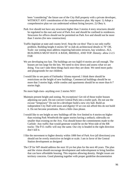been "considering" the future use of the City Hall property with a private developer, WITHOUT ANY consideration of the comprehensive plan. My input: 1) Adopt a comprehensive plan we can understand without hiring lawyers. 2) Obey it.

- Park Ave should not have any structures higher than 3 stories 4 story structures should be regulated to the east and west of Park Ave and should be confined to residences. Structures for offices should not be permitted on Park Ave and should not be more than 3 stories (for new construction)
- Traffic-legislate at state and county level. Stop the cut thru! That is our only traffic problem. Building height-4 stories 50' to slab ok architectural details to 70' OK. Scale- our zoning must address requiring balconies terraces, bay windows. ALL BUILDINGS MUST HAVE A BASE, MIDDLE, AND TOP. Density- allow 2-2.5 FAR
- We are developing too fast. The buildings are too high3-4 stories are tall enough. The houses are too large for the lots. We need to slow down and assess what we are doing. You can't take these things back once they are done. We need more parks and playgrounds for our children.
- I would like to see parts of Fairbanks/ Aloma repaved. I think there should be restrictions on the height of new buildings. Commercial buildings should be no more that 3 stories high, while condos and apartments should be no more than 6-7 stories high.
- No more high-rises- anything over 2 stories NO!!
- Maintain present height and zoning. No exceptions! Get rid of those trailer houses adjoining our park. Do not convert Central Park into a trailer park. Do not use the excuse "temporary" Do not let a developer build a new city hall. Build an independent City Hall with taxes and dignity! If we con not afford this do not build it. Do not become prostitutes. Have a little class please.
- I would like to see height so new buildings off the Ave limited to 4 stories-no higher than existing Park West0with the upper stories having a setback; sidewalks no smaller than existing on the Ave, You should honor the commitments made to the Carlisle- Any traffic that would generate would be on the West side of the RR tracks- The P.O. traffic will stay the same. Our city is headed in the right direction don't kill it.
- I like the movement to higher density within 1000 feet of Park Ave (all directions) you should not be overly restrictive on height or scale. I am in favor of the Central Station development as designed
- The CP for WP should address the next 10 yrs but plan for the next 40 years. The plan and the vision should encourage development and redevelopment to bring families that can have affordable housing. This requires allowing density. Height issues are territory concerns. Good planning together with proper guideline documentation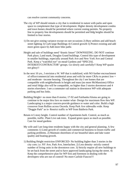can resolve current community concerns.

- The city of WP should remain a city that is residential in nature with parks and open space to complement that type of development. Higher density development condos and town homes should be permitted where current zoning permits. No property line to property line developments should be permitted and bldg heights should be limited to four stories.
- 1) Do not give zoning variance except on rare occasions 2) Bury utilities and add beach street lighting 3) Curb large Buildings 4) Control growth 5) Protect existing and add more green space 6) Add more bike paths
- Height and sale of buildings need "drastic future" DOWNSIZING. DO NOT continue Park place, Land mark, Douglas Grand buildings. Control this type of development in smaller buildings, especially around Park Ave and New York Ave and Central Park. Keep a "watchful eye" on mead Gardens and "SPECIAL INTEREST/CONTRACTOR" groups. Go slowly and carefully!! Keep WP quaint not glitzy!!
- In the next 10 yrs., I envision a W. WP that is stabilized, with NO further encroachment of office/commercial into residential areas and with far more CRAs to protect low  $=$ and moderate –income housing. Throughout the city I see homes that are compatible with neighborhoods in height and mass (no more McMansions) Office and retail bldgs also will be compatible, no higher than 3 stories downtown and 4 stories elsewhere. I see a commuter rail station in downtown WP with adequate parking and bus links.
- Building Height= no more than 8 stories; 17-92 and Fairbanks/Aloma are going to continue to be major thru favs no matter what- Design for maximum flow thru WP. Landscaping is a major concern-provide guidance re water and color. Build a high crossover from Rollins across Osceola. Keep Park Ave sidewalks wide. Keep "Doggie Park" as is- Restrict traffic to WP from Baldwin Park.
- Retain 4-5 story height. Control number of Apartments built. Control, as much as possible, traffic. Plant Live oak trees. Expand green space as much as possible. Care for mead gardens
- My wife and I are long time residents happy with the city and general planning. A few comments 1) Limit growth of condos and commercial business to lessen traffic and parking problems. 2) Maintain shorelines of our beautiful lakes and lake water quality and boating growth.
- 1) Building Height restriction ENFORCED- No building higher than 3 stories in the city core; i.e. NY Ave, Park Ave, Interlachen. 2) Less density- strictly control number of living units in the downtown core. 3) Strictly require all new buildings to be set back from the street and to have approved landscaping facing the street. 4) Keep the comprehensive plan for WP first and foremost in dealing with the developers who are out of control! No more Carlisle Fiascos!!!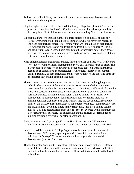- To keep out: tall buildings, over density in new constructions, over development of existing residential property
- Stop the high-rise condos! Let's keep WP the lovely village-like place it is! We are a jewel; let's maintain that look! Let' not allow money seeking developers to have their way here. Control development and send a resounding NO! To the developers.
- We feel that Park Ave should be limited to three stories-NY if in scale should be 4 stories. Everything built should be in keeping with what we have with regards to scale and architectural design. I feel strongly that we should have an architectural review board for business and residential to address the effort to keep WP as it is, and can be improved. A good board could stop these problems before they get so far. I feel the ratios in our residential areas need strict review. We can keep all thus with good leadership and guidance.
- Keep building Heights maximum 3 stories. Maybe 3 stories and attic/loft. Architectural styles are very important for maintaining our WP character and sense of place. This is what attracts people to our downtown. Some basic codes on architectural style need to be enacted; Have an architectural review board. Preserve our southern, Spanish, tropical, ad deco influences and prevent "Tudor" "cape cod" and other out of character ugly buildings from being built.
- The two criteria that have the greatest impact on City Street are building height and setback. The character of the Park Ave Business District, including every cross street extending two blocks east and west, is set. Therefore, buildings shall never be closer to a street than the distance already established for that street. Within the Park Ave business district, building height shall be limited to 35 feet for new construction, re construction or remodel/renovation. We realize there are few existing buildings that exceed 35', and frankly, they are out of place. Beyond the limits of the Park Ave Business District, the criteria for all uses (commercial, office, and multi-family) excluding single family residential, shall be: Building Height max 45' Building setback from front or side street 10' average with a minimum for 6' for architectural purposes. For building height that exceeds 25' remainder of building fronting a street shall be setback additional 10'
- A city as is was several years ago. No more High Rises, not over 35', no more buildings crowding our space. Room to walk and shop on our unique Park Ave.
- I moved to WP because of its "village" type atmosphere and lack of commercial development. WP is a very special place with beautiful homes and unique buildings. Let's keep WP the same and not allow large scale commercial development (not over 2 stories)
- Thanks for seeking our input. Three story high limit on new construction. 15-20 foot setback from curb or sidewalk Stair step construction along Park Ave. So light can flow into sidewalk and road areas Rollins college architecture details to the façade of building.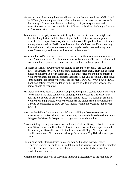- We are in favor of retaining the urban village concept that we now have in WP. It will be difficult, but not impossible, to balance the need to increase the tax base with this concept. Careful consideration to design, traffic, open space, tree and vegetation control, etc. As to height of buildings- the SunTrust building at 3 stories an d40' seems fine to me.
- To maintain the integrity of our beautiful city I feel we must control the height and density of any further building by setting a 35' height limit with appropriate setbacks. Green space has always been a major asset. Keep all we have an increase it everywhere possible. Traffic must be controlled. On Lakeview Dr and sterling Ave we have stop sign where no one stops. Help is needed here and many other areas. Please, may we have an architectural review board?
- We would like WP to remain the same as it has been for the past many, many years. Only 2-story buildings- Yes, limitations on size Landscaping between building and road should be required. Save trees! Architectural review board good idea.
- A pedestrian friendly downtown=open feeling all around "our" park. Park Ave and interesting streets for 1 or 2 blocks should not have more than 2 story bldgs. Other places no higher than 3 with setbacks. 35' height restrictions should be enforced-No more variances for special projects that destroy our village feeling- Just because some buildings are already there that are too high-I DO NOT WANT ANYMOREthank you definitely need limitation to the length of bldg size/scale of residential homes should be regulated.
- My vision is the one set in the present Comprehensive plan. 2 stories down Park Ave-3 stories on NY No more commercial buildings on the Westside-It is part of our heritage and should be protected – Central Park is sacred- No buildings around it – No more parking garages. No more ordinances and variances to help developers. Our city does not need to grow-use CRA funds to help the Westside- not private interests
- Keep residential lots form turning into 2-3 story building s. No more condos and apartments on the Westside of town unless they are affordable to the residents now living on the Westside. No parking garages next to residential lots.
- 2 story buildings throughout downtown including West side 3-story setback of road at least 10 feet more than floor 1-2. 3 Story in rest of town with open space around them. 4story at I4no taller. Architectural Review of all Bldgs. No people with conflicts on boards. No commuter rail stops Stand Alone City Hall with tress open spaces.
- Buildings no higher than 3 stories unless replacing a building that was higher (Langford), homes not built lot line to lot line and no variance on setbacks, maintain current green spaces. Moe traffic calmers on streets, particularly on popular residential cut through.

Keeping the image and look of WP while improving accessibility to the shopping by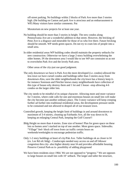off-street parking. No buildings within 2 blocks of Park Ave more than 3 stories high. (He building on Canton and park Ave is atrocious and an embarrassment to WP) Many visitors have similar comments. Put

Moratorium on new projects for at least one year.

- No building should be more than 3 stories in height. The new condos along Pennsylvania Ave are a wonderful addition to that street. However, the bricking of Penn Ave is a disgrace and miserable for those of us who live there. Future bricking should be smooth. WP needs green spaces. Do not try to cram lots of people into a small area.
- In older residential areas WP building codes should maintain the property setbacks for new construction. Otherwise we have a large 2-story building overwhelming the older homes. IN the downtown area I would like to see WP use constraint so as not to overwhelm Park Ave and the lovely Park area.

Other areas of the city-just use good judgment.

- The only downtown we have is Park Ave-the more developed (i.e. condos) allowed the less town we have curtail condos and buildings taller than 3 stories away from downtown-Also, save the older neighborhoods the city/town has a history keep itfor instance Sorenson and Fletcher knows many neighborhoods have collection of this type of house-why destroy them and 1 lot and 1 house –stop allowing 4-6 condos on the larger older lots.
- The city needs to be mindful of its unique character. Allowing more and more variance for 3 stories, where code calls for one and enormous houses on small lots will make the city become just another ordinary place. The 3-story variance will keep creeping further ad further into traditional residential areas, the development pressure needs to be contained and not allowed to despoil all of our treasure town.
- Controlled growth, keeping the height limit of buildings in and around downtown to maximum of 3-4 stories, cleaning up Fairbanks Ave, all the way down to I4, keeping an enlarging Central Park, keeping the Golf Course!!
- Bldg Height no more than 4 stories. Zone size of homes! Plan for green space on these lots so homes aren't stacked on top of one another. More green space. Sidewalks. "Village" feel- block off town from car traffic certain hours on weekends/weeknights to encourage pedestrian traffic.
- Only 1-2 story buildings at heart of city/Pak Ave. Taller buildings ok as closer to I4 (ex. Lee Rd ofc bldg) - Condos/apts needed easy access on and off I4lower congestion thru city- also higher density near I4 and provides affordable housing. Preserve Central Park-as is- possibility of adding playground
- We have been residents since 1964. We are not opposed to "progress." We are opposes to large houses on small lots with 10' setback. The larger and taller the structure,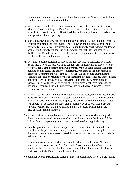residential or commercial, the greater the setback should be. Please do not include city hall into one multipurpose building.

- Present residences would like to see maintenance of heart of city and traffic control. Maintain 2 story buildings on Park Ave- no more exceptions. Limit 3 stories with setbacks in Cross St. Business District. All future buildings, businesses and condos, must provide off street parking
- 1) Controlled growth 2) Low density and intensity of land use 3) No "big box" retailers. Preference to small and local businesses. 4) Low height buildings w/proper on conformity (to historical) architecture. 5) No multi family dwellings, no condos, no apts. 6) Single family residences will help retain the "village": atmosphere. 7) Traffic control! Better or forced use of designated through fares to stop dangerous cut thru traffic on neighborhood streets.
- My wife and I become residents of WP 30 yrs ago; because its founder, Mr. Chase, established a town concept w/a large central Park. Fundamental to success of our town was legal emplacement of the Comprehensive plan that addressed land use, building height, scale, and density. Importantly, variances to the plan mandated approval by referendum. Of recent interest, the save our homes amendment to Florida's constitution resulted from ever increasing property taxes sought by elected politicians. On this issue, political activism , in no small part, contributed to success. Specifically, her large cortile of ladies tirelessly collected thousands of petitions. Recently, these ladies quietly worked to aid Mayor Strong's electoral victory over development.
- My vision is to maintain the unique character and village scale, which defines and sets apart WP. This should allow for 2-3 story maximums in the CBD, setbacks should provide for tree-lined streets, green space, and pedestrian friendly downtown area. WP should not be required to redevelop in such a way as to look like every other FL city. "Mixed-use" should be limited and have a specific definition in the TLCLDCR4 should be limited.
- Downtown residences, town homes or condos of no more than4 stories are a good thing. Downtown food market is needed, hope the one on Fairbanks will fill the bill. In favor of expanding Central ark. Opposed to relocating the library.
- I definitely agree that the ordinance adopted by the commissioner in Feb. 2005 be repealed, as the planning and zoning commission recommends. Having lived in the downtown area for many years, I certainly hope as much as possible the wonderful WP can continue.
- Keep green areas and no encroaching on central Park or the golf course. No more tall buildings in downtown area- Park Ave and NY ave (no more than 2 stories). New buildings should be architecturally compatible with the village types structure on Park Ave. (not like Park Ave and Canton Bldgs)

No buildings over four stories, no buildings that will overshadow any of the city parks.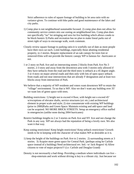Strict adherence to rules of square footage of building to let area ratio with no variance given. To continue with bike paths and good maintenance of the lakes and city parks.

- 1) Comp plan is not neighborhood sustainable focused. 2) comp plan does not allow for community service centers mix use zoning on neighborhood lots. Comp plan does not specifically "no" lot stringing and zero lot live building which allows condo to be block busters 3) Parks and recreation has no plan to make lineal parks out of street right of ways to encourage walk, work commute.
- Closely review square footage to parking ratio-it is woefully out of date as most people have their own car each. Limit buildings, especially those abutting residential property, to 2 stories. Require replacement of an oak canopy for trees lost or removed-Elms will not provide the historic canopy WP is famous for –hurricanes or not.
- 1 or 2 story on Park Ave and on intersecting streets 2 blocks from Park Ave No 3 stories. 2-3 story and away from the downtown area with 3 stories only allowed if they have setbacks from the road and the third story is setback at a 45 degree angle. 3 or 4 story on major arterial roads and then only with lots of open space setback from roads and not near intersections that are already F designation and at least two blocks away from intersection of Park.
- We believe that a majority of WP residents and voters want downtown WP to retain the "village" environment. To us that is WP. Also we don't want any building over 35' we want lots of green space with trees.
- Building restrictions: 1) height not to exceed 4 floor, with height not o exceed 45' w/exceptions of elevator shafts, service structures (a/c etc.) and architectural element in proper scale and style; 2) size consumerate with existing WP buildings (prior to 2000)Parks and Green Space: Maintain existing and add space and land can be acquired. NO MORE BRICK STREETS. Setup an emergency office staffed in emergencies (unlike none during 2004 hurricanes)
- Restrict buildings lengths to 2 or 3 stories on Park Ave and NY Ave and not change the Park in any way. WP see always had the reputation of being a lovely own. We also want it that way.
- Keep zoning restrictions! Keep height restrictions! Keep setback restrictions! Growth needs to be in keeping with the character of what makes WP as desirable as it is.
- 1) keep the height of the buildings on Park Ave to 2 stories. 2) surrounding streets at 3 stories. 3) Acquire more green space for Central Park. (perhaps using he Carlisle space instead of a building) Need architectural rev. brd.- w/ Jack Rogers! 4) Allow citizens to vote of major projects!!! (i.e. Carlisle and Douglas Grand)
- Density is not necessarily a bad thing- Providing a medium where individuals can live shop-entertain and work without driving is key to a vibrant city. Just because we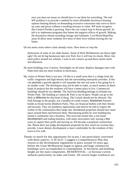own cars does not mean we should have to use them for everything. The real WP problem is to provide a method for more affordable downtown housing options-limiting density on demanding excessive concession only serve to drive up costs and prices without a resulting increase in value. WP must recognize that Central Florida is growing. Since the city cannot stop or thwart growth. Its job is to implement programs that butten the negative effects of growth. Making the downtown vibrant including Orange and Fairbanks. Live/Work/Shop/Play areas ill allow more residents live more of their lives without leaving the city limits.

Do not annex areas where crime already exists. Slow down or stop the

destruction of some of our older houses. Some of these McMansions are down right ugly! Do not let big businesses take over Park Ave it will lose its charm. More, lots more police around our schools, I want to see cruisers up and down streets morn and afternoon.

- No more buildings over 4 stories. Streetlights on all street. Replace damages trees with Palm trees that are more resilient to hurricanes.
- My vision of Winter Park is not new. I'd like to a small town that is a refuge from the traffic congestion and high density that the surrounding metropolis provides. If this city pursues a growth agenda it will squander the one real asset is has going for it: its smaller scale. The developers may not be able to make, as much money on these kinds of projects but the residents will have a better place to live. Commercial buildings should be two stories. The SunTrust Building belongs in Orlando not Winter Park. The building at Canton  $\&$  Park is out of place. People can go to the Mall at Millennia for that kind of thing. The Carlyle should not be allowed. The Park belongs to the people, not a handful of condo owners. Bradstreet Partners builds no broad streets (Baldwin Park). They are financial bullies with their threats and lawsuits. They are predatory opportunists and need to be told to respect the wishes of the communities they barge into. Residential properties should have more space around them and between them. Maximizing profits by over building has turned a community into a business. This town has turned into a real estate development and trading business, with many newcomers only staying a few years to capture their profit and moving on. It's become a perpetual construction site. Please don't just judge development proposals by how much tax revenue they provide. Lower density development is more comfortable for the residents of this town to live with.
- Thanks so much for this opportunity for in-put. I am particularly concerned with these aspects: 1) SCALE- I suggest a Comprehensive Plan that returns to the development regulations in place around 10 years ago, before the Giant McMansions began to appear and huge commercial buildings were accomplished or contemplated. 2) Set-backs and building height are the main components. RESIDENTIAL - a) Increase current setbacks particularly on sides and fronts. All current larger residences are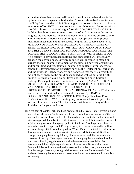attractive when they are set well back in their lots and when there is the optimal amount of space on both sides. Current side setbacks are far too small. b) Limit residential building height to a conservative ratio of house to amount of lot, NOT to the current setbacks. Maximum: 2-stories with a carefully chosen maximum height formula. COMMERCIAL - c) Limit building height on the commercial section of Park Avenue to the current heights. Do not increase heights and never, ever allow the construction of another Bank of America size building. d) Set up specific, improved maximum measurements for setbacks, heights, and square space to lot ratio. DO NOT ALLOW THE BUILDING OF THE CARLISLE OR SIMILAR SIZED PROJECTS. WINTER PARK CANNOT AFFORD THE RESULTANT TRAFFIC, SCHOOL POPULATION INCREASE OR AESTHETIC LOOK. THAT'S NOT WHAT WE'RE ALL ABOUT. It's a fallacy to say increased building and annexation will effectively broaden the city tax base. Services required will increase to match or surpass the tax income, not to mention the time lag between acquisitions and/or building and resultant tax income. Set in place formulae, etc. to handle the development of properties such as the Holler lot on Fairbanks, and the Progress Energy property on Orange, so that there is a very high ratio of green space to the buildings planned as well as building height limits of 35' max or less. I do not favor underground or in-building parking. Please put citywide limitations on them. 3) VARIANCES- NO MORE PLAN OVER-LAYS ALLOWED CANCEL ALL CURRENT VARIANCES, TO PROHIBIT THEIR USE AS FUTURE PRECEDENTS. 4) ARCHITECTURAL REVIEW BOARD - Winter Park needs one to maintain what remains of its charm. 5) TRAFFIC, SCHOOLS AND DENSITY - GOOD LUCK Comp Plan Task Force Review Committee! We're counting on you to use all your inspired ideas to control these elements. The city cannot sustain more of any of them. And thanks for your dedication.

I am a resident of Winter Park, and have been for about 50 years. I am 94 years old, and my writing is beginning to be somewhat crabby, which is why I am writing this on my word processor. I trust that is OK. I looked up your draft plan on the city's web site, as suggested. Frankly, it is a little too much for me to take in, as it seems full of legalese and professional language (at least I think so). As a layperson, I found it somewhat hard to comprehend. Perhaps a synopsis or an index would help. Here are some things I think would be good for Winter Park: I. Diminish the influence of developers and commercial investors in city affairs. Make it more difficult to change zoning regulations capriciously. Preserve more carefully the residential character of the city. Have regular reviews of zoning regulations and conformity with them. Simplify regulations and make them more understandable. Set reasonable building height regulations and observe them. None of this is new. Every politician and candidate has discussed and promised them, but in the end little is changed. Now may be a good time to make a start. Unfortunately, I am unable to leave my home without assistance, and may never see them happen. But, try anyway.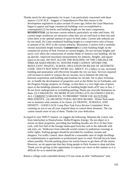- Thanks much for this opportunity for in-put. I am particularly concerned with these aspects: (1) SCALE - Suggest a Comprehensive Plan that returns to the development regulations in place around 10 years ago, before the Giant Mansions began to appear and huge commercial buildings were accomplished or contemplated (2) Set-backs and building height are the main components. **RESIDENTIAL** (a) Increase current setbacks particularly on sides and fronts. All current larger residences are attractive when they are set well back in their lots and when there is the optimal amount of space on both sides. Current side setbacks are far too small. (b) Limit residential building height to a conservative ratio of house to amount of lot, NOT to the current setbacks. Maximum: 2-stories with a carefully chosen maximum height formula. **Commercial** (c) Limit building height on the commercial section of Park Avenue to current heights. Do not increase heights and never, ever allow the construction of another Bank of America size building. (d) Set up specific, improved maximum measurements for setbacks. Heights. and square space to lot ratio. DO NOT ALLOW THE BUILDING OF THE CARLISLE OR SIMILAR SIZED PROJECTS. WINTER PARK CANNOT AFFORD THE RESULTANT TRAFFIC, SCHOOL OPULATION INCREASE OF AESTHETIC LOOK. THAT'S NOT WHAT WE'RE ALL ABOUT. It's a fallacy to say, increased building and annexation will effectively broaden the city tax base. Services required will increase to match or surpass the tax income, not to mention the time lag between acquisitions and building and resultant tax income. Set in place formulae, etc. to handle the development of properties such as the Holler lot on Fairbanks, and the Progress Energy property on Orange, so that there is a very high ratio of green space to the buildings planned as well as building height limits of 35' max or less. I do not favor underground or in-building parking. Please put citywide limitations on them. (3) VARIANCES- NO MORE PLAN OVER-LAYS ALLOWED CANCEL ALL CURRENT VARIANCES, TO PROHIBIT THEIR USE AS FUTURE PRECEDENTS.- (4) ARCHITECTURAL REVIEW BOARD - Winter Park needs one to maintain what remains of its charm. (5) TRAFFIC, SCHOOLS, AND DENSITY - GOOD LUCK Comp Plan Task Force Review Committee! Were counting on you to use all your inspired ideas to control these elements. The city cannot sustain more of any of them. Thanks for your dedication.
- In regard to your INPUT request, we suggest the following: Maintain the 3-story rule from Interlachen to Pennsylvania. Holler/Progress Energy: Do not object to 4 stories on these properties, providing that building facades are 20 to 25 feet from curb, with first half of the footage landscaped from the curb to the sidewalk with oak trees, etc. Walkways from sidewalk would connect to pedestrian crossings at traffic lights. Parking garages should be provided for residents, tenants and shoppers. For traffic control, there should be a reasonable ratio of single dwellings to condominiums to apartments to professional space to retail. Provide bicycle lanes where possible. Provide parking places for tourist busses to get them off the streets. However, we do appreciate that they bring people to Park Avenue to shop and dine. Thank you for giving us this opportunity to express our views in this manner as it is difficult for us to attend the public

Retain a village scale-controlled density-CO not create an elite "millionaires" only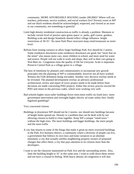community. MORE AFFORDABLE HOUSING (under 200,000)!! Where will our teachers, policeman, service workers, and social workers live? Poverty exists in WP and our black residents should be acknowledged, respected, and viewed as an asset to our community, not something to gentrify!

- Limit high density residential construction-as traffic is already a problem. Maintain or include current level of passive open green space i.e. parks, golf course, gardens. Building scale and design Standards should reflect village influence- height restrictions of 30-35'- No more Park Place structures keep retail/restaurant on street level.
- Refrain form issuing variance to allow larger buildings Park Ave should be 2 stories. Some residences downtown some residences downtown are good, but "more feet on the street" also means more cars, more children in school, and more need for water and sewers. People will not walk to work and shops, they will in their cars going to Wal-Mart etc. Congestion ruins the quality of life for everyone. Scale is important. Preserve Central Park as a village green in a village.
- The best of intentions by planners and commissioners to incorporate new growth principles into the planning of WP is commendable, however not all have worked. Witness the FAR definition being rescinded. Another very decisive overlay needs to be revisited. The planned development overlay an advisory professional architectural; review and report of every project needs to be made before final decisions are made concerning PDO projects. Either this review process rescind the PDO and return to the previous codes, which were working very well.
- Bad schools-higher taxes-taller buildings-fewer trees-more traffic-no leash laws- more government intervention and oversight-higher electric ad water utility fees- finally legalized gambling!!
- Very concerned citizens
- Buildings in downtown WP should not be 2 stories- nor should new buildings because of height limits spread out. Density is a problem that can be dealt with by not allowing citizens to build to close together. Keep WP a unique "small town " without the high-rises. The more buildings and bigger buildings- the more people and the more traffic
- A city that returns to some of the things that make it great-no more oversized buildings in the Park Ave business district, a community where a diversity of people can live, a government that follows its own laws and keep variances to an absolute minimum, a city that actually notifies neighboring property owners of proposed changes that affect them, a city that pays attention to its citizens more than the developers.
- I want to see the character maintained on Park Ave and the surrounding streets. Also, limit the building height to 35' in this same area. I want to walk down these streets and not have a crossed in feeling. With heavy density ad congestion it will also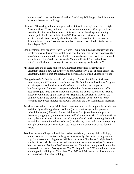hinder a good cross ventilation of airflow. Let's keep WP the gem that it is and our historical homes and buildings.

- Eliminate PD overlay and return to past codes. Return to a village scale-Keep height to 2 stories/30' or 3rd story not to exceed 35' w/ a minimum of a 45 degree setback from the street or from both streets if it is a corner lot. Buildings surrounding Central park should not be taller than 30'. Professional review process for architectural decision made by the city staff-the vision of the citizens may be different form the staff. We are not an urban core-such as Orlando. Rather we are the village of WP.
- Stop development in property where P.O. was make sure P.O. has adequate parking. Smaller signs for businesses. Watch density of housing, not too many condos. Care in regulating population density of WP. Good roadways; don't brick everything, the brick they are doing right now is rough. Maintain Central Park and rail roads as it is-it gives WP character. Adequate low-income housing needs to be in WP
- My vision sees out of scale homes built. Increased traffic and larger trucks @ Lakemont that is a new cut thru for 436 and Casselberry. Lack of noise control on Lakemont, mufflers that are illegal, loud stereos, Heavy trucks unlimited weight.
- Change the code for height setback and stacking of floors of buildings. Park Ave, Interlachen, and NY need to have shorter, smaller buildings with setbacks for green and sky space. (And Park Ave needs to have the smallest, less imposing buildings!!)Stop all annexing! Stop condo building downtown to cut the traffic. Stop catering to large entities including churches and church schools and listen to taxpayers who make up the most of WP. Stop making decisions in favor of the Catholic Church and others when the city codes haven't been followed for the residents. Have your minutes reflect what is said in the City Commission meetings.
- Restrict construction of large. Multi level homes on small lots in neighborhoods that are traditionally small single level dwellings (i.e. square footage limits, property setback limits, etc.) Abandon future "brick street" projects- they are impractical from every angle (cost, maintenance, noise) Find ways to restrict "cut-thru traffic in our city by non-residents. Limit size and weight of truck traffic into neighborhoods (especially construction related vehicles.) that destroy roads and curbs by requiring multiple deliveries of smaller loads, etc. Repair and maintenance of residential roads.
- Tree lined streets, village look and feel, pedestrian friendly, quality civic buildings, home ownership on the West side, green space evenly distributed throughout the city, form based on zoning codes. While it is a current "hot button" height is only one leg of the chair. Mass and setbacks form the streets are of equal performance. You can create a "Baldwin Park" anywhere but , Park Ave is unique and should be preserved as a one and 2-story street. The 55' height in the CBD should b rescinded allowing only buildings of 35' or less. The17-92 and Fairbanks corridors are more accommodating for taller buildings.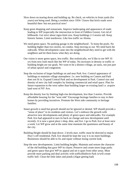- Slow down on tearing down and building up. Re check, on vehicles in front yards (for years) not being used. Being a resident since 1954- I know that brick roads were beautiful then- but not practical now!
- Keep great shopping and restaurants. Improve landscaping and appearance of roads leading to WP (especially the intersection in front of Fiddlers Green). Get rid of billboards. Get strict about signs-limit size. Keep buildings 2-3 stories tall. Keep historic homes. Limit teardowns. Like less traffic on Aloma.
- We need green space. No parking garage in the neighborhood . To keep the pools. No building higher than two stories, no condos. Stop moving us out. We need back the sidewalk. When development came into the neighborhood they need to get with the neighbors and let them know what they are doing.
- Our vision is more green space, less traffic. But realistically, we'd like to see WP 10 yrs from now look much like the WP of today. No increases in density or traffic or building height are our goals. We want to be a distinct village, an oasis, not just part of urban sprawl and congestion.
- Stop the exclusion of larger buildings on and near Park Ave. Control appearance of buildings to maintain village atmosphere. I.e. new building on Canton and Park does not fit in. Expand Central Park and no development in Park. Control size and density of new city hall complex by limiting commercial and retail space. Plan for future expansion to the west rather than building larger on existing land i.e. acquire land west of NY Ave.
- Keep the density low by limiting high-rise development, less than 3 stories. Provide affordable housing for the "west side" Encourage heritage families to stay in their homes by providing incentives. Promote the West side community to heritage families.
- Smart growth is need but growth should not be ignored or denied. WP should provide a "sense of place" to its residents and visitors. Let's embrace the growth with attractive new developments and plenty of green space and sidewalks. For example Park Ave had appeared to turn its back on change and new development until recently. It is now a great place t shop, dine, and live. I go to Park Ave at least once a week. Let WP grow and at the same time maintain the quaintness and beauty of the city.
- Building Height should be kept down- 2 levels max. traffic must be directed to major Hwy's-off residential. Park Ave should be kept the way it is no more buildings. Businesses should be able to fix and repair without losing current look.
- Stop the new developments. Limit building heights. Maintain and restore the character of the old building that gave WP its charm. Preserve and create more large parks and green space that give WP its appeal and set it apart from other areas. Must provide more parking and deal actively with traffic(Baldwin Park is/will create traffic hell. Clean the little lakes and ponds (Algae getting bad)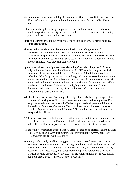- We do not need more large buildings in downtown WP that do not fit in the small town décor on Park Ave. If you want large buildings move to Orlando/ Miami/New York.
- Biking and walking friendly; green parks; visitor friendly; easy access roads w/out so much congestion; not too big but not too small. All the development that is taking place is all I want to see in the town center.
- More public transportation. No more high-rise buildings. More affordable housing. More green space.
- The city and its residents must be more involved in controlling residential redevelopment in the neighborhoods. Soon it will be too late!! Currently, contractors on speculation are in control. They buy lots, knock down2500 Sq. Foot story homes and replace them with 5000 sq. ft. 2 story look-alike houses crammed into the smallest space they can get away with!
- I prefer that WP remain a "pedestrian-scaled village" with buildings that 2-3 stories only with upper floors setback on Park Ave. For NY Ave, buildings on the Park side should have the same height limits as Park Ave. All buildings should be setback with landscaping between the building and street. Massive buildings should not be permitted. Especially in the downtown business district. Interior courtyards within and "old world" features will NOT diminish the scale of a massive building. Neither will "architectural elements." Lastly, high-density residential units downtown will reduce our quality of life with increased traffic congestion. Redevelop with extraordinary care.
- WP should be a pedestrian, bike, and pet friendly urban oasis. More green space, less concrete. More single-family homes, fewer town homes/ condos/ high-rises. I'm very concerned about the impact the Holler property redevelopment will have on the traffic on Fairbanks, Orange and Denning. Also, the alcohol restrictions for Hannibal Square businesses are ridiculous. WP should not treat its residents like irresponsible children.
- A 100% no growth policy. In the short term it may seem that this sound ridiculous. But 10yrs from now as Central Florida is a 100% grid locked-overdeveloped mess, WP's allure will be unsurpassed. Look at areas of California. It can be done.
- Height of new construction defined as feet. Setback same on all stories. Taller buildings (4stroy on Fairbanks Corridor). Commercial architectural view very necessary. Height 30ft in central business district.
- Too many multi-family dwelling being passed by zoning board in residential areas, Minnesota Ave, Pennsylvania Ave, and huge hotel type residence buildings east of Park Ave-to library. We already have a traffic problem, and now 4 times as many people living in these areas, with cars! Much foliage and natural areas in Mead Gardens is being destroyed, by one city worker, wildlife habitat destroyed, poison put along creek, does "waterways" know about this?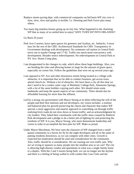- Replace streets paving dept. with commercial companies on bid basis-WP city crew is slow, slow, slow and quality is terrible. I.e. Denning and Park Grove plus many others.
- Too many big tasteless houses going up on tiny lots. What happened to the charming WP that so many of us settled here to enjoy? WHY TURN WP INTO ORLANDO?

Go Back 20 years!

- Park Ave-2 stories; leave open spaces for greenery and Azaleas, etc. Setbacks: 3-story max for the rest of the CBD. Architectural Standards for CBD. Transparency in Government dealings with development. No commuter rail station in Central Parkmove out to maybe Orange and 17-92. Traffic-too much-need concurrency with development. Broader notice redevelopment. No redevelopment on Central Park or NY Ave. Honor Comp plan.
- I am disappointed in the changes in code, which allow these huge buildings. Also, you are bending the rules and allowing homes to large for the amount of green space, especially on corner lots. Follow the guidelines that were set up several years ago.
- I am opposed to NY Ave and other downtown streets being treated as a village with obstacles. It is important that we be able to conduct business, get across town, attend church etc. Without a lot of obstacles. We have been a city all this time we don't need to be a cookie cutter copy of Maitland, College Park, Altamonte Springs, with a lot of the same builders copying each other. We should retain some landmarks and keep the quaint aspects of our community. There should also be affordable housing for more than the affluent.
- Led by a strong city government with Mayor Strong at its helm reflecting the will of the people and their best interests and not developers, my vision includes: a realistic and balanced plan for growth preserving the charm and character that makes WP special; a more aggressive and smarter approach to controlling cut-through traffic realizing brick roads do not slow down or lessen traffic; and an acknowledgment by city leaders. They failed their constituents with the traffic mess created by Baldwin Park development and a pledge to do a better job of fighting for and protecting the residents of WP. It is you, Mayor Strong, who must demonstrate leadership and vision in order to accomplish the best plan for WP. Make us proud.
- Under Mayor Marchman, We have seen the character of WP changed from a small quaint community to a haven for fly by the night developers and all in the name of putting residents downtown, so we can compete with other cities. Growth is expected but moderation should be used and consideration for the community. Also, traffic should be a consideration. We are causing our own traffic jam. Why are we trying to squeeze as many people into the smallest area as we can? The city is allowing high-density condos and apartments in what was a single family home or a duplex. With the 2 and 3 stories being built, we can no longer see the skyline and there is a feeling of being walled in with condos like Casa Cielo and the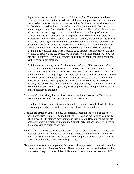duplexes across the street from them on Minnesota Ave. There seems too be no consideration by the city for the existing neighbors living in these areas. Also, there seems to be favoritism just to get more tax dollars for the city to spend. It seems to be that the city needs to live on its budget spending it more wisely than on eliminating train whistles and re-bricking streets for so-called traffic calming. With all the new construction going on in the city dust and hazardous products are constantly in the air. Why isn't something being done to require contractors to enclose areas they are sandblasting, concrete saw cutting, and demolishing? Since a lot of these buildings are very old they could contain lead paint and asbestos. Code enforcement does not police the landscaping companies who weekly inundate our streets with debris and leaves and we are forced to pay more for storm drainage cleaning due to this. If more trees are going to be planted, lets take care of the ones we have and remove the dead ones. We voted for you, Mayor Strong We hope you can make a difference! We look forward to ousting the rest of the commissioners, as they come up for election.

- We feel that the best quality of life for the residents of WP will be maintained if: A comp plan is followed that returns to the development regulations, which were in, place around ten years ago. In residential areas there is an increase in setbacks and there are limits in building heights and more conservative ratios of amount of house to amount of lot. Commercial building heights are limited to current heights and measure are in place to set up specific, maximum measurements for setbacks, heights, and square space to lot ratio. No more plan overlays are allowed. While we are in favor of architectural updating, we strongly disagree in population density is either necessary or desirable.
- Build new City hall along lines outlined years ago with the Streetscape. Bring back WP's minibus system. Enlarge civic center and lake Isle
- Keep building 3 stories in height in the city and keep policies to control. All streets all ways at night, and every one keep them yard clean in front and back.
- Continue the direction you are going. Specifically, I recommend you take action to annex properties west of 17-92 and North of Lee Road ad far North as you can go. Then proceed with planned development in that location. Recommend we not plan anymore "large" buildings in and around Central Park/ Park Ave area. We need to maintain as much charm as we can.
- Holler Chev. And Progress Energy Land should not be sold for condos. this should be used for commercial things. Stop building High rises and condos and have office buildings. They are eyesores to the WP area. Example the one built on Canton and Park. We do not need any more parking garages.
- Planning groups have been appointed for some of the major areas of redevelopment i.e. Holler property and Progress Energy. Those recommendations need to be complied with even if they cost more. A few dollars of extra taxes are worth keeping "WP"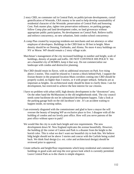- 2 story CBD, no commuter rail in Central Park; no public/private developments, curtail gentrification of Westside, CRA money to be used to help develop sustainability of residential character of the Westside; preservation of Central Park and honoring Cent. Park master plan, tighter tree preservation ordinance, no parking garages, follow Comp plan and land development codes, no land giveaways without appropriate public participation, No development on Central Park. Relieve traffic and enforce concurrency, no new urbanism, limit condos-school concurrency
- A comp Plan created by taxpaying residents-not merchants and not attorneys or other employee of developers. Buildings in the CBD limit to 30 feet in height. More density should be on Denning, Fairbanks, and Aloma. No more 4 story buildings on NY or Morse. WP should remain a 2 story village scale.
- Marchman's management of the city increased buildings in number and height, scale of buildings, density of people and traffic. DO NOT CONTINUE HIS POLICY. We are a beautiful city of HOMES, keep it that way. Do not commercialize our landscape with condos and destructive planning.
- The CBD should retain its flavor, with no additional structures on Park Ave rising above 2 stories. This could be relaxed to 3 stories a block behind Park. I support the Enzian theatre in the proposed location-Main corridors coming into CBD should be properly scaled, no higher than 3 stories, or 4 with proper setback. Setbacks are as important as heights. An architectural study should be done to clarify these. I am for development, but restricted to achieve the best interest for our citizens.
- I have no problem with urban infill, high density development in the "downtown" area. On the other hand the McMansions in the old neighborhoods stink. The city council needs some backbone-do not let substandard development happen. Take a look at the parking garage built on the old Jacobson's site . It's an accident waiting to happen inside, no turning radius.
- I am extremely disgusted with the commissioner and glad to have a mayor the will oversee the beauty of keeping WP an exclusive place to live. I disagree with all the building of condos and our lovely post office. How will you serve patrons of the post office without space to park?
- We would like the city to scale back height and size requirements. The new development down W. New England replicates the avenue beautifully. However, the building @ the corner of Canton and Park is a disaster from the height to the horrid color. This is what we don't want our beautiful city to look like. We believe bldg height should not be above 3 stories and concur with the Carlisle being scaled back. We think final design (i.e. ext. color and architectural design) should be reviewed prior to approval.
- Create setbacks and height/floor requirements which keep residential and commercial buildings in good scale and stop the over grown look which is currently permitted. Leave Central Park as is-the charm is simple elegance.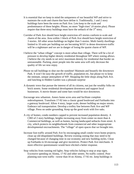- It is essential that we keep in mind the uniqueness of our beautiful WP and strive to maintain the scale and charm that have define it. Traditionally, 1 and 2 story buildings have been the norm on Park Ave. Lets keep to the scale and predominance of these heights. Please, no more "high-rises" (4 stories plus). Please require that three-story buildings must have the setback of the  $3<sup>rd</sup>$  story.
- Corridor of Park Ave should have height restriction of3 stories conform to scale and charm of the area. Area within 1 block of Park Ave should have height restriction of 3 stories. All other areas-buildings no higher than 5 stories. Multi family dwellings limited to 10 units per building-we are becoming WAY to dense downtown-traffic will be a nightmare and we are in danger of losing the quaint charm of WP.
- I believe the "urban village" concept is more urban than village. There will be a lot of pressure to develop higher density residential throughout WP where zoning allows. I believe the city needs to set strict maximum density for residential that border on unreasonable. Packing ,more people into the same area will only decrease the quality of life we now enjoy.
- Please no tall buildings to shut out the sunshine! Maintain and beautify the downtown Park. It won't be easy-the growth of traffic, population etc, but please try to keep the intimate, unique atmosphere of WP. Shopping the little shops along Park Ave. and lunching in Hidden Garden was a pleasant surprise
- A dynamic town that pursue the interest of all its citizens, nut just the wealthy folks on brick streets. Some residential development downtown and support local businesses. A movie theater and some bars would be nice downtown.
- Encourage new urbanism. Annex home acres area and facilitate complete redevelopment. Transform 17-92 into a classic grand boulevard and Fairbanks into a gateway boulevard. Allow 4 story, larger scale, denser building on major streets. Embrace rail transportation. Develop a trolley line between Park Ave and WP village. Press on under grounding. Keep up the good work with live oaks.
- A city of homes; condo numbers capped to prevent increased population density. A CBD of 2 story buildings, heights increasing away from center no more than 4. Commercial buildings, as well as homes, having landscaped setbacks from street. A city, which protects its neighborhoods from commercial and other inappropriate developmental encroachments. The "village" of open spaces that we brought into.
- Increase foot traffic around Park Ave by encouraging small condo/ town home projects; clean up old dilapidated buildings. Review existing zoning that may need to be changed because of changing time in our economy and new building styles. Clean up Fairbanks to I4 encourage and give incentives. Protect Park Ave merchants. A more effective questionnaire would have elicited a better response.
- Stop vehicles from running red lights. Stop vehicles failing to stop at stop signs. Excessive speeding on Aloma, 17-92 and other streets. No traffic control. Poor planning east-west traffic –worse than I4 on Aloma, 17-92 etc. keep buildings in